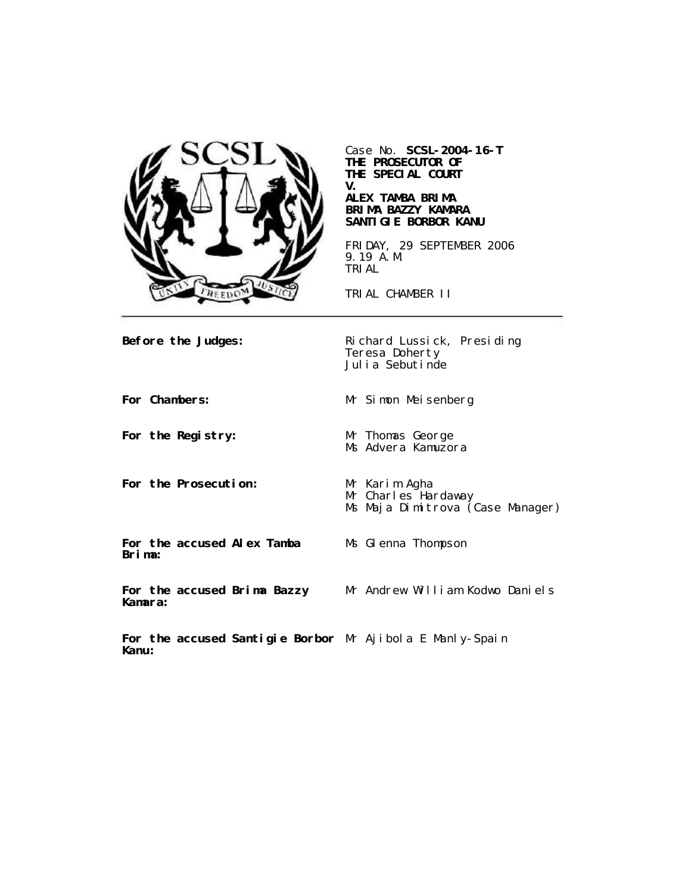

Case No. **SCSL-2004-16-T THE PROSECUTOR OF THE SPECIAL COURT V.**

## **ALEX TAMBA BRIMA BRIMA BAZZY KAMARA SANTIGIE BORBOR KANU**

FRIDAY, 29 SEPTEMBER 2006 9.19 A.M. TRIAL

TRIAL CHAMBER II

**Before the Judges:** Richard Lussick, Presiding Teresa Doherty Julia Sebutinde

**For Chambers:** Mr Simon Meisenberg

**For the Registry:** Mr Thomas George

**For the Prosecution:** Mr Karim Agha

Mr Charles Hardaway Ms Maja Dimitrova (Case Manager)

**For the accused Alex Tamba Brima:**

Ms Glenna Thompson

Ms Advera Kamuzora

**For the accused Brima Bazzy Kamara:**

Mr Andrew William Kodwo Daniels

**For the accused Santigie Borbor** Mr Ajibola E Manly-Spain**Kanu:**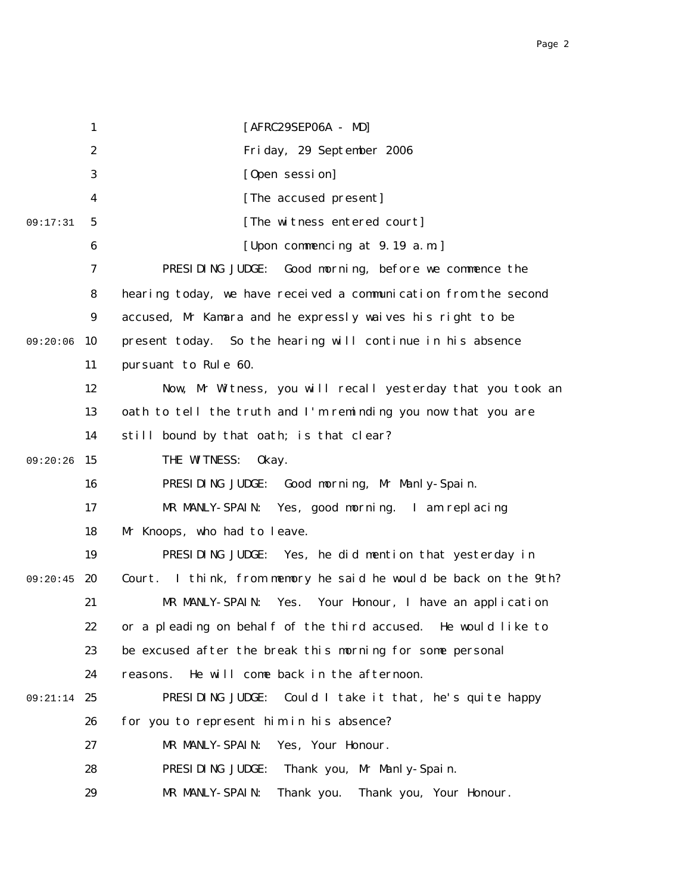|          | $\mathbf{1}$     | [AFRC29SEP06A - MD]                                              |
|----------|------------------|------------------------------------------------------------------|
|          | $\boldsymbol{2}$ | Friday, 29 September 2006                                        |
|          | 3                | [Open session]                                                   |
|          | 4                | [The accused present]                                            |
| 09:17:31 | 5                | [The witness entered court]                                      |
|          | 6                | [Upon commencing at 9.19 a.m.]                                   |
|          | 7                | Good morning, before we commence the<br>PRESIDING JUDGE:         |
|          | 8                | hearing today, we have received a communication from the second  |
|          | $\boldsymbol{9}$ | accused, Mr Kamara and he expressly waives his right to be       |
| 09:20:06 | 10               | present today. So the hearing will continue in his absence       |
|          | 11               | pursuant to Rule 60.                                             |
|          | 12               | Now, Mr Witness, you will recall yesterday that you took an      |
|          | 13               | oath to tell the truth and I'm reminding you now that you are    |
|          | 14               | still bound by that oath; is that clear?                         |
| 09:20:26 | 15               | THE WITNESS:<br>0kay.                                            |
|          | 16               | PRESIDING JUDGE: Good morning, Mr Manly-Spain.                   |
|          | 17               | MR MANLY-SPAIN:<br>Yes, good morning. I am replacing             |
|          | 18               | Mr Knoops, who had to leave.                                     |
|          | 19               | PRESIDING JUDGE: Yes, he did mention that yesterday in           |
| 09:20:45 | 20               | Court. I think, from memory he said he would be back on the 9th? |
|          | 21               | MR MANLY-SPAIN:<br>Yes.<br>Your Honour, I have an application    |
|          | 22               | or a pleading on behalf of the third accused. He would like to   |
|          | 23               | be excused after the break this morning for some personal        |
|          | 24               | He will come back in the afternoon.<br>reasons.                  |
| 09:21:14 | 25               | PRESIDING JUDGE:<br>Could I take it that, he's quite happy       |
|          | 26               | for you to represent him in his absence?                         |
|          | 27               | MR MANLY-SPAIN:<br>Yes, Your Honour.                             |
|          | 28               | PRESIDING JUDGE:<br>Thank you, Mr Manly-Spain.                   |
|          | 29               | MR MANLY-SPAIN:<br>Thank you.<br>Thank you, Your Honour.         |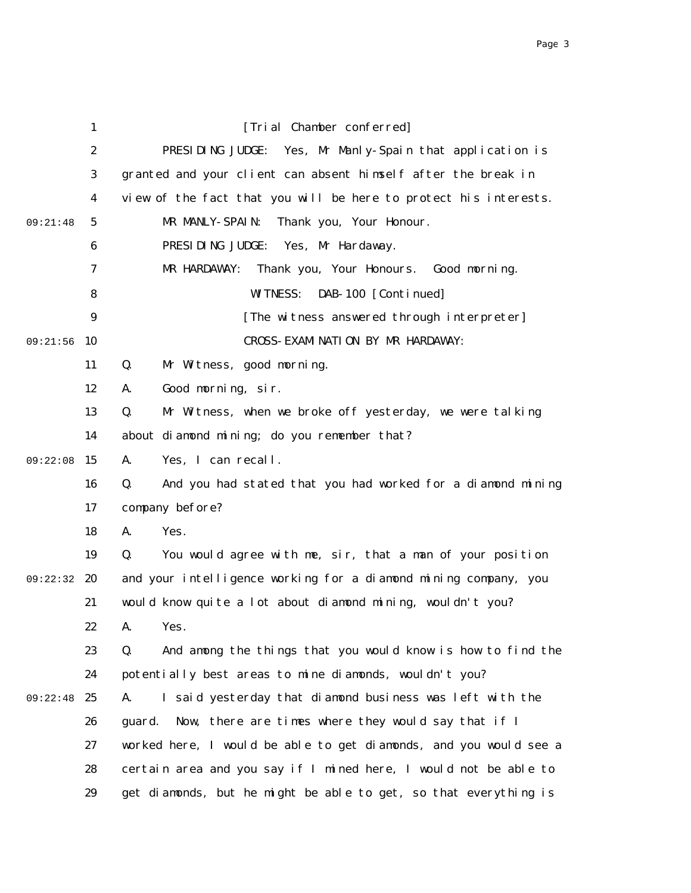|          | $\mathbf{1}$     | [Trial Chamber conferred]                                         |
|----------|------------------|-------------------------------------------------------------------|
|          | $\boldsymbol{2}$ | PRESIDING JUDGE: Yes, Mr Manly-Spain that application is          |
|          | $\boldsymbol{3}$ | granted and your client can absent himself after the break in     |
|          | $\boldsymbol{4}$ | view of the fact that you will be here to protect his interests.  |
| 09:21:48 | $5\phantom{.0}$  | Thank you, Your Honour.<br>MR MANLY-SPAIN:                        |
|          | 6                | PRESIDING JUDGE: Yes, Mr Hardaway.                                |
|          | 7                | MR HARDAWAY:<br>Thank you, Your Honours. Good morning.            |
|          | 8                | DAB-100 [Continued]<br><b>WITNESS:</b>                            |
|          | 9                | [The witness answered through interpreter]                        |
| 09:21:56 | 10               | CROSS- EXAMINATION BY MR HARDAWAY:                                |
|          | 11               | Mr Witness, good morning.<br>Q.                                   |
|          | 12               | Good morning, sir.<br>A.                                          |
|          | 13               | Q.<br>Mr Witness, when we broke off yesterday, we were talking    |
|          | 14               | about diamond mining; do you remember that?                       |
| 09:22:08 | 15               | A.<br>Yes, I can recall.                                          |
|          | 16               | And you had stated that you had worked for a diamond mining<br>Q. |
|          | 17               | company before?                                                   |
|          | 18               | A.<br>Yes.                                                        |
|          | 19               | Q.<br>You would agree with me, sir, that a man of your position   |
| 09:22:32 | 20               | and your intelligence working for a diamond mining company, you   |
|          | 21               | would know quite a lot about diamond mining, wouldn't you?        |
|          | 22               | A. Yes.                                                           |
|          | 23               | And among the things that you would know is how to find the<br>Q. |
|          | 24               | potentially best areas to mine diamonds, wouldn't you?            |
| 09:22:48 | 25               | I said yesterday that diamond business was left with the<br>A.    |
|          | 26               | Now, there are times where they would say that if I<br>guard.     |
|          | 27               | worked here, I would be able to get diamonds, and you would see a |
|          | 28               | certain area and you say if I mined here, I would not be able to  |
|          | 29               | get diamonds, but he might be able to get, so that everything is  |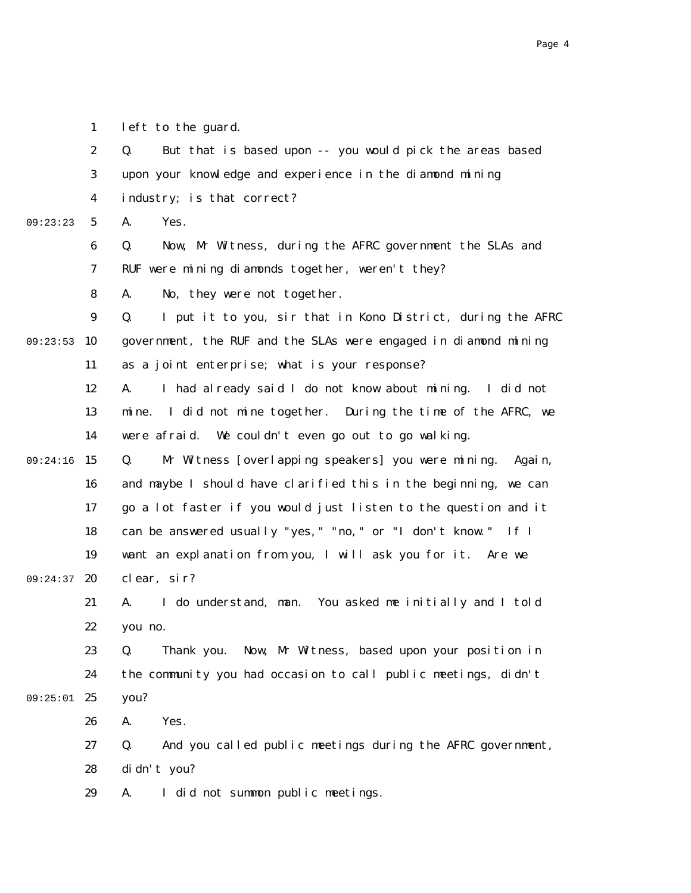|          | $\boldsymbol{2}$ | But that is based upon -- you would pick the areas based<br>Q.     |
|----------|------------------|--------------------------------------------------------------------|
|          | 3                | upon your knowledge and experience in the diamond mining           |
|          | 4                | industry; is that correct?                                         |
| 09:23:23 | $\mathbf{5}$     | A.<br>Yes.                                                         |
|          | 6                | Now, Mr Witness, during the AFRC government the SLAs and<br>Q.     |
|          | 7                | RUF were mining diamonds together, weren't they?                   |
|          | 8                | No, they were not together.<br>A.                                  |
|          | $\boldsymbol{9}$ | I put it to you, sir that in Kono District, during the AFRC<br>Q.  |
| 09:23:53 | 10               | government, the RUF and the SLAs were engaged in diamond mining    |
|          | 11               | as a joint enterprise; what is your response?                      |
|          | 12               | I had already said I do not know about mining. I did not<br>A.     |
|          | 13               | I did not mine together. During the time of the AFRC, we<br>mi ne. |
|          | 14               | were afraid. We couldn't even go out to go walking.                |
| 09:24:16 | 15               | Mr Witness [overlapping speakers] you were mining.<br>Q.<br>Again, |
|          | 16               | and maybe I should have clarified this in the beginning, we can    |
|          | 17               | go a lot faster if you would just listen to the question and it    |
|          | 18               | can be answered usually "yes, " "no, " or "I don't know." If I     |
|          | 19               | want an explanation from you, I will ask you for it. Are we        |
| 09:24:37 | 20               | clear, sir?                                                        |
|          | 21               | I do understand, man. You asked me initially and I told<br>A.      |
|          | 22               | you no.                                                            |
|          | 23               | Now, Mr Witness, based upon your position in<br>Q.<br>Thank you.   |
|          | 24               | the community you had occasion to call public meetings, didn't     |
| 09:25:01 | 25               | you?                                                               |
|          | 26               | Yes.<br>A.                                                         |
|          | 27               | Q.<br>And you called public meetings during the AFRC government,   |
|          | 28               | di dn't you?                                                       |

1

left to the guard.

29 A. I did not summon public meetings.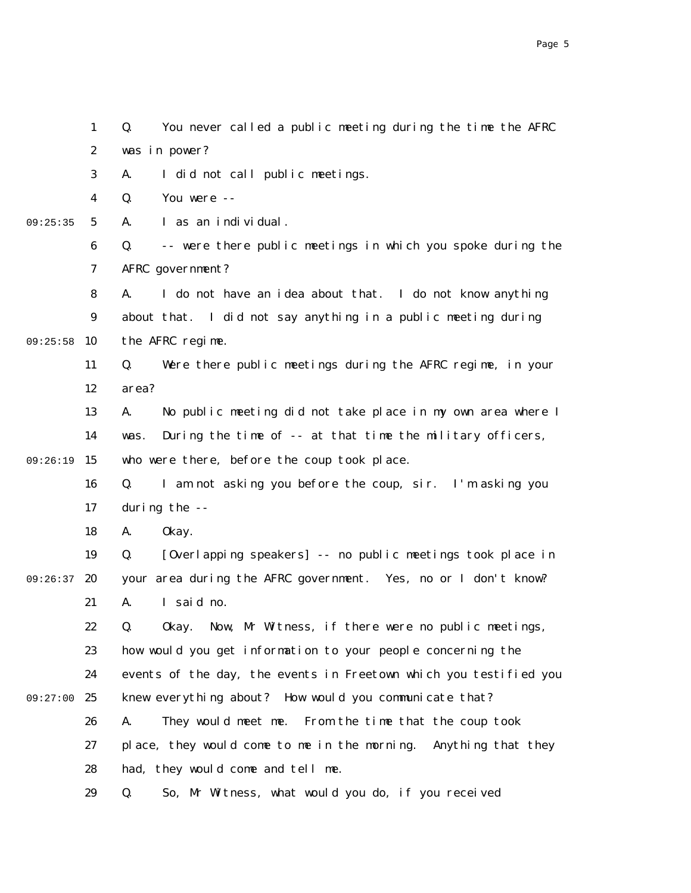2 3 4 5 6 7 8 9 09:25:58 10 11 12 13 14 09:26:19 15 16 17 18 19 09:26:37 20 21 22 23 24 09:27:00 25 26 27 28 29 09:25:35 was in power? A. I did not call public meetings. Q. You were -- A. I as an individual. Q. -- were there public meetings in which you spoke during the AFRC government? A. I do not have an idea about that. I do not know anything about that. I did not say anything in a public meeting during the AFRC regime. Q. Were there public meetings during the AFRC regime, in your area? A. No public meeting did not take place in my own area where I was. During the time of -- at that time the military officers, who were there, before the coup took place. Q. I am not asking you before the coup, sir. I'm asking you during the -- A. Okay. Q. [Overlapping speakers] -- no public meetings took place in your area during the AFRC government. Yes, no or I don't know? A. I said no. Q. Okay. Now, Mr Witness, if there were no public meetings, how would you get information to your people concerning the events of the day, the events in Freetown which you testified you knew everything about? How would you communicate that? A. They would meet me. From the time that the coup took place, they would come to me in the morning. Anything that they had, they would come and tell me. Q. So, Mr Witness, what would you do, if you received

Q. You never called a public meeting during the time the AFRC

1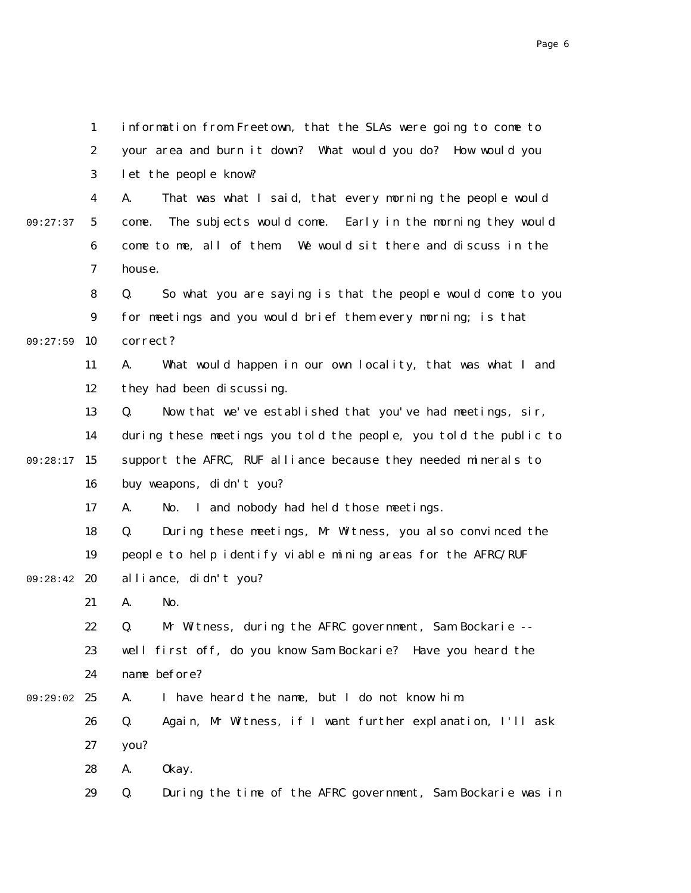1 2 3 4 5 6 7 8 9 09:27:59 10 11 12 13 14 09:28:17 15 16 17 18 19 09:28:42 20 21 22 23 24 09:29:02 25 26 27 28 29 09:27:37 information from Freetown, that the SLAs were going to come to your area and burn it down? What would you do? How would you let the people know? A. That was what I said, that every morning the people would come. The subjects would come. Early in the morning they would come to me, all of them. We would sit there and discuss in the house. Q. So what you are saying is that the people would come to you for meetings and you would brief them every morning; is that correct? A. What would happen in our own locality, that was what I and they had been discussing. Q. Now that we've established that you've had meetings, sir, during these meetings you told the people, you told the public to support the AFRC, RUF alliance because they needed minerals to buy weapons, didn't you? A. No. I and nobody had held those meetings. Q. During these meetings, Mr Witness, you also convinced the people to help identify viable mining areas for the AFRC/RUF alliance, didn't you? A. No. Q. Mr Witness, during the AFRC government, Sam Bockarie - well first off, do you know Sam Bockarie? Have you heard the name before? A. I have heard the name, but I do not know him. Q. Again, Mr Witness, if I want further explanation, I'll ask you? A. Okay. Q. During the time of the AFRC government, Sam Bockarie was in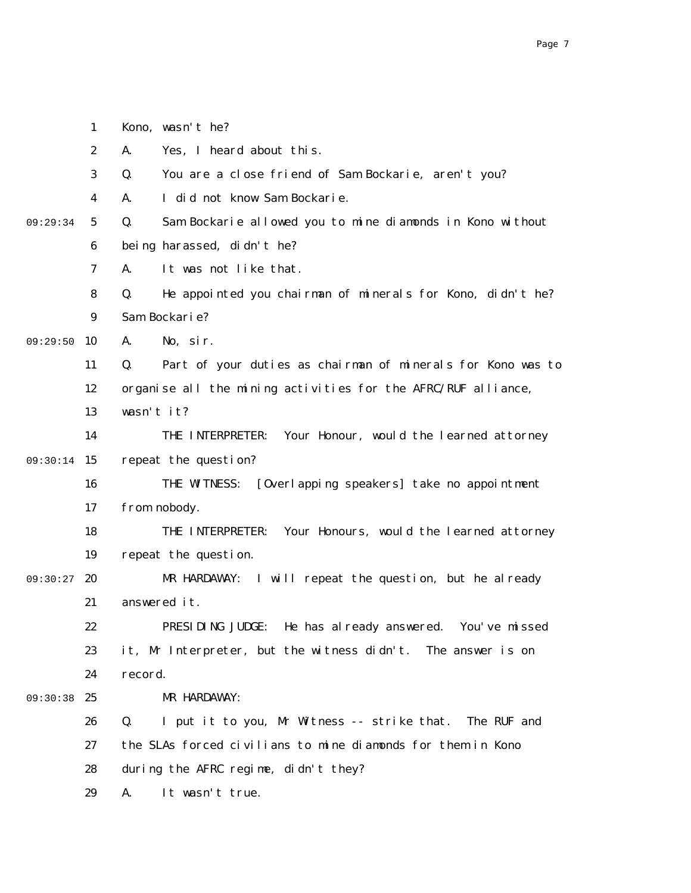|          | $\boldsymbol{2}$ | Yes, I heard about this.<br>A.                                    |
|----------|------------------|-------------------------------------------------------------------|
|          | 3                | Q.<br>You are a close friend of Sam Bockarie, aren't you?         |
|          | $\boldsymbol{4}$ | I did not know Sam Bockarie.<br>A.                                |
| 09:29:34 | 5                | Q.<br>Sam Bockarie allowed you to mine diamonds in Kono without   |
|          | 6                | being harassed, didn't he?                                        |
|          | $\boldsymbol{7}$ | It was not like that.<br>A.                                       |
|          | 8                | He appointed you chairman of minerals for Kono, didn't he?<br>Q.  |
|          | 9                | Sam Bockarie?                                                     |
| 09:29:50 | 10               | No, sir.<br>A.                                                    |
|          | 11               | Q.<br>Part of your duties as chairman of minerals for Kono was to |
|          | 12               | organise all the mining activities for the AFRC/RUF alliance,     |
|          | 13               | wasn't it?                                                        |
|          | 14               | Your Honour, would the learned attorney<br>THE INTERPRETER:       |
| 09:30:14 | 15               | repeat the question?                                              |
|          | 16               | THE WITNESS:<br>[Overlapping speakers] take no appointment        |
|          | 17               | from nobody.                                                      |
|          | 18               | Your Honours, would the learned attorney<br>THE INTERPRETER:      |
|          | 19               | repeat the question.                                              |
| 09:30:27 | 20               | MR HARDAWAY: I will repeat the question, but he already           |
|          | 21               | answered it.                                                      |
|          | 22               | PRESIDING JUDGE:<br>He has already answered. You've missed        |
|          | 23               | it, Mr Interpreter, but the witness didn't. The answer is on      |
|          | 24               | record.                                                           |
| 09:30:38 | 25               | MR HARDAWAY:                                                      |
|          | 26               | Q.<br>I put it to you, Mr Witness -- strike that.<br>The RUF and  |
|          | 27               | the SLAs forced civilians to mine diamonds for them in Kono       |
|          | 28               | during the AFRC regime, didn't they?                              |
|          | 29               | It wasn't true.<br>A.                                             |

1

Kono, wasn't he?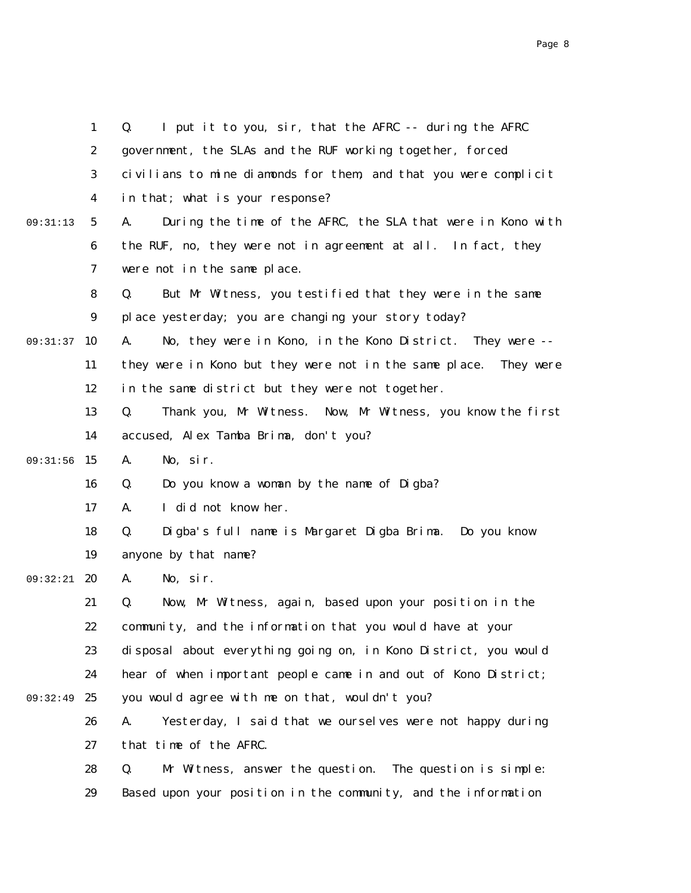|          | $\mathbf{1}$     | I put it to you, sir, that the AFRC -- during the AFRC<br>Q.      |
|----------|------------------|-------------------------------------------------------------------|
|          | $\boldsymbol{2}$ | government, the SLAs and the RUF working together, forced         |
|          | 3                | civilians to mine diamonds for them, and that you were complicit  |
|          | 4                | in that; what is your response?                                   |
| 09:31:13 | $5\phantom{.0}$  | During the time of the AFRC, the SLA that were in Kono with<br>A. |
|          | 6                | the RUF, no, they were not in agreement at all. In fact, they     |
|          | 7                | were not in the same place.                                       |
|          | 8                | But Mr Witness, you testified that they were in the same<br>Q.    |
|          | $\boldsymbol{9}$ | place yesterday; you are changing your story today?               |
| 09:31:37 | 10               | No, they were in Kono, in the Kono District. They were --<br>A.   |
|          | 11               | they were in Kono but they were not in the same place. They were  |
|          | 12               | in the same district but they were not together.                  |
|          | 13               | Thank you, Mr Witness. Now, Mr Witness, you know the first<br>Q.  |
|          | 14               | accused, Alex Tamba Brima, don't you?                             |
| 09:31:56 | 15               | No, sir.<br>A.                                                    |
|          | 16               | Do you know a woman by the name of Digba?<br>Q.                   |
|          | 17               | I did not know her.<br>A.                                         |
|          | 18               | Q.<br>Digba's full name is Margaret Digba Brima. Do you know      |
|          | 19               | anyone by that name?                                              |
| 09:32:21 | 20               | No, sir.<br>A.                                                    |
|          | 21               | Now, Mr Witness, again, based upon your position in the<br>Q.     |
|          | 22               | community, and the information that you would have at your        |
|          | 23               | disposal about everything going on, in Kono District, you would   |
|          | 24               | hear of when important people came in and out of Kono District;   |
| 09:32:49 | 25               | you would agree with me on that, wouldn't you?                    |
|          | 26               | Yesterday, I said that we ourselves were not happy during<br>A.   |
|          | 27               | that time of the AFRC.                                            |
|          | 28               | Q.<br>Mr Witness, answer the question. The question is simple:    |
|          | 29               | Based upon your position in the community, and the information    |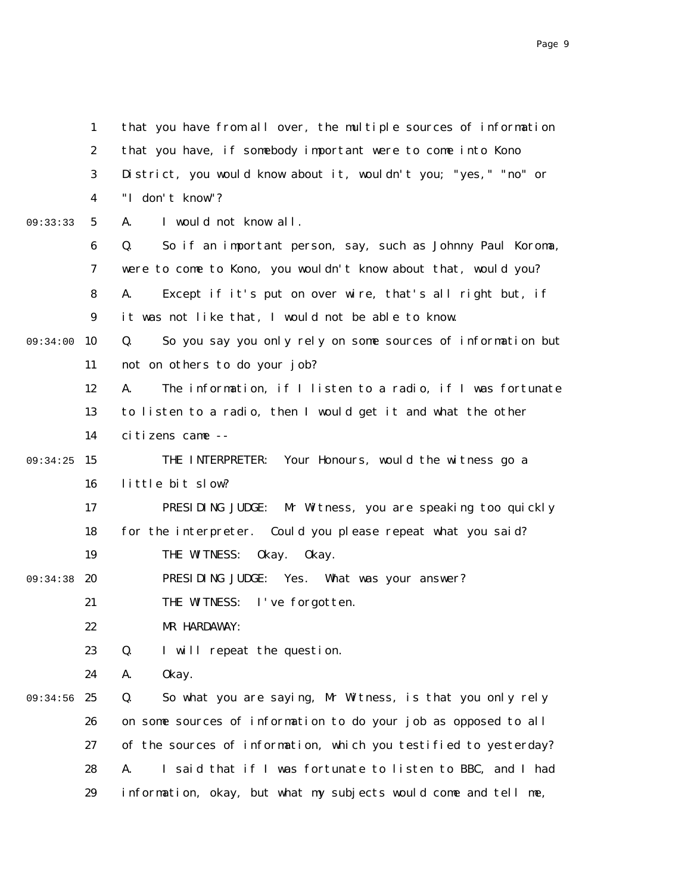1 2 3 4 5 6 7 8 9 09:34:00 10 11 12 13 14 09:34:25 15 16 17 18 19 09:34:38 20 21 22 23 24 09:34:56 25 26 27 28 29 09:33:33 that you have from all over, the multiple sources of information that you have, if somebody important were to come into Kono District, you would know about it, wouldn't you; "yes," "no" or "I don't know"? A. I would not know all. Q. So if an important person, say, such as Johnny Paul Koroma, were to come to Kono, you wouldn't know about that, would you? A. Except if it's put on over wire, that's all right but, if it was not like that, I would not be able to know. Q. So you say you only rely on some sources of information but not on others to do your job? A. The information, if I listen to a radio, if I was fortunate to listen to a radio, then I would get it and what the other citizens came -- THE INTERPRETER: Your Honours, would the witness go a little bit slow? PRESIDING JUDGE: Mr Witness, you are speaking too quickly for the interpreter. Could you please repeat what you said? THE WITNESS: Okay. Okay. PRESIDING JUDGE: Yes. What was your answer? THE WITNESS: I've forgotten. MR HARDAWAY: Q. I will repeat the question. A. Okay. Q. So what you are saying, Mr Witness, is that you only rely on some sources of information to do your job as opposed to all of the sources of information, which you testified to yesterday? A. I said that if I was fortunate to listen to BBC, and I had information, okay, but what my subjects would come and tell me,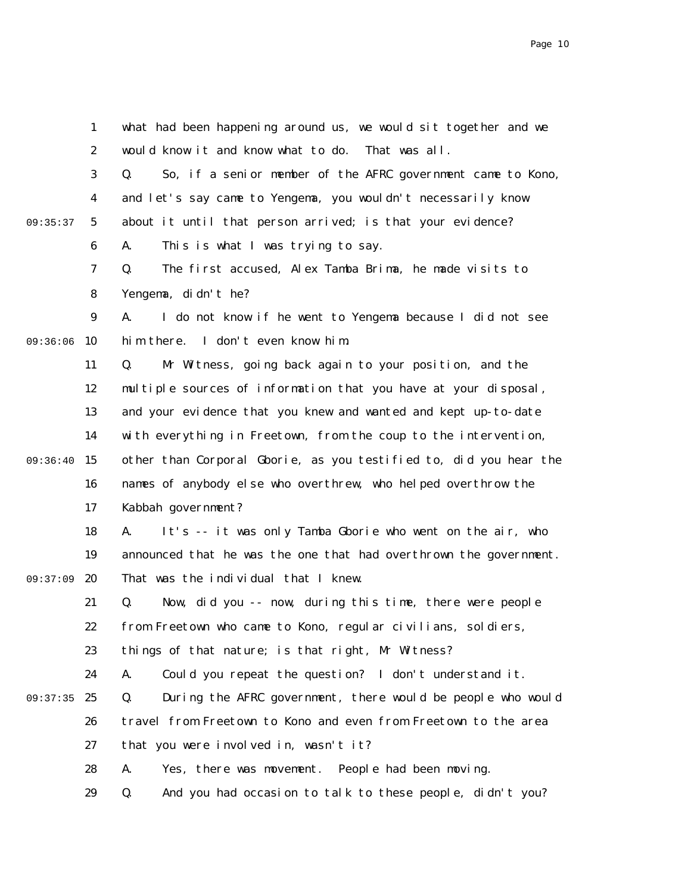1 2 3 4 5 6 7 8 9 09:36:06 10 11 12 13 14 09:36:40 15 16 17 18 19 20 21 22 23 24 09:37:35 25 26 27 28 29 09:35:37 09:37:09 what had been happening around us, we would sit together and we would know it and know what to do. That was all. Q. So, if a senior member of the AFRC government came to Kono, and let's say came to Yengema, you wouldn't necessarily know about it until that person arrived; is that your evidence? A. This is what I was trying to say. Q. The first accused, Alex Tamba Brima, he made visits to Yengema, didn't he? A. I do not know if he went to Yengema because I did not see him there. I don't even know him. Q. Mr Witness, going back again to your position, and the multiple sources of information that you have at your disposal, and your evidence that you knew and wanted and kept up-to-date with everything in Freetown, from the coup to the intervention, other than Corporal Gborie, as you testified to, did you hear the names of anybody else who overthrew, who helped overthrow the Kabbah government? A. It's -- it was only Tamba Gborie who went on the air, who announced that he was the one that had overthrown the government. That was the individual that I knew. Q. Now, did you -- now, during this time, there were people from Freetown who came to Kono, regular civilians, soldiers, things of that nature; is that right, Mr Witness? A. Could you repeat the question? I don't understand it. Q. During the AFRC government, there would be people who would travel from Freetown to Kono and even from Freetown to the area that you were involved in, wasn't it? A. Yes, there was movement. People had been moving. Q. And you had occasion to talk to these people, didn't you?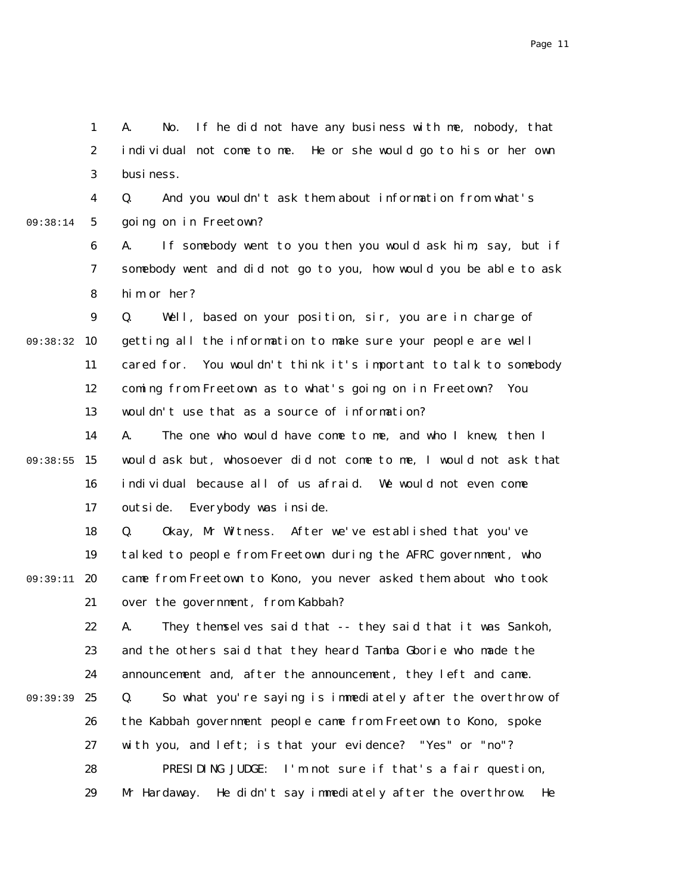2 3 4 5 6 7 8 9 09:38:32 10 11 12 13 14 09:38:55 15 16 17 18 19 09:39:11 20 21 22 23 24 25 26 27 28 29 09:38:14 09:39:39 individual not come to me. He or she would go to his or her own business. Q. And you wouldn't ask them about information from what's going on in Freetown? A. If somebody went to you then you would ask him, say, but if somebody went and did not go to you, how would you be able to ask him or her? Q. Well, based on your position, sir, you are in charge of getting all the information to make sure your people are well cared for. You wouldn't think it's important to talk to somebody coming from Freetown as to what's going on in Freetown? You wouldn't use that as a source of information? A. The one who would have come to me, and who I knew, then I would ask but, whosoever did not come to me, I would not ask that individual because all of us afraid. We would not even come outside. Everybody was inside. Q. Okay, Mr Witness. After we've established that you've talked to people from Freetown during the AFRC government, who came from Freetown to Kono, you never asked them about who took over the government, from Kabbah? A. They themselves said that -- they said that it was Sankoh, and the others said that they heard Tamba Gborie who made the announcement and, after the announcement, they left and came. Q. So what you're saying is immediately after the overthrow of the Kabbah government people came from Freetown to Kono, spoke with you, and left; is that your evidence? "Yes" or "no"? PRESIDING JUDGE: I'm not sure if that's a fair question, Mr Hardaway. He didn't say immediately after the overthrow. He

A. No. If he did not have any business with me, nobody, that

1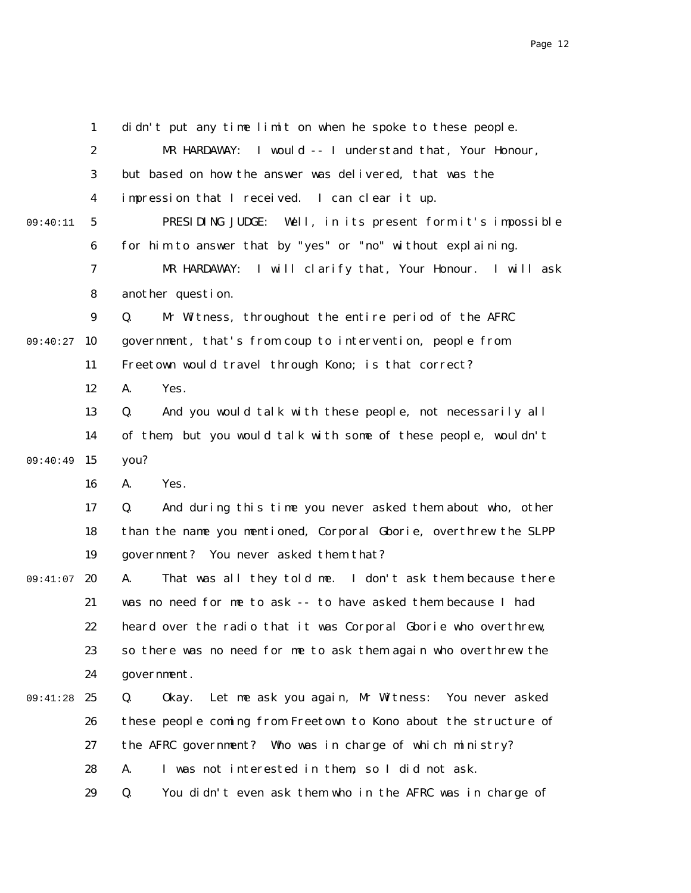1 2 3 4 5 6 7 8 9 09:40:27 10 11 12 13 14 09:40:49 15 16 17 18 19 20 21 22 23 24 25 26 27 28 29 09:40:11 09:41:07 09:41:28 didn't put any time limit on when he spoke to these people. MR HARDAWAY: I would -- I understand that, Your Honour, but based on how the answer was delivered, that was the impression that I received. I can clear it up. PRESIDING JUDGE: Well, in its present form it's impossible for him to answer that by "yes" or "no" without explaining. MR HARDAWAY: I will clarify that, Your Honour. I will ask another question. Q. Mr Witness, throughout the entire period of the AFRC government, that's from coup to intervention, people from Freetown would travel through Kono; is that correct? A. Yes. Q. And you would talk with these people, not necessarily all of them, but you would talk with some of these people, wouldn't you? A. Yes. Q. And during this time you never asked them about who, other than the name you mentioned, Corporal Gborie, overthrew the SLPP government? You never asked them that? A. That was all they told me. I don't ask them because there was no need for me to ask -- to have asked them because I had heard over the radio that it was Corporal Gborie who overthrew, so there was no need for me to ask them again who overthrew the government. Q. Okay. Let me ask you again, Mr Witness: You never asked these people coming from Freetown to Kono about the structure of the AFRC government? Who was in charge of which ministry? A. I was not interested in them, so I did not ask. Q. You didn't even ask them who in the AFRC was in charge of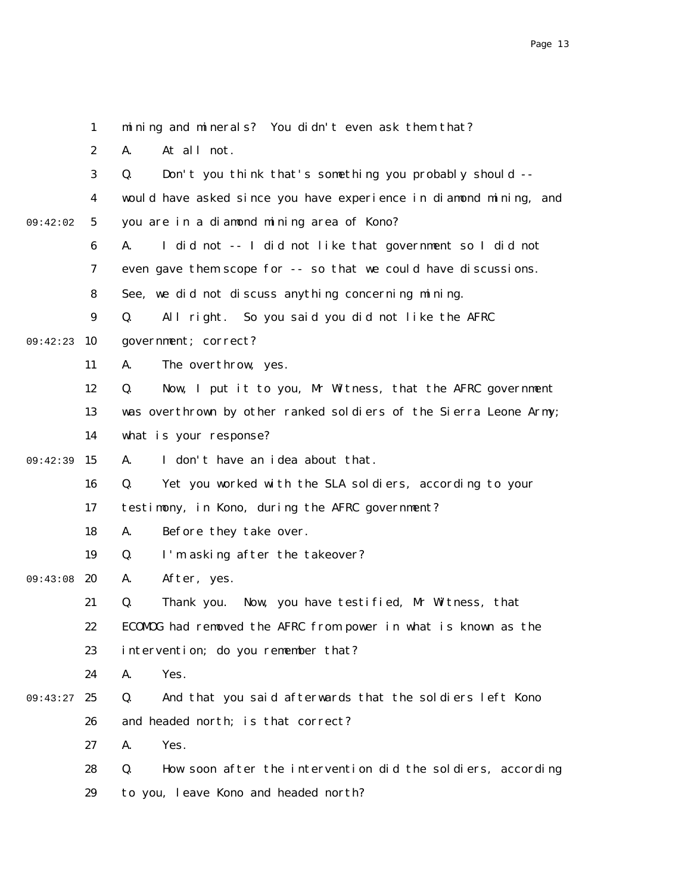|          | $\mathbf{1}$     | mining and minerals? You didn't even ask them that?               |
|----------|------------------|-------------------------------------------------------------------|
|          | $\boldsymbol{2}$ | At all not.<br>A.                                                 |
|          | 3                | Don't you think that's something you probably should --<br>Q.     |
|          | 4                | would have asked since you have experience in diamond mining, and |
| 09:42:02 | $\mathbf 5$      | you are in a diamond mining area of Kono?                         |
|          | $\boldsymbol{6}$ | I did not -- I did not like that government so I did not<br>A.    |
|          | 7                | even gave them scope for -- so that we could have discussions.    |
|          | 8                | See, we did not discuss anything concerning mining.               |
|          | $\boldsymbol{9}$ | All right. So you said you did not like the AFRC<br>Q.            |
| 09:42:23 | 10               | government; correct?                                              |
|          | 11               | The overthrow, yes.<br>A.                                         |
|          | 12               | Now, I put it to you, Mr Witness, that the AFRC government<br>Q.  |
|          | 13               | was overthrown by other ranked soldiers of the Sierra Leone Army; |
|          | 14               | what is your response?                                            |
| 09:42:39 | 15               | I don't have an idea about that.<br>A.                            |
|          | 16               | Yet you worked with the SLA soldiers, according to your<br>Q.     |
|          | 17               | testimony, in Kono, during the AFRC government?                   |
|          | 18               | Before they take over.<br>A.                                      |
|          | 19               | Q.<br>I'm asking after the takeover?                              |
| 09:43:08 | 20               | After, yes.<br>A.                                                 |
|          | 21               | Thank you. Now, you have testified, Mr Witness, that<br>Q.        |
|          | 22               | ECOMOG had removed the AFRC from power in what is known as the    |
|          | 23               | intervention; do you remember that?                               |
|          | 24               | Yes.<br>A.                                                        |
| 09:43:27 | 25               | Q.<br>And that you said afterwards that the soldiers left Kono    |
|          | 26               | and headed north; is that correct?                                |
|          | 27               | Yes.<br>A.                                                        |
|          | 28               | Q.<br>How soon after the intervention did the soldiers, according |
|          | 29               | to you, leave Kono and headed north?                              |
|          |                  |                                                                   |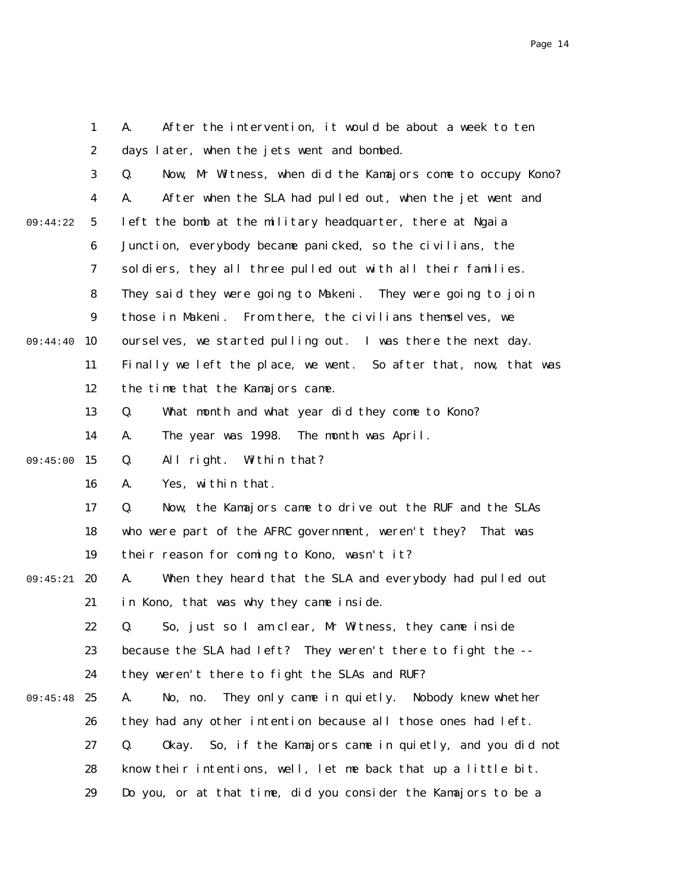|          | $\mathbf{1}$     | After the intervention, it would be about a week to ten<br>A.     |
|----------|------------------|-------------------------------------------------------------------|
|          | $\boldsymbol{2}$ | days later, when the jets went and bombed.                        |
|          | 3                | Now, Mr Witness, when did the Kamajors come to occupy Kono?<br>Q. |
|          | 4                | After when the SLA had pulled out, when the jet went and<br>A.    |
| 09:44:22 | $\mathbf{5}$     | left the bomb at the military headquarter, there at Ngaia         |
|          | $\boldsymbol{6}$ | Junction, everybody became panicked, so the civilians, the        |
|          | 7                | soldiers, they all three pulled out with all their families.      |
|          | 8                | They said they were going to Makeni. They were going to join      |
|          | $\boldsymbol{9}$ | those in Makeni. From there, the civilians themselves, we         |
| 09:44:40 | 10               | ourselves, we started pulling out. I was there the next day.      |
|          | 11               | Finally we left the place, we went. So after that, now, that was  |
|          | 12               | the time that the Kamajors came.                                  |
|          | 13               | Q.<br>What month and what year did they come to Kono?             |
|          | 14               | The year was 1998. The month was April.<br>A.                     |
| 09:45:00 | 15               | Q.<br>All right.<br>Within that?                                  |
|          | 16               | Yes, within that.<br>A.                                           |
|          | 17               | Now, the Kamajors came to drive out the RUF and the SLAs<br>Q.    |
|          | 18               | who were part of the AFRC government, weren't they? That was      |
|          | 19               | their reason for coming to Kono, wasn't it?                       |
| 09:45:21 | 20               | When they heard that the SLA and everybody had pulled out<br>A.   |
|          | 21               | in Kono, that was why they came inside.                           |
|          | 22               | Q. So, just so I am clear, Mr Witness, they came inside           |
|          | 23               | because the SLA had left? They weren't there to fight the --      |
|          | 24               | they weren't there to fight the SLAs and RUF?                     |
| 09:45:48 | 25               | They only came in quietly. Nobody knew whether<br>A.<br>No, no.   |
|          | 26               | they had any other intention because all those ones had left.     |
|          | 27               | Okay. So, if the Kamajors came in quietly, and you did not<br>Q.  |
|          | 28               | know their intentions, well, let me back that up a little bit.    |
|          | 29               | Do you, or at that time, did you consider the Kamajors to be a    |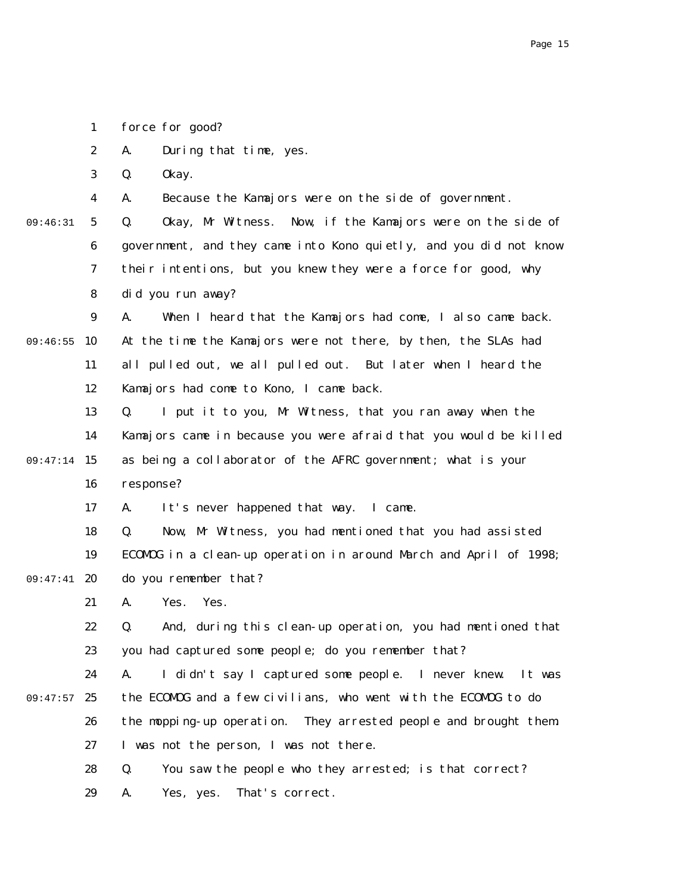1 force for good?

2 A. During that time, yes.

3 Q. Okay.

4 A. Because the Kamajors were on the side of government.

5 6 7 8 09:46:31 Q. Okay, Mr Witness. Now, if the Kamajors were on the side of government, and they came into Kono quietly, and you did not know their intentions, but you knew they were a force for good, why did you run away?

9 09:46:55 10 11 12 A. When I heard that the Kamajors had come, I also came back. At the time the Kamajors were not there, by then, the SLAs had all pulled out, we all pulled out. But later when I heard the Kamajors had come to Kono, I came back.

13 14 09:47:14 15 16 Q. I put it to you, Mr Witness, that you ran away when the Kamajors came in because you were afraid that you would be killed as being a collaborator of the AFRC government; what is your response?

> 17 A. It's never happened that way. I came.

18 19 09:47:41 20 Q. Now, Mr Witness, you had mentioned that you had assisted ECOMOG in a clean-up operation in around March and April of 1998; do you remember that?

> 21 A. Yes. Yes.

22 23 Q. And, during this clean-up operation, you had mentioned that you had captured some people; do you remember that?

24 09:47:57 25 26 27 A. I didn't say I captured some people. I never knew. It was the ECOMOG and a few civilians, who went with the ECOMOG to do the mopping-up operation. They arrested people and brought them. I was not the person, I was not there.

> 28 29 Q. You saw the people who they arrested; is that correct? A. Yes, yes. That's correct.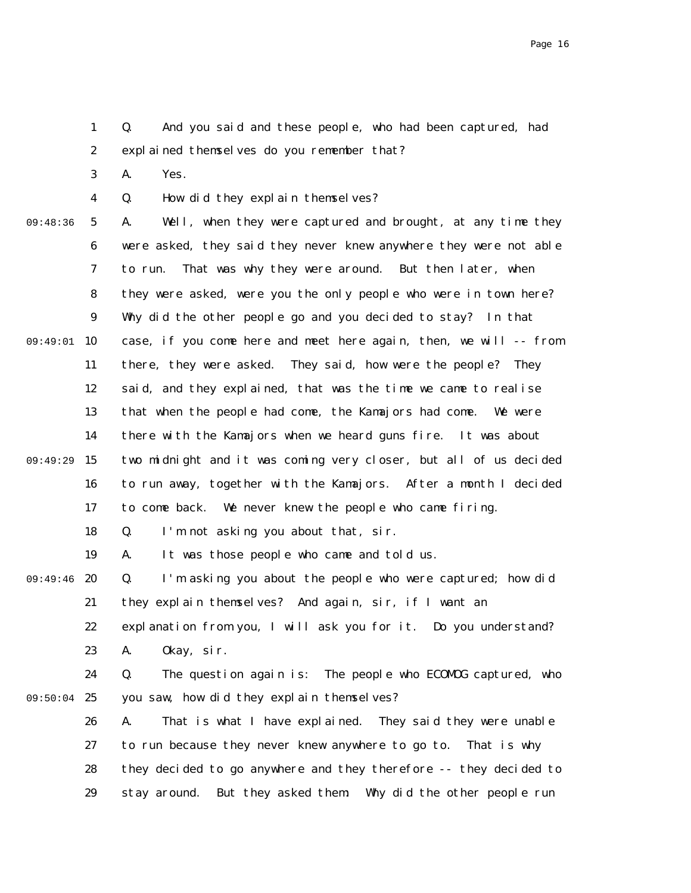1 2 Q. And you said and these people, who had been captured, had explained themselves do you remember that?

3 A. Yes.

4 Q. How did they explain themselves?

09:48:36

5 6 7 8 9 09:49:01 10 11 12 13 14 15 16 17 18 19 20 21 22 23 24 09:50:04 25 26 09:49:29 09:49:46 A. Well, when they were captured and brought, at any time they were asked, they said they never knew anywhere they were not able to run. That was why they were around. But then later, when they were asked, were you the only people who were in town here? Why did the other people go and you decided to stay? In that case, if you come here and meet here again, then, we will -- from there, they were asked. They said, how were the people? They said, and they explained, that was the time we came to realise that when the people had come, the Kamajors had come. We were there with the Kamajors when we heard guns fire. It was about two midnight and it was coming very closer, but all of us decided to run away, together with the Kamajors. After a month I decided to come back. We never knew the people who came firing. Q. I'm not asking you about that, sir. A. It was those people who came and told us. Q. I'm asking you about the people who were captured; how did they explain themselves? And again, sir, if I want an explanation from you, I will ask you for it. Do you understand? A. Okay, sir. Q. The question again is: The people who ECOMOG captured, who you saw, how did they explain themselves? A. That is what I have explained. They said they were unable

27 28 29 to run because they never knew anywhere to go to. That is why they decided to go anywhere and they therefore -- they decided to stay around. But they asked them: Why did the other people run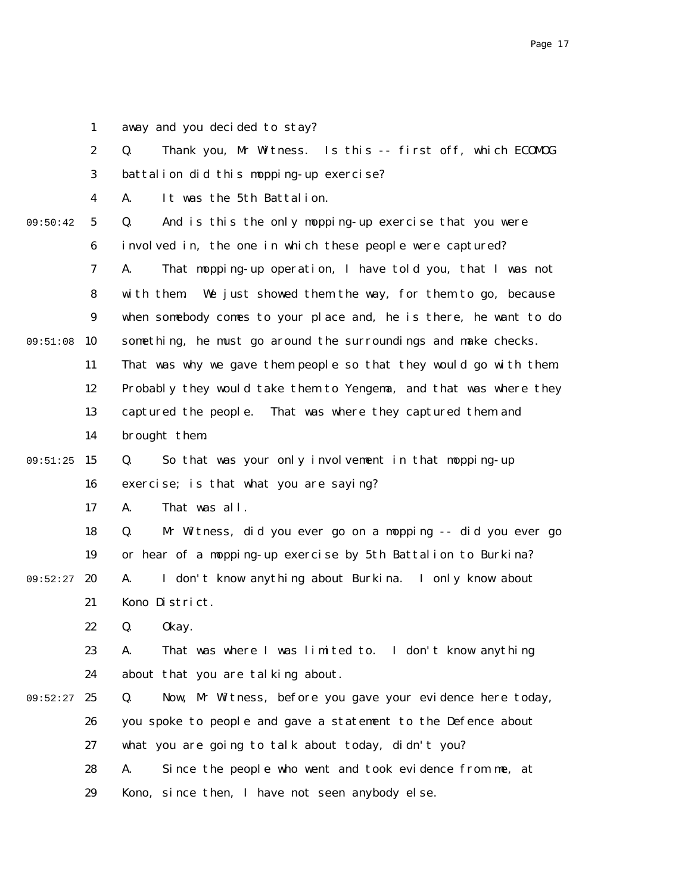1 away and you decided to stay?

|          | $\boldsymbol{2}$ | Thank you, Mr Witness. Is this -- first off, which ECOMDG<br>Q.    |
|----------|------------------|--------------------------------------------------------------------|
|          | 3                | battalion did this mopping-up exercise?                            |
|          | $\boldsymbol{4}$ | It was the 5th Battalion.<br>A.                                    |
| 09:50:42 | $\sqrt{5}$       | And is this the only mopping-up exercise that you were<br>Q.       |
|          | 6                | involved in, the one in which these people were captured?          |
|          | 7                | That mopping-up operation, I have told you, that I was not<br>A.   |
|          | 8                | We just showed them the way, for them to go, because<br>with them. |
|          | $\boldsymbol{9}$ | when somebody comes to your place and, he is there, he want to do  |
| 09:51:08 | 10               | something, he must go around the surroundings and make checks.     |
|          | 11               | That was why we gave them people so that they would go with them.  |
|          | 12               | Probably they would take them to Yengema, and that was where they  |
|          | 13               | captured the people. That was where they captured them and         |
|          | 14               | brought them.                                                      |
| 09:51:25 | 15               | So that was your only involvement in that mopping-up<br>Q.         |
|          | 16               | exercise; is that what you are saying?                             |
|          | 17               | That was all.<br>A.                                                |
|          | 18               | Mr Witness, did you ever go on a mopping -- did you ever go<br>Q.  |
|          | 19               | or hear of a mopping-up exercise by 5th Battalion to Burkina?      |
| 09:52:27 | 20               | I don't know anything about Burkina. I only know about<br>A.       |
|          | 21               | Kono District.                                                     |
|          | 22               | Q.<br>0kay.                                                        |
|          | 23               | That was where I was limited to. I don't know anything<br>A.       |
|          | 24               | about that you are talking about.                                  |
| 09:52:27 | 25               | Now, Mr Witness, before you gave your evidence here today,<br>Q.   |
|          | 26               | you spoke to people and gave a statement to the Defence about      |
|          | 27               | what you are going to talk about today, didn't you?                |
|          | 28               | Since the people who went and took evidence from me, at<br>A.      |
|          | 29               | Kono, since then, I have not seen anybody else.                    |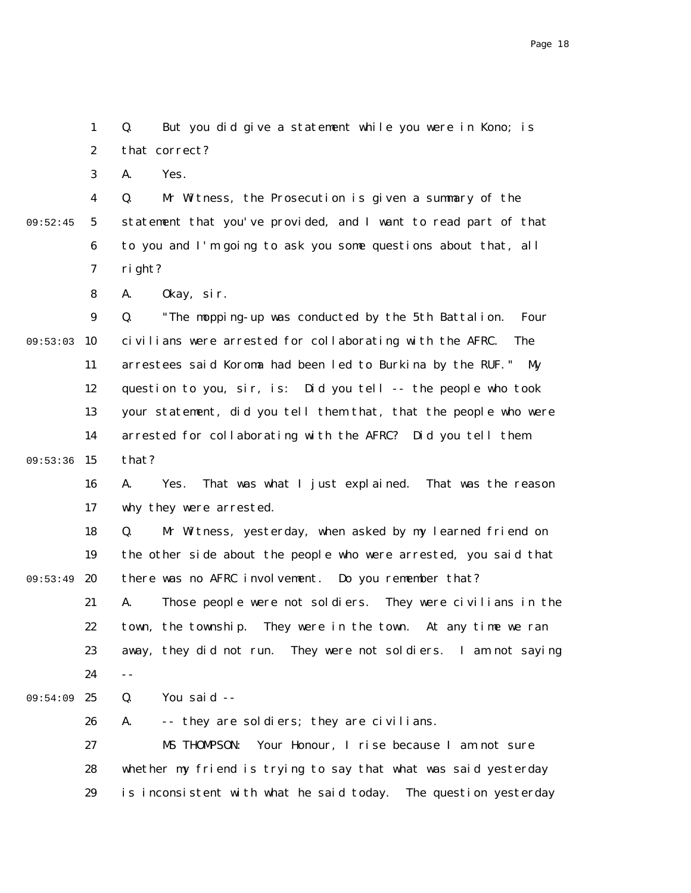1 2 Q. But you did give a statement while you were in Kono; is that correct?

3 A. Yes.

4 5 6 7 09:52:45 Q. Mr Witness, the Prosecution is given a summary of the statement that you've provided, and I want to read part of that to you and I'm going to ask you some questions about that, all right?

> 8 A. Okay, sir.

9 09:53:03 10 11 12 13 14 09:53:36 15 Q. "The mopping-up was conducted by the 5th Battalion. Four civilians were arrested for collaborating with the AFRC. The arrestees said Koroma had been led to Burkina by the RUF." My question to you, sir, is: Did you tell -- the people who took your statement, did you tell them that, that the people who were arrested for collaborating with the AFRC? Did you tell them that?

16 17 A. Yes. That was what I just explained. That was the reason why they were arrested.

18 19 09:53:49 20 21 22 23 24 25 09:54:09 Q. Mr Witness, yesterday, when asked by my learned friend on the other side about the people who were arrested, you said that there was no AFRC involvement. Do you remember that? A. Those people were not soldiers. They were civilians in the town, the township. They were in the town. At any time we ran away, they did not run. They were not soldiers. I am not saying -- Q. You said --

26 27 28 29 A. -- they are soldiers; they are civilians. MS THOMPSON: Your Honour, I rise because I am not sure whether my friend is trying to say that what was said yesterday is inconsistent with what he said today. The question yesterday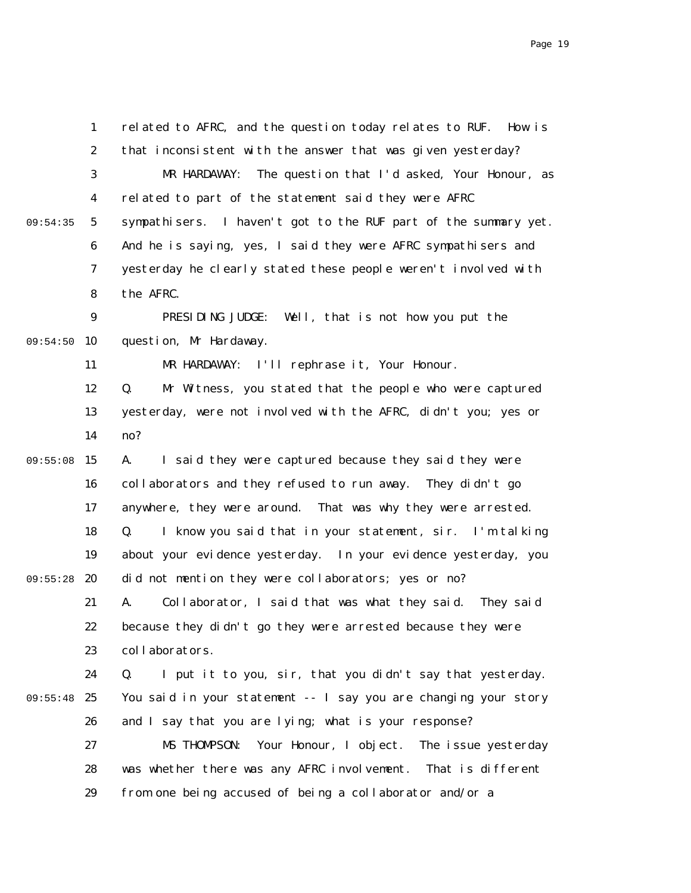|          | 1                | related to AFRC, and the question today relates to RUF. How is  |
|----------|------------------|-----------------------------------------------------------------|
|          | $\boldsymbol{2}$ | that inconsistent with the answer that was given yesterday?     |
|          | 3                | The question that I'd asked, Your Honour, as<br>MR HARDAWAY:    |
|          | 4                | related to part of the statement said they were AFRC            |
| 09:54:35 | $5\phantom{.0}$  | sympathisers. I haven't got to the RUF part of the summary yet. |
|          | 6                | And he is saying, yes, I said they were AFRC sympathisers and   |
|          | 7                | yesterday he clearly stated these people weren't involved with  |
|          | 8                | the AFRC.                                                       |
|          | $\boldsymbol{9}$ | PRESIDING JUDGE:<br>Well, that is not how you put the           |
| 09:54:50 | 10               | question, Mr Hardaway.                                          |
|          | 11               | MR HARDAWAY: I'll rephrase it, Your Honour.                     |
|          | 12               | Mr Witness, you stated that the people who were captured<br>Q.  |
|          | 13               | yesterday, were not involved with the AFRC, didn't you; yes or  |
|          | 14               | no?                                                             |
| 09:55:08 | 15               | I said they were captured because they said they were<br>A.     |
|          | 16               | collaborators and they refused to run away.<br>They didn't go   |
|          | 17               | anywhere, they were around. That was why they were arrested.    |
|          | 18               | I know you said that in your statement, sir. I'm talking<br>Q.  |
|          | 19               | about your evidence yesterday. In your evidence yesterday, you  |
| 09:55:28 | 20               | did not mention they were collaborators; yes or no?             |
|          | 21               | Collaborator, I said that was what they said. They said<br>A.   |
|          | 22               | because they didn't go they were arrested because they were     |
|          | 23               | collaborators.                                                  |
|          | 24               | I put it to you, sir, that you didn't say that yesterday.<br>Q. |
| 09:55:48 | 25               | You said in your statement -- I say you are changing your story |
|          | 26               | and I say that you are lying; what is your response?            |
|          | 27               | Your Honour, I object.<br>The issue yesterday<br>MS THOMPSON:   |
|          | 28               | was whether there was any AFRC involvement. That is different   |
|          | 29               | from one being accused of being a collaborator and/or a         |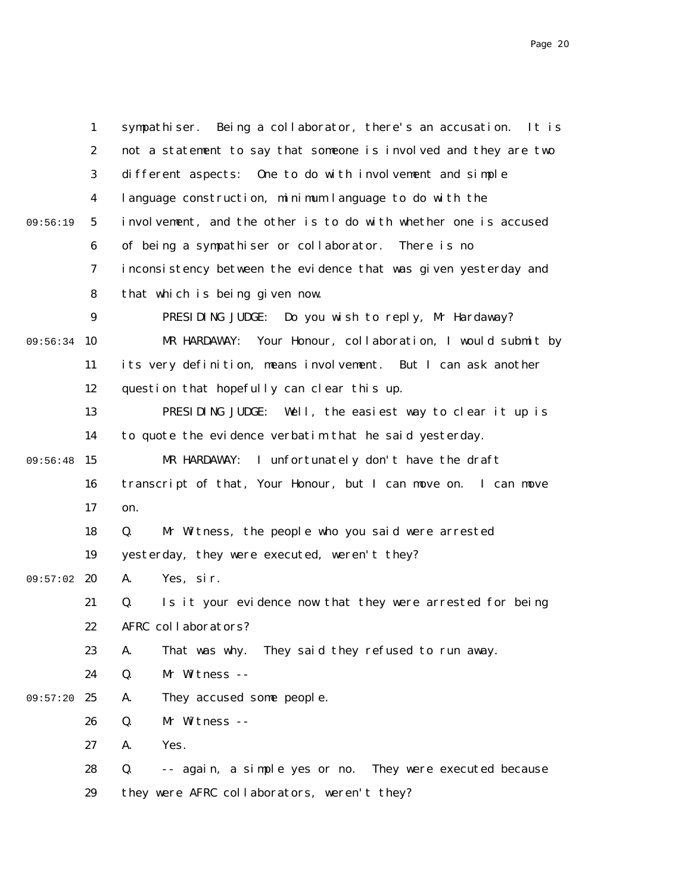|          | $\mathbf{1}$     | sympathiser. Being a collaborator, there's an accusation. It is  |
|----------|------------------|------------------------------------------------------------------|
|          | $\boldsymbol{2}$ | not a statement to say that someone is involved and they are two |
|          | $\boldsymbol{3}$ | different aspects:<br>One to do with involvement and simple      |
|          | $\boldsymbol{4}$ | language construction, minimum language to do with the           |
| 09:56:19 | $5\phantom{.0}$  | involvement, and the other is to do with whether one is accused  |
|          | $\boldsymbol{6}$ | of being a sympathiser or collaborator. There is no              |
|          | 7                | inconsistency between the evidence that was given yesterday and  |
|          | 8                | that which is being given now.                                   |
|          | $\boldsymbol{9}$ | PRESIDING JUDGE: Do you wish to reply, Mr Hardaway?              |
| 09:56:34 | 10               | Your Honour, collaboration, I would submit by<br>MR HARDAWAY:    |
|          | 11               | its very definition, means involvement. But I can ask another    |
|          | 12               | question that hopefully can clear this up.                       |
|          | 13               | PRESIDING JUDGE: Well, the easiest way to clear it up is         |
|          | 14               | to quote the evidence verbatim that he said yesterday.           |
| 09:56:48 | 15               | I unfortunately don't have the draft<br>MR HARDAWAY:             |
|          | 16               | transcript of that, Your Honour, but I can move on. I can move   |
|          | 17               | on.                                                              |
|          | 18               | Mr Witness, the people who you said were arrested<br>Q.          |
|          | 19               | yesterday, they were executed, weren't they?                     |
| 09:57:02 | 20               | Yes, sir.<br>A.                                                  |
|          | 21               | Is it your evidence now that they were arrested for being<br>Q.  |
|          | 22               | AFRC collaborators?                                              |
|          | 23               | That was why. They said they refused to run away.<br>A.          |
|          | 24               | Mr Witness --<br>Q.                                              |
| 09:57:20 | 25               | A.<br>They accused some people.                                  |
|          | 26               | Mr Witness --<br>Q.                                              |
|          | 27               | Yes.<br>A.                                                       |
|          | 28               | -- again, a simple yes or no. They were executed because<br>Q.   |
|          | 29               | they were AFRC collaborators, weren't they?                      |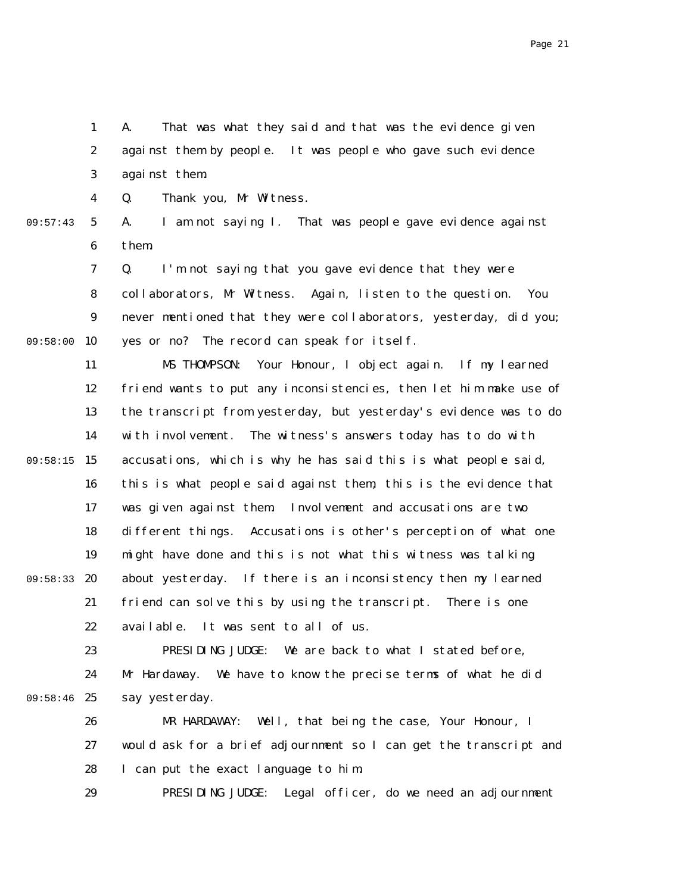1 2 3 A. That was what they said and that was the evidence given against them by people. It was people who gave such evidence against them.

4 Q. Thank you, Mr Witness.

09:57:43

5 6 A. I am not saying I. That was people gave evidence against them.

7 8 9 09:58:00 10 Q. I'm not saying that you gave evidence that they were collaborators, Mr Witness. Again, listen to the question. You never mentioned that they were collaborators, yesterday, did you; yes or no? The record can speak for itself.

11 12 13 14 09:58:15 15 16 17 18 19 09:58:33 20 21 22 MS THOMPSON: Your Honour, I object again. If my learned friend wants to put any inconsistencies, then let him make use of the transcript from yesterday, but yesterday's evidence was to do with involvement. The witness's answers today has to do with accusations, which is why he has said this is what people said, this is what people said against them, this is the evidence that was given against them. Involvement and accusations are two different things. Accusations is other's perception of what one might have done and this is not what this witness was talking about yesterday. If there is an inconsistency then my learned friend can solve this by using the transcript. There is one available. It was sent to all of us.

23 24 09:58:46 25 PRESIDING JUDGE: We are back to what I stated before, Mr Hardaway. We have to know the precise terms of what he did say yesterday.

> 26 27 28 MR HARDAWAY: Well, that being the case, Your Honour, I would ask for a brief adjournment so I can get the transcript and I can put the exact language to him.

29 PRESIDING JUDGE: Legal officer, do we need an adjournment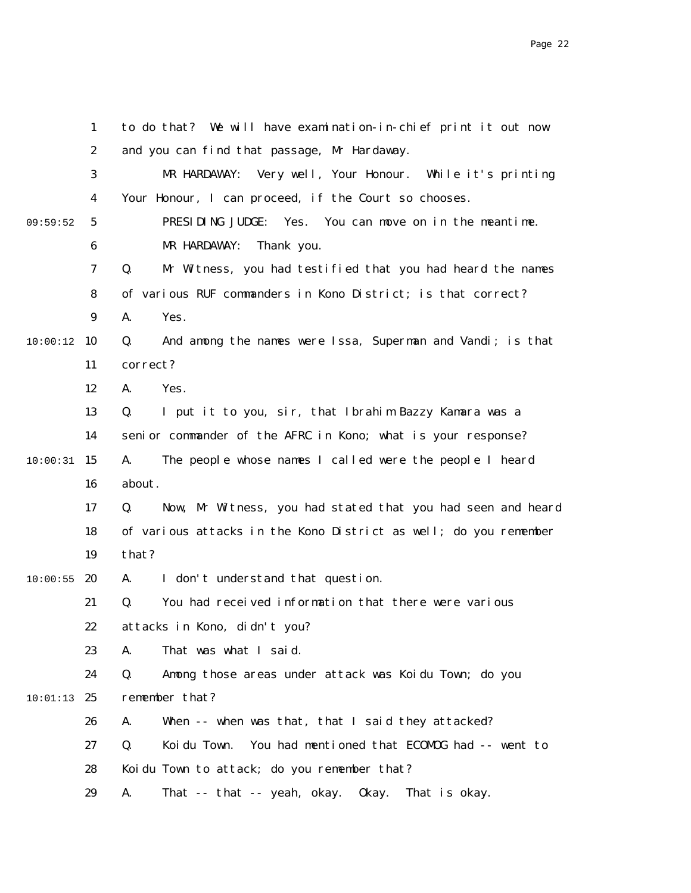|          | $\mathbf{1}$     | to do that? We will have examination-in-chief print it out now     |
|----------|------------------|--------------------------------------------------------------------|
|          | $\boldsymbol{2}$ | and you can find that passage, Mr Hardaway.                        |
|          | 3                | Very well, Your Honour. While it's printing<br>MR HARDAWAY:        |
|          | 4                | Your Honour, I can proceed, if the Court so chooses.               |
| 09:59:52 | $\mathbf{5}$     | PRESIDING JUDGE:<br>You can move on in the meantime.<br>Yes.       |
|          | 6                | MR HARDAWAY:<br>Thank you.                                         |
|          | 7                | Q.<br>Mr Witness, you had testified that you had heard the names   |
|          | 8                | of various RUF commanders in Kono District; is that correct?       |
|          | $\boldsymbol{9}$ | A.<br>Yes.                                                         |
| 10:00:12 | 10               | And among the names were Issa, Superman and Vandi; is that<br>Q.   |
|          | 11               | correct?                                                           |
|          | 12               | A.<br>Yes.                                                         |
|          | 13               | I put it to you, sir, that Ibrahim Bazzy Kamara was a<br>Q.        |
|          | 14               | senior commander of the AFRC in Kono; what is your response?       |
| 10:00:31 | 15               | The people whose names I called were the people I heard<br>A.      |
|          | 16               | about.                                                             |
|          | 17               | Now, Mr Witness, you had stated that you had seen and heard<br>Q.  |
|          | 18               | of various attacks in the Kono District as well; do you remember   |
|          | 19               | that?                                                              |
| 10:00:55 | 20               | A.<br>I don't understand that question.                            |
|          | 21               | You had received information that there were various<br>Q.         |
|          | 22               | attacks in Kono, didn't you?                                       |
|          | 23               | That was what I said.<br>A.                                        |
|          | 24               | Q.<br>Among those areas under attack was Koidu Town; do you        |
| 10:01:13 | 25               | remember that?                                                     |
|          | 26               | A.<br>When -- when was that, that I said they attacked?            |
|          | 27               | You had mentioned that ECOMOG had -- went to<br>Q.<br>Koi du Town. |
|          | 28               | Koidu Town to attack; do you remember that?                        |
|          | 29               | A.<br>That -- that -- yeah, okay. Okay. That is okay.              |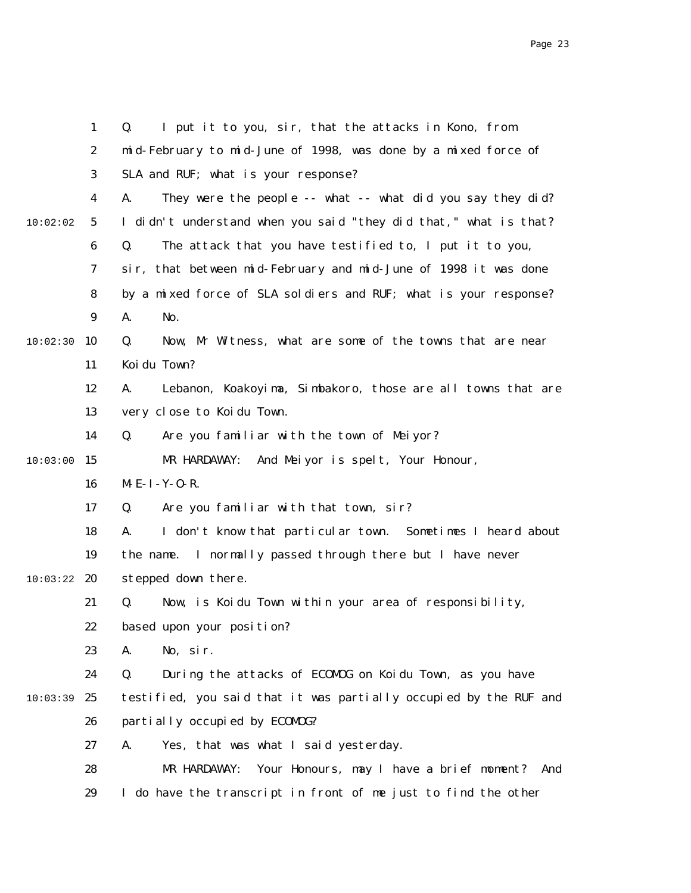|          | $\mathbf{1}$     | I put it to you, sir, that the attacks in Kono, from<br>Q.        |
|----------|------------------|-------------------------------------------------------------------|
|          | $\boldsymbol{2}$ | mid-February to mid-June of 1998, was done by a mixed force of    |
|          | 3                | SLA and RUF; what is your response?                               |
|          | 4                | They were the people -- what -- what did you say they did?<br>A.  |
| 10:02:02 | $\mathbf{5}$     | I didn't understand when you said "they did that," what is that?  |
|          | $\boldsymbol{6}$ | Q.<br>The attack that you have testified to, I put it to you,     |
|          | 7                | sir, that between mid-February and mid-June of 1998 it was done   |
|          | 8                | by a mixed force of SLA soldiers and RUF; what is your response?  |
|          | $\boldsymbol{9}$ | A.<br>No.                                                         |
| 10:02:30 | 10               | Q.<br>Now, Mr Witness, what are some of the towns that are near   |
|          | 11               | Koi du Town?                                                      |
|          | 12               | Lebanon, Koakoyima, Simbakoro, those are all towns that are<br>A. |
|          | 13               | very close to Koidu Town.                                         |
|          | 14               | Q.<br>Are you familiar with the town of Meiyor?                   |
| 10:03:00 | 15               | MR HARDAWAY:<br>And Meiyor is spelt, Your Honour,                 |
|          | 16               | M-E-I-Y-O-R.                                                      |
|          | 17               | Q.<br>Are you familiar with that town, sir?                       |
|          | 18               | I don't know that particular town. Sometimes I heard about<br>A.  |
|          | 19               | the name. I normally passed through there but I have never        |
| 10:03:22 | 20               | stepped down there.                                               |
|          | 21               | Q.<br>Now, is Koidu Town within your area of responsibility,      |
|          | 22               | based upon your position?                                         |
|          | 23               | No, sir.<br>A.                                                    |
|          | 24               | During the attacks of ECOMDG on Koidu Town, as you have<br>Q.     |
| 10:03:39 | 25               | testified, you said that it was partially occupied by the RUF and |
|          | 26               | partially occupied by ECOMDG?                                     |
|          | 27               | A.<br>Yes, that was what I said yesterday.                        |
|          | 28               | Your Honours, may I have a brief moment? And<br>MR HARDAWAY:      |
|          | 29               | I do have the transcript in front of me just to find the other    |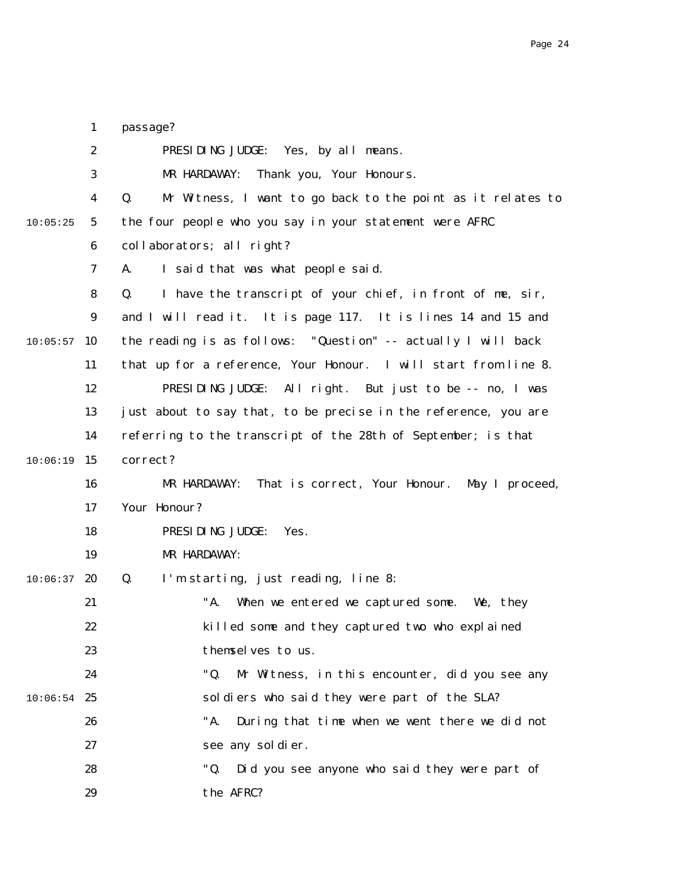|          | $\mathbf{1}$     | passage?                                                          |
|----------|------------------|-------------------------------------------------------------------|
|          | $\boldsymbol{2}$ | PRESIDING JUDGE: Yes, by all means.                               |
|          | 3                | MR HARDAWAY:<br>Thank you, Your Honours.                          |
|          | $\boldsymbol{4}$ | Mr Witness, I want to go back to the point as it relates to<br>Q. |
| 10:05:25 | $5\phantom{.0}$  | the four people who you say in your statement were AFRC           |
|          | 6                | collaborators; all right?                                         |
|          | 7                | I said that was what people said.<br>A.                           |
|          | 8                | I have the transcript of your chief, in front of me, sir,<br>Q.   |
|          | 9                | and I will read it. It is page 117. It is lines 14 and 15 and     |
| 10:05:57 | 10               | the reading is as follows: "Question" -- actually I will back     |
|          | 11               | that up for a reference, Your Honour. I will start from line 8.   |
|          | 12               | PRESIDING JUDGE: All right. But just to be -- no, I was           |
|          | 13               | just about to say that, to be precise in the reference, you are   |
|          | 14               | referring to the transcript of the 28th of September; is that     |
| 10:06:19 | 15               | correct?                                                          |
|          | 16               | That is correct, Your Honour. May I proceed,<br>MR HARDAWAY:      |
|          | 17               | Your Honour?                                                      |
|          | 18               | PRESIDING JUDGE:<br>Yes.                                          |
|          | 19               | MR HARDAWAY:                                                      |
| 10:06:37 | 20               | I'm starting, just reading, line 8:<br>Q.                         |
|          | 21               | "A.<br>When we entered we captured some. We, they                 |
|          | 22               | killed some and they captured two who explained                   |
|          | 23               | themselves to us.                                                 |
|          | 24               | "Q.<br>Mr Witness, in this encounter, did you see any             |
| 10:06:54 | 25               | soldiers who said they were part of the SLA?                      |
|          | 26               | "A.<br>During that time when we went there we did not             |
|          | 27               | see any sol di er.                                                |
|          | 28               | "Q.<br>Did you see anyone who said they were part of              |
|          | 29               | the AFRC?                                                         |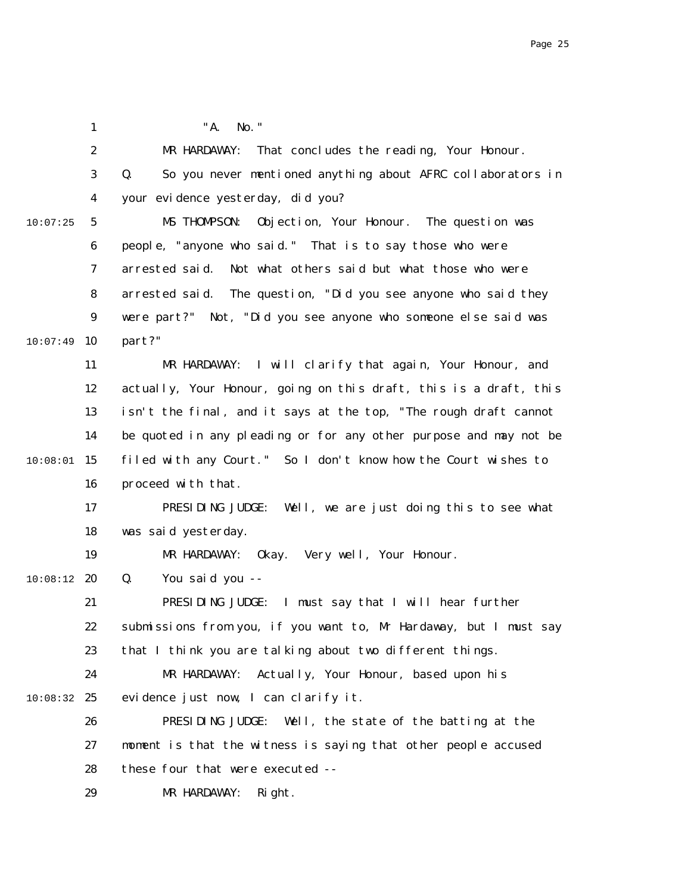1 2 3 4 5 6 7 8 9  $10:07:49$  10 11 12 13 14  $10:08:01$  15 16 17 18 19  $10:08:12$  20 21 22 23 24 10:08:32 25 26 27 28 29 10:07:25 "A. No." MR HARDAWAY: That concludes the reading, Your Honour. Q. So you never mentioned anything about AFRC collaborators in your evidence yesterday, did you? MS THOMPSON: Objection, Your Honour. The question was people, "anyone who said." That is to say those who were arrested said. Not what others said but what those who were arrested said. The question, "Did you see anyone who said they were part?" Not, "Did you see anyone who someone else said was part?" MR HARDAWAY: I will clarify that again, Your Honour, and actually, Your Honour, going on this draft, this is a draft, this isn't the final, and it says at the top, "The rough draft cannot be quoted in any pleading or for any other purpose and may not be filed with any Court." So I don't know how the Court wishes to proceed with that. PRESIDING JUDGE: Well, we are just doing this to see what was said yesterday. MR HARDAWAY: Okay. Very well, Your Honour. Q. You said you -- PRESIDING JUDGE: I must say that I will hear further submissions from you, if you want to, Mr Hardaway, but I must say that I think you are talking about two different things. MR HARDAWAY: Actually, Your Honour, based upon his evidence just now, I can clarify it. PRESIDING JUDGE: Well, the state of the batting at the moment is that the witness is saying that other people accused these four that were executed -- MR HARDAWAY: Right.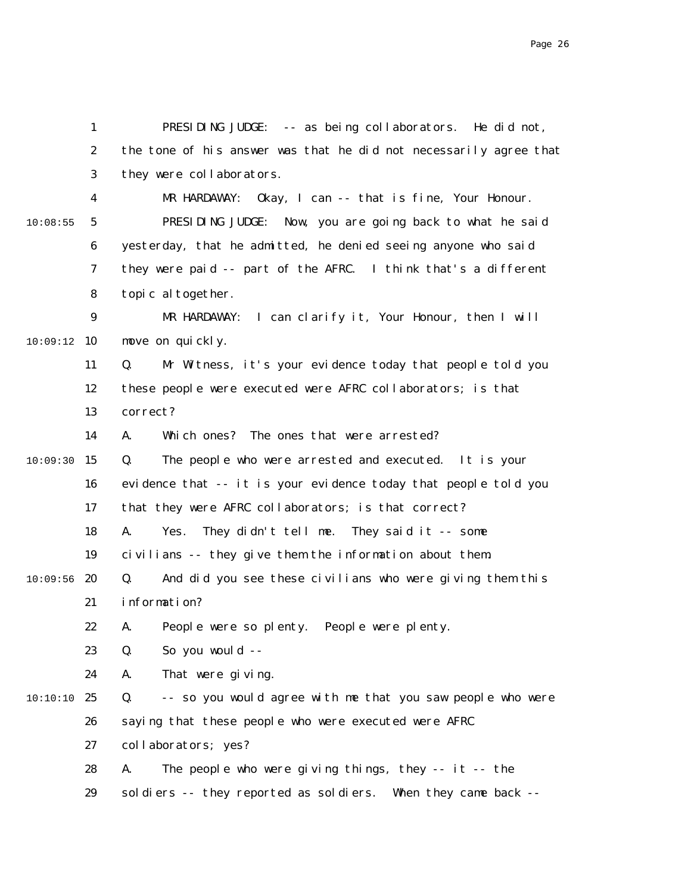1 2 3 4 5 6 7 8 9 10:09:12 10 11 12 13 14  $10:09:30$  15 16 17 18 19  $10:09:56$  20 21 22 23 24 10:10 25 26 27 28 29 10:08:55 PRESIDING JUDGE: -- as being collaborators. He did not, the tone of his answer was that he did not necessarily agree that they were collaborators. MR HARDAWAY: Okay, I can -- that is fine, Your Honour. PRESIDING JUDGE: Now, you are going back to what he said yesterday, that he admitted, he denied seeing anyone who said they were paid -- part of the AFRC. I think that's a different topic altogether. MR HARDAWAY: I can clarify it, Your Honour, then I will move on quickly. Q. Mr Witness, it's your evidence today that people told you these people were executed were AFRC collaborators; is that correct? A. Which ones? The ones that were arrested? Q. The people who were arrested and executed. It is your evidence that -- it is your evidence today that people told you that they were AFRC collaborators; is that correct? A. Yes. They didn't tell me. They said it -- some civilians -- they give them the information about them. Q. And did you see these civilians who were giving them this information? A. People were so plenty. People were plenty. Q. So you would -- A. That were giving. Q. -- so you would agree with me that you saw people who were saying that these people who were executed were AFRC collaborators; yes? A. The people who were giving things, they -- it -- the soldiers -- they reported as soldiers. When they came back --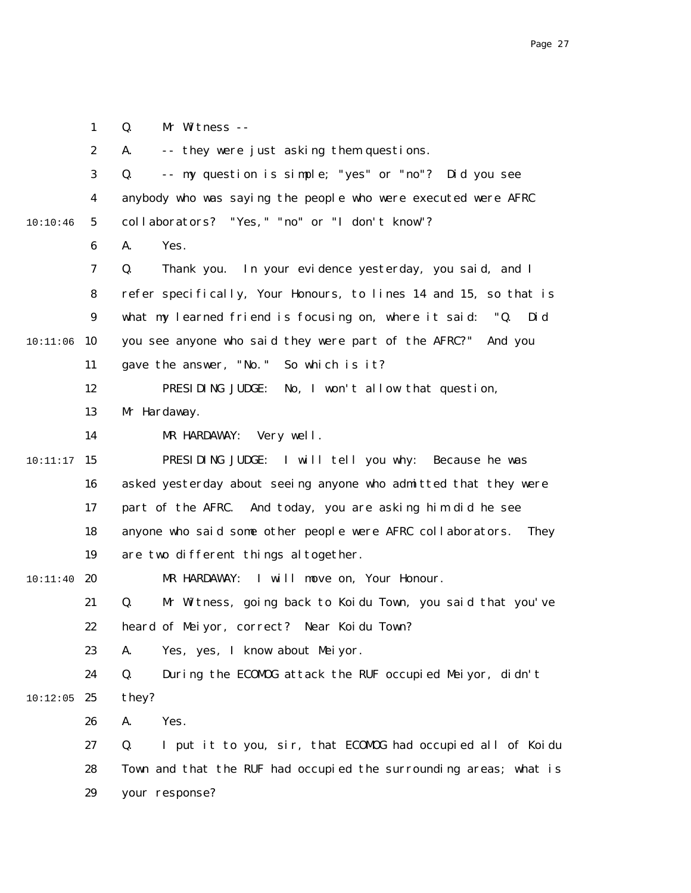2 3 4 5 6 7 8 9 10:11:06 10 11 12 13 14  $10:11:17$  15 16 17 18 19 20 21 22 23 24  $10:12:05$  25 26 27 28 29 10:10:46 10:11:40 A. -- they were just asking them questions. Q. -- my question is simple; "yes" or "no"? Did you see anybody who was saying the people who were executed were AFRC collaborators? "Yes," "no" or "I don't know"? A. Yes. Q. Thank you. In your evidence yesterday, you said, and I refer specifically, Your Honours, to lines 14 and 15, so that is what my learned friend is focusing on, where it said: "Q. Did you see anyone who said they were part of the AFRC?" And you gave the answer, "No." So which is it? PRESIDING JUDGE: No, I won't allow that question, Mr Hardaway. MR HARDAWAY: Very well. PRESIDING JUDGE: I will tell you why: Because he was asked yesterday about seeing anyone who admitted that they were part of the AFRC. And today, you are asking him did he see anyone who said some other people were AFRC collaborators. They are two different things altogether. MR HARDAWAY: I will move on, Your Honour. Q. Mr Witness, going back to Koidu Town, you said that you've heard of Meiyor, correct? Near Koidu Town? A. Yes, yes, I know about Meiyor. Q. During the ECOMOG attack the RUF occupied Meiyor, didn't they? A. Yes. Q. I put it to you, sir, that ECOMOG had occupied all of Koidu Town and that the RUF had occupied the surrounding areas; what is your response?

1

Q. Mr Witness --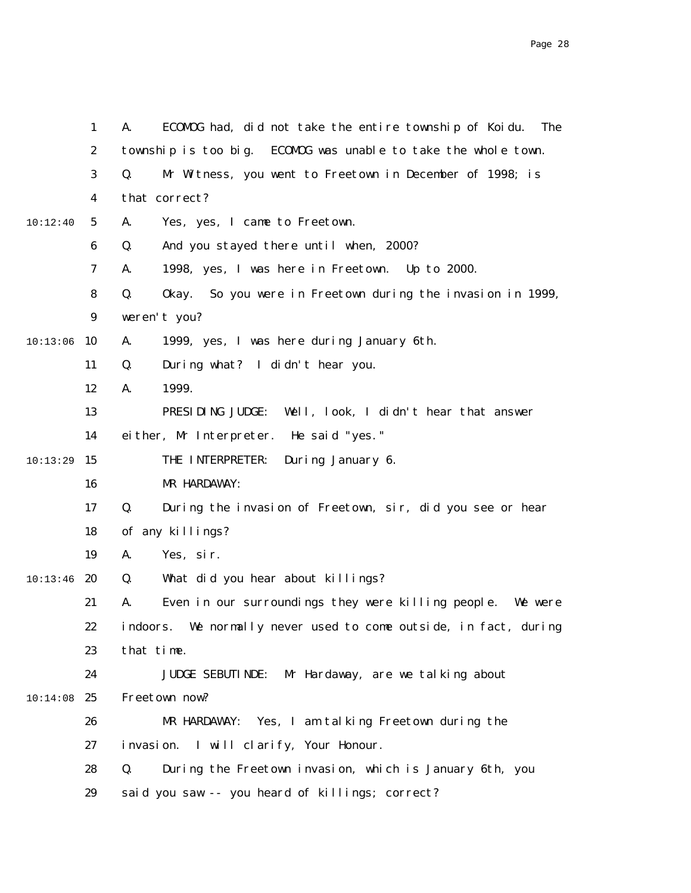|          | $\mathbf{1}$     | ECOMOG had, did not take the entire township of Koidu.<br>A.<br><b>The</b> |
|----------|------------------|----------------------------------------------------------------------------|
|          | $\boldsymbol{2}$ | township is too big. ECOMOG was unable to take the whole town.             |
|          | 3                | Mr Witness, you went to Freetown in December of 1998; is<br>Q.             |
|          | 4                | that correct?                                                              |
| 10:12:40 | $5\phantom{.0}$  | A.<br>Yes, yes, I came to Freetown.                                        |
|          | $\boldsymbol{6}$ | And you stayed there until when, 2000?<br>Q.                               |
|          | 7                | 1998, yes, I was here in Freetown. Up to 2000.<br>A.                       |
|          | 8                | So you were in Freetown during the invasion in 1999,<br>Q.<br>0kay.        |
|          | $\boldsymbol{9}$ | weren't you?                                                               |
| 10:13:06 | 10               | 1999, yes, I was here during January 6th.<br>A.                            |
|          | 11               | Q.<br>During what? I didn't hear you.                                      |
|          | 12               | 1999.<br>A.                                                                |
|          | 13               | PRESIDING JUDGE:<br>Well, look, I didn't hear that answer                  |
|          | 14               | either, Mr Interpreter. He said "yes."                                     |
| 10:13:29 | 15               | THE INTERPRETER:<br>During January 6.                                      |
|          | 16               | MR HARDAWAY:                                                               |
|          | 17               | Q.<br>During the invasion of Freetown, sir, did you see or hear            |
|          | 18               | of any killings?                                                           |
|          | 19               | A.<br>Yes, sir.                                                            |
| 10:13:46 | 20               | What did you hear about killings?<br>Q.                                    |
|          | 21               | Even in our surroundings they were killing people. We were<br>A.           |
|          | 22               | indoors. We normally never used to come outside, in fact, during           |
|          | 23               | that time.                                                                 |
|          | 24               | JUDGE SEBUTINDE: Mr Hardaway, are we talking about                         |
| 10:14:08 | 25               | Freetown now?                                                              |
|          | 26               | Yes, I am talking Freetown during the<br>MR HARDAWAY:                      |
|          | 27               | invasion. I will clarify, Your Honour.                                     |
|          | 28               | Q.<br>During the Freetown invasion, which is January 6th, you              |
|          | 29               | said you saw -- you heard of killings; correct?                            |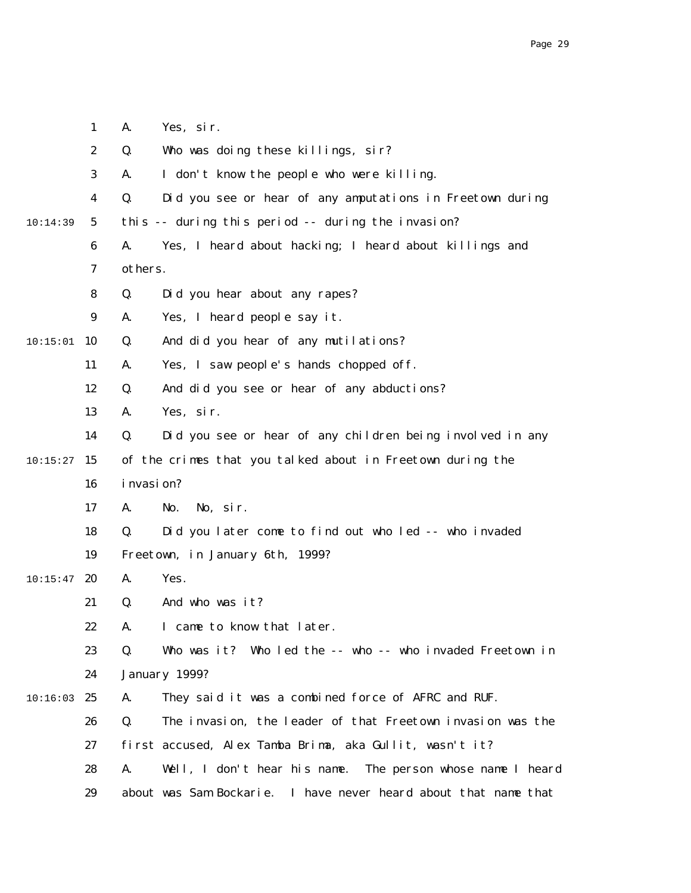|          | $\mathbf{1}$     | A.            | Yes, sir.                                                       |
|----------|------------------|---------------|-----------------------------------------------------------------|
|          | $\boldsymbol{2}$ | Q.            | Who was doing these killings, sir?                              |
|          | 3                | A.            | I don't know the people who were killing.                       |
|          | 4                | Q.            | Did you see or hear of any amputations in Freetown during       |
| 10:14:39 | $5^{\circ}$      |               | this -- during this period -- during the invasion?              |
|          | 6                | A.            | Yes, I heard about hacking; I heard about killings and          |
|          | 7                | others.       |                                                                 |
|          | 8                | Q.            | Did you hear about any rapes?                                   |
|          | $\boldsymbol{9}$ | A.            | Yes, I heard people say it.                                     |
| 10:15:01 | 10               | Q.            | And did you hear of any mutilations?                            |
|          | 11               | A.            | Yes, I saw people's hands chopped off.                          |
|          | 12               | Q.            | And did you see or hear of any abductions?                      |
|          | 13               | A.            | Yes, sir.                                                       |
|          | 14               | Q.            | Did you see or hear of any children being involved in any       |
| 10:15:27 | 15               |               | of the crimes that you talked about in Freetown during the      |
|          | 16               | i nvasi on?   |                                                                 |
|          | 17               | A.            | No, sir.<br>No.                                                 |
|          | 18               | Q.            | Did you later come to find out who led -- who invaded           |
|          | 19               |               | Freetown, in January 6th, 1999?                                 |
| 10:15:47 | 20               | A.            | Yes.                                                            |
|          | 21               | Q.            | And who was it?                                                 |
|          | 22               | A.            | I came to know that later.                                      |
|          | 23               | Q.            | Who was it? Who led the -- who -- who invaded Freetown in       |
|          | 24               | January 1999? |                                                                 |
| 10:16:03 | 25               | A.            | They said it was a combined force of AFRC and RUF.              |
|          | 26               | Q.            | The invasion, the leader of that Freetown invasion was the      |
|          | 27               |               | first accused, Alex Tamba Brima, aka Gullit, wasn't it?         |
|          | 28               | A.            | Well, I don't hear his name. The person whose name I heard      |
|          | 29               |               | about was Sam Bockarie. I have never heard about that name that |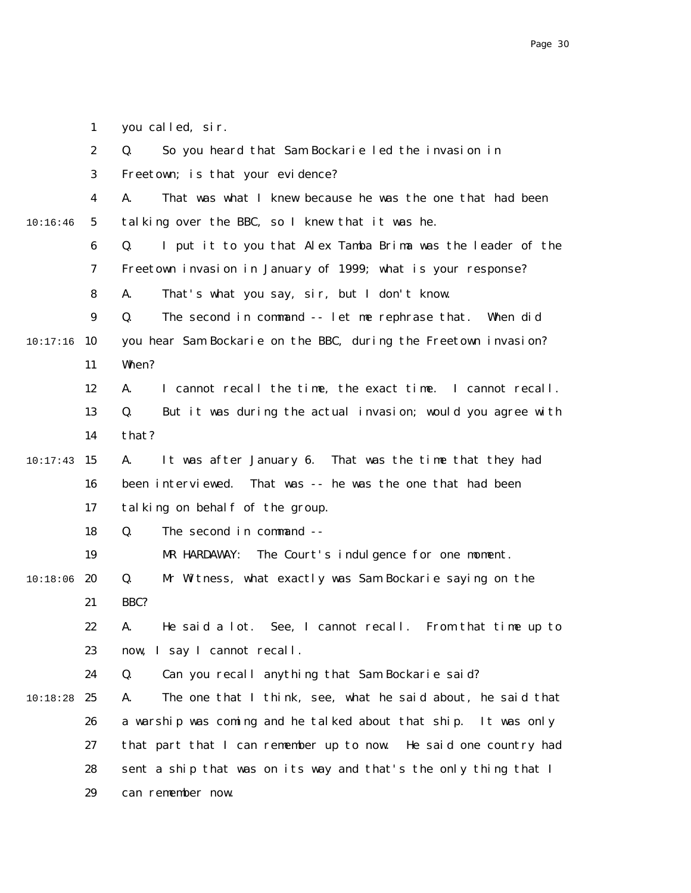|  | you called, sir. |  |
|--|------------------|--|
|--|------------------|--|

|          | $\boldsymbol{2}$ | So you heard that Sam Bockarie led the invasion in<br>Q.            |
|----------|------------------|---------------------------------------------------------------------|
|          | 3                | Freetown; is that your evidence?                                    |
|          | 4                | That was what I knew because he was the one that had been<br>A.     |
| 10:16:46 | $\sqrt{5}$       | talking over the BBC, so I knew that it was he.                     |
|          | 6                | Q.<br>I put it to you that Alex Tamba Brima was the leader of the   |
|          | 7                | Freetown invasion in January of 1999; what is your response?        |
|          | 8                | That's what you say, sir, but I don't know.<br>A.                   |
|          | $\boldsymbol{9}$ | The second in command -- let me rephrase that.<br>Q.<br>When did    |
| 10:17:16 | 10               | you hear Sam Bockarie on the BBC, during the Freetown invasion?     |
|          | 11               | When?                                                               |
|          | 12               | I cannot recall the time, the exact time. I cannot recall.<br>A.    |
|          | 13               | But it was during the actual invasion; would you agree with<br>Q.   |
|          | 14               | that?                                                               |
| 10:17:43 | 15               | A.<br>It was after January 6. That was the time that they had       |
|          | 16               | That was -- he was the one that had been<br>been interviewed.       |
|          | 17               | talking on behalf of the group.                                     |
|          | 18               | The second in command --<br>Q.                                      |
|          | 19               | The Court's indulgence for one moment.<br>MR HARDAWAY:              |
| 10:18:06 | 20               | Mr Witness, what exactly was Sam Bockarie saying on the<br>Q.       |
|          | 21               | BBC?                                                                |
|          | 22               | He said a lot. See, I cannot recall. From that time up to<br>A.     |
|          | 23               | now, I say I cannot recall.                                         |
|          | 24               | Q.<br>Can you recall anything that Sam Bockarie said?               |
| 10:18:28 | 25               | The one that I think, see, what he said about, he said that<br>A.   |
|          | 26               | a warship was coming and he talked about that ship.<br>It was only  |
|          | 27               | that part that I can remember up to now.<br>He said one country had |
|          | 28               | sent a ship that was on its way and that's the only thing that I    |
|          | 29               | can remember now.                                                   |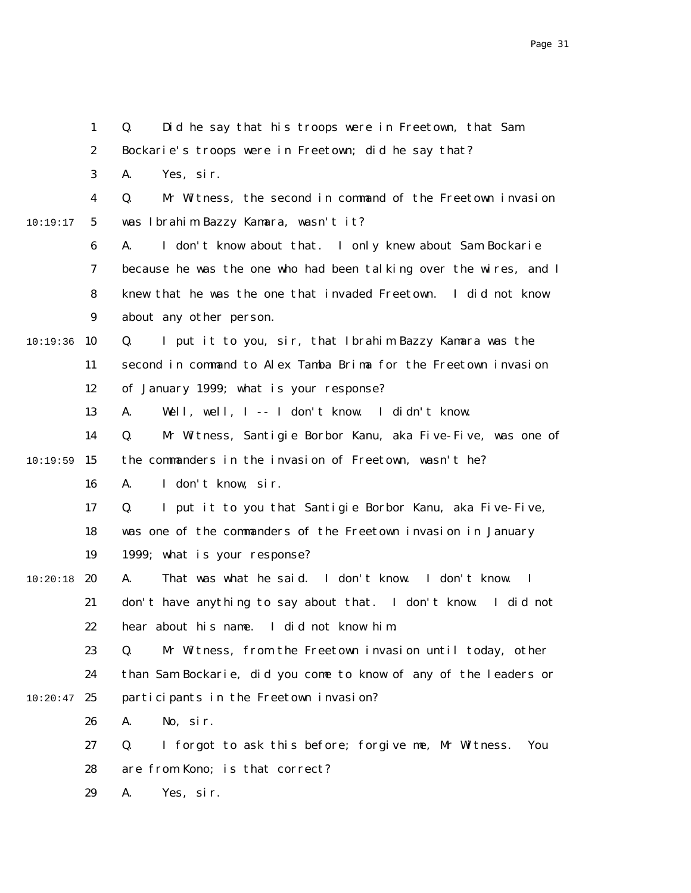|          | $\mathbf{1}$     | Q.<br>Did he say that his troops were in Freetown, that Sam              |
|----------|------------------|--------------------------------------------------------------------------|
|          | $\boldsymbol{2}$ | Bockarie's troops were in Freetown; did he say that?                     |
|          | $\bf{3}$         | A.<br>Yes, sir.                                                          |
|          | $\boldsymbol{4}$ | Mr Witness, the second in command of the Freetown invasion<br>Q.         |
| 10:19:17 | $5\overline{ }$  | was Ibrahim Bazzy Kamara, wasn't it?                                     |
|          | 6                | I don't know about that. I only knew about Sam Bockarie<br>A.            |
|          | 7                | because he was the one who had been talking over the wires, and I        |
|          | 8                | knew that he was the one that invaded Freetown. I did not know           |
|          | 9                | about any other person.                                                  |
| 10:19:36 | 10               | Q.<br>I put it to you, sir, that Ibrahim Bazzy Kamara was the            |
|          | 11               | second in command to Alex Tamba Brima for the Freetown invasion          |
|          | 12               | of January 1999; what is your response?                                  |
|          | 13               | Well, well, I -- I don't know. I didn't know.<br>A.                      |
|          | 14               | Mr Witness, Santigie Borbor Kanu, aka Five-Five, was one of<br>Q.        |
| 10:19:59 | 15               | the commanders in the invasion of Freetown, wasn't he?                   |
|          | 16               | I don't know, sir.<br>A.                                                 |
|          | 17               | I put it to you that Santigie Borbor Kanu, aka Five-Five,<br>Q.          |
|          | 18               | was one of the commanders of the Freetown invasion in January            |
|          | 19               | 1999; what is your response?                                             |
| 10:20:18 | 20               | That was what he said. I don't know. I don't know.<br>A.<br>$\mathbf{I}$ |
|          | 21               | don't have anything to say about that. I don't know.<br>I did not        |
|          | 22               | hear about his name. I did not know him.                                 |
|          | 23               | Mr Witness, from the Freetown invasion until today, other<br>Q.          |
|          | 24               | than Sam Bockarie, did you come to know of any of the leaders or         |
| 10:20:47 | 25               | participants in the Freetown invasion?                                   |
|          | 26               | No, sir.<br>A.                                                           |
|          | 27               | I forgot to ask this before; forgive me, Mr Witness.<br>Q.<br>You        |
|          | 28               | are from Kono; is that correct?                                          |
|          | 29               | Yes, sir.<br>A.                                                          |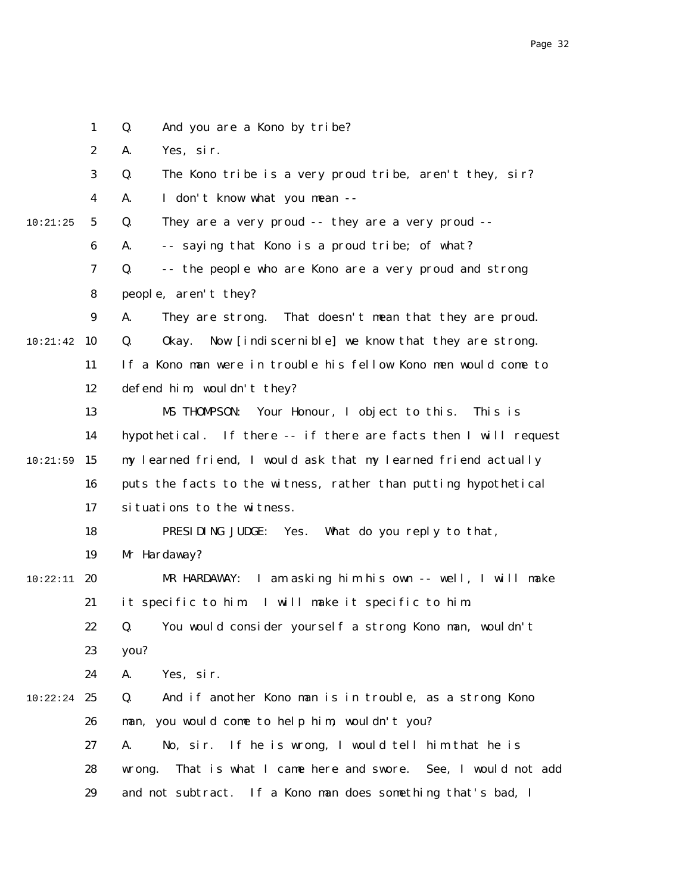|          | $\mathbf{1}$     | And you are a Kono by tribe?<br>Q.                                 |
|----------|------------------|--------------------------------------------------------------------|
|          | $\boldsymbol{2}$ | Yes, sir.<br>A.                                                    |
|          | 3                | The Kono tribe is a very proud tribe, aren't they, sir?<br>Q.      |
|          | $\boldsymbol{4}$ | I don't know what you mean --<br>A.                                |
| 10:21:25 | $5\phantom{.0}$  | They are a very proud -- they are a very proud --<br>Q.            |
|          | $\boldsymbol{6}$ | -- saying that Kono is a proud tribe; of what?<br>A.               |
|          | 7                | -- the people who are Kono are a very proud and strong<br>Q.       |
|          | 8                | people, aren't they?                                               |
|          | 9                | They are strong. That doesn't mean that they are proud.<br>A.      |
| 10:21:42 | 10               | Now [indiscernible] we know that they are strong.<br>Q.<br>0kay.   |
|          | 11               | If a Kono man were in trouble his fellow Kono men would come to    |
|          | 12               | defend him, wouldn't they?                                         |
|          | 13               | Your Honour, I object to this.<br>MS THOMPSON:<br>This is          |
|          | 14               | hypothetical. If there -- if there are facts then I will request   |
| 10:21:59 | 15               | my learned friend, I would ask that my learned friend actually     |
|          | 16               | puts the facts to the witness, rather than putting hypothetical    |
|          | 17               | situations to the witness.                                         |
|          | 18               | PRESIDING JUDGE: Yes.<br>What do you reply to that,                |
|          | 19               | Mr Hardaway?                                                       |
| 10:22:11 | 20               | I am asking him his own -- well, I will make<br>MR HARDAWAY:       |
|          | 21               | it specific to him I will make it specific to him.                 |
|          | 22               | Q. You would consider yourself a strong Kono man, wouldn't         |
|          | 23               | you?                                                               |
|          | 24               | A.<br>Yes, sir.                                                    |
| 10:22:24 | 25               | Q.<br>And if another Kono man is in trouble, as a strong Kono      |
|          | 26               | you would come to help him, wouldn't you?<br>man.                  |
|          | 27               | If he is wrong, I would tell him that he is<br>No, sir.<br>A.      |
|          | 28               | That is what I came here and swore. See, I would not add<br>wrong. |
|          | 29               | and not subtract. If a Kono man does something that's bad, I       |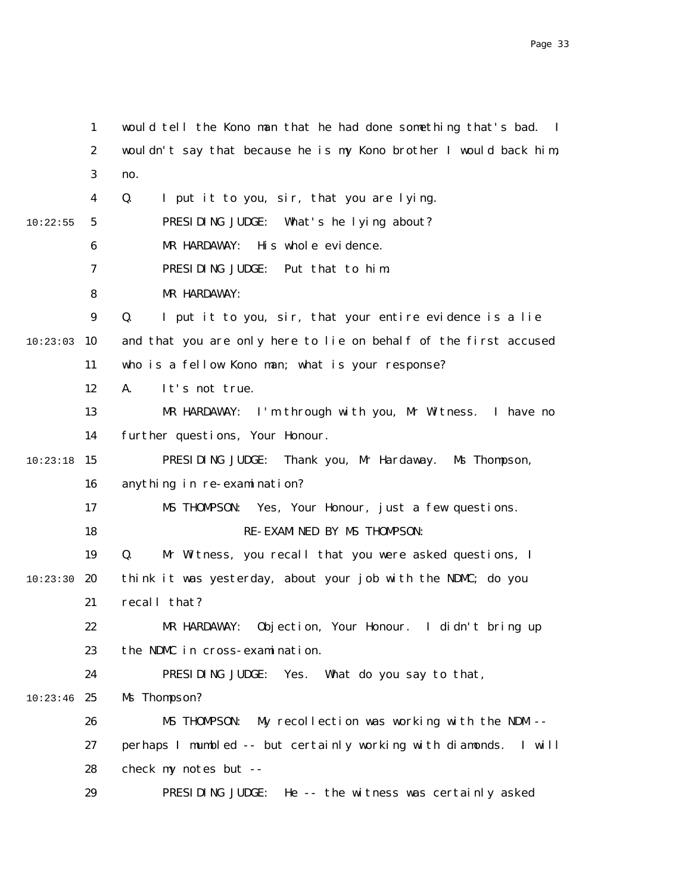1 2 3 4 5 6 7 8 9 10:23:03 10 11 12 13 14  $10:23:18$  15 16 17 18 19 10:23:30 **20** 21 22 23 24  $10:23:46$  25 26 27 28 29 10:22:55 would tell the Kono man that he had done something that's bad. I wouldn't say that because he is my Kono brother I would back him, no. Q. I put it to you, sir, that you are lying. PRESIDING JUDGE: What's he lying about? MR HARDAWAY: His whole evidence. PRESIDING JUDGE: Put that to him. MR HARDAWAY: Q. I put it to you, sir, that your entire evidence is a lie and that you are only here to lie on behalf of the first accused who is a fellow Kono man; what is your response? A. It's not true. MR HARDAWAY: I'm through with you, Mr Witness. I have no further questions, Your Honour. PRESIDING JUDGE: Thank you, Mr Hardaway. Ms Thompson, anything in re-examination? MS THOMPSON: Yes, Your Honour, just a few questions. RE-EXAMINED BY MS THOMPSON: Q. Mr Witness, you recall that you were asked questions, I think it was yesterday, about your job with the NDMC; do you recall that? MR HARDAWAY: Objection, Your Honour. I didn't bring up the NDMC in cross-examination. PRESIDING JUDGE: Yes. What do you say to that, Ms Thompson? MS THOMPSON: My recollection was working with the NDM - perhaps I mumbled -- but certainly working with diamonds. I will check my notes but -- PRESIDING JUDGE: He -- the witness was certainly asked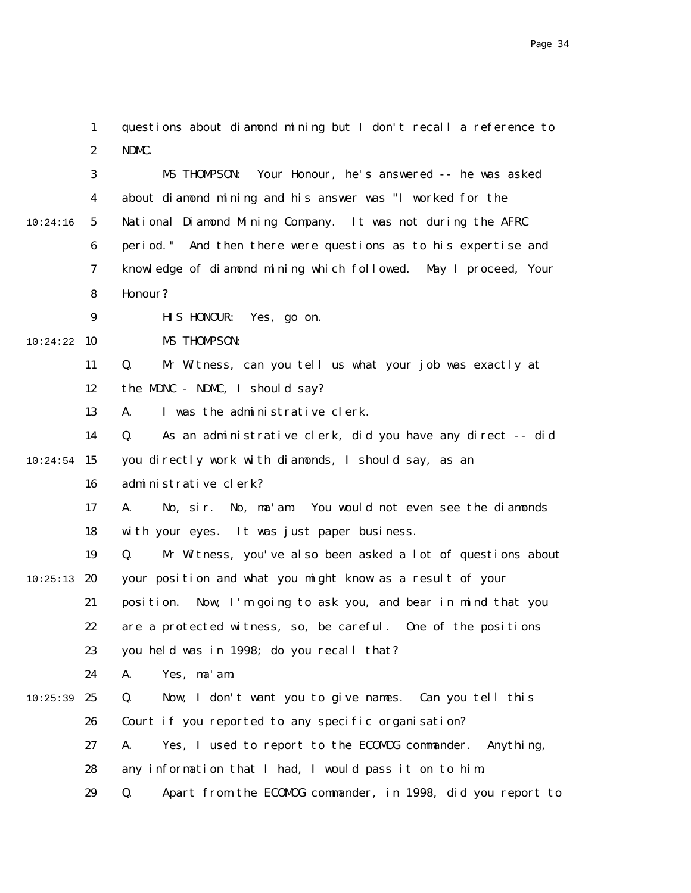1 2 questions about diamond mining but I don't recall a reference to NDMC.

|          | 3                | Your Honour, he's answered -- he was asked<br>MS THOMPSON:        |
|----------|------------------|-------------------------------------------------------------------|
|          | 4                | about diamond mining and his answer was "I worked for the         |
| 10:24:16 | $\sqrt{5}$       | National Diamond Mining Company. It was not during the AFRC       |
|          | 6                | period." And then there were questions as to his expertise and    |
|          | 7                | knowledge of diamond mining which followed. May I proceed, Your   |
|          | 8                | Honour?                                                           |
|          | $\boldsymbol{9}$ | HIS HONOUR:<br>Yes, go on.                                        |
| 10:24:22 | 10               | MS THOMPSON:                                                      |
|          | 11               | Mr Witness, can you tell us what your job was exactly at<br>Q.    |
|          | 12               | the MDNC - NDMC, I should say?                                    |
|          | 13               | I was the administrative clerk.<br>A.                             |
|          | 14               | As an administrative clerk, did you have any direct -- did<br>Q.  |
| 10:24:54 | 15               | you directly work with diamonds, I should say, as an              |
|          | 16               | administrative clerk?                                             |
|          | 17               | No, ma'am. You would not even see the diamonds<br>No, sir.<br>A.  |
|          | 18               | with your eyes. It was just paper business.                       |
|          | 19               | Mr Witness, you've also been asked a lot of questions about<br>Q. |
| 10:25:13 | 20               | your position and what you might know as a result of your         |
|          | 21               | Now, I'm going to ask you, and bear in mind that you<br>position. |
|          | 22               | are a protected witness, so, be careful. One of the positions     |
|          | 23               | you held was in 1998; do you recall that?                         |
|          | 24               | A.<br>Yes, ma'am.                                                 |
| 10:25:39 | 25               | Q.<br>Now, I don't want you to give names.<br>Can you tell this   |
|          | 26               | Court if you reported to any specific organisation?               |
|          | 27               | Yes, I used to report to the ECOMOG commander.<br>Anything,<br>A. |
|          | 28               | any information that I had, I would pass it on to him.            |
|          | 29               | Apart from the ECOMOG commander, in 1998, did you report to<br>Q. |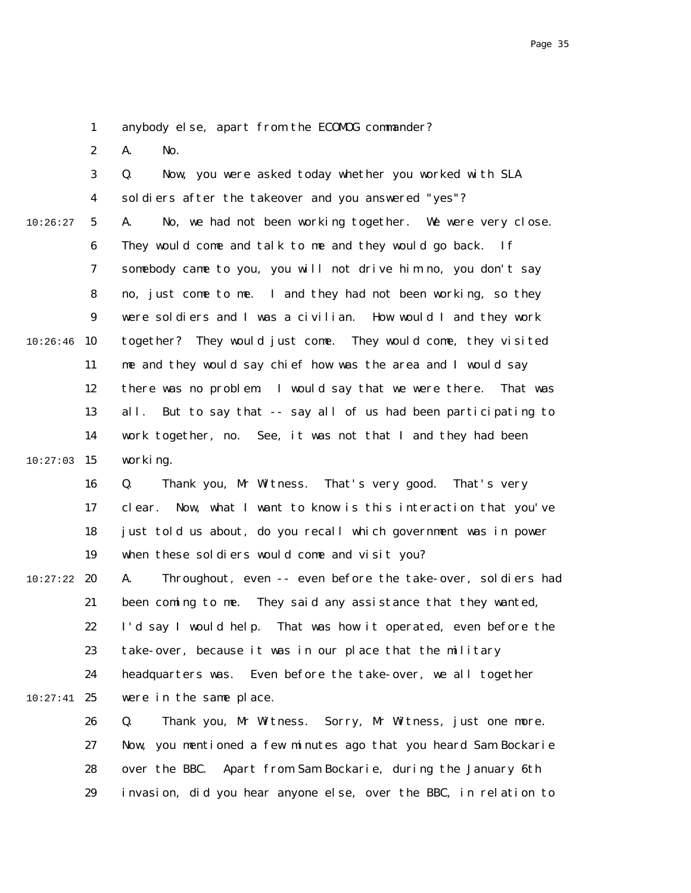1 anybody else, apart from the ECOMOG commander?

2 A. No.

|          | 3                | Now, you were asked today whether you worked with SLA<br>Q.        |
|----------|------------------|--------------------------------------------------------------------|
|          | $\boldsymbol{4}$ | soldiers after the takeover and you answered "yes"?                |
| 10:26:27 | $\sqrt{5}$       | No, we had not been working together. We were very close.<br>A.    |
|          | 6                | They would come and talk to me and they would go back. If          |
|          | 7                | somebody came to you, you will not drive him no, you don't say     |
|          | 8                | no, just come to me. I and they had not been working, so they      |
|          | $\boldsymbol{9}$ | were soldiers and I was a civilian. How would I and they work      |
| 10:26:46 | 10               | together? They would just come. They would come, they visited      |
|          | 11               | me and they would say chief how was the area and I would say       |
|          | 12               | there was no problem I would say that we were there. That was      |
|          | 13               | all.<br>But to say that -- say all of us had been participating to |
|          | 14               | work together, no. See, it was not that I and they had been        |
| 10:27:03 | 15               | working.                                                           |
|          | 16               | Thank you, Mr Witness. That's very good.<br>That's very<br>Q.      |
|          | 17               | Now, what I want to know is this interaction that you've<br>clear. |
|          | 18               | just told us about, do you recall which government was in power    |
|          | 19               | when these soldiers would come and visit you?                      |
| 10:27:22 | 20               | Throughout, even -- even before the take-over, soldiers had<br>A.  |
|          | 21               | been coming to me. They said any assistance that they wanted,      |
|          | 22               | I'd say I would help. That was how it operated, even before the    |
|          | 23               | take-over, because it was in our place that the military           |
|          | 24               | Even before the take-over, we all together<br>headquarters was.    |
| 10:27:41 | 25               | were in the same place.                                            |
|          | 26               | Thank you, Mr Witness.<br>Sorry, Mr Witness, just one more.<br>Q.  |
|          | 27               | Now, you mentioned a few minutes ago that you heard Sam Bockarie   |
|          | 28               | Apart from Sam Bockarie, during the January 6th<br>over the BBC.   |
|          | 29               | invasion, did you hear anyone else, over the BBC, in relation to   |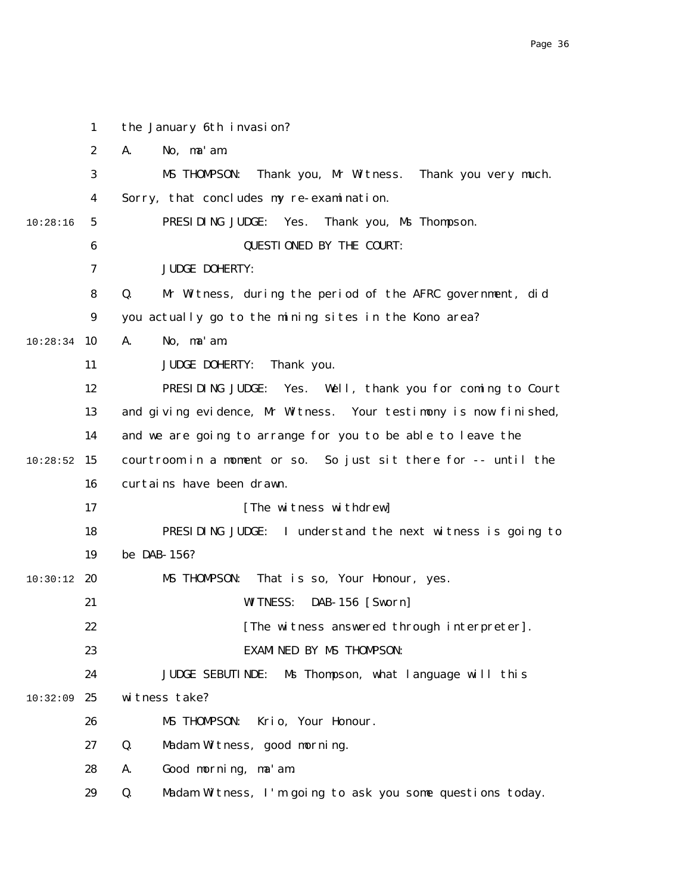|               | $\mathbf{1}$     | the January 6th invasion?                                        |
|---------------|------------------|------------------------------------------------------------------|
|               | $\boldsymbol{2}$ | No, ma'am.<br>A.                                                 |
|               | 3                | Thank you, Mr Witness. Thank you very much.<br>MS THOMPSON:      |
|               | 4                | Sorry, that concludes my re-examination.                         |
| 10:28:16      | $5\overline{)}$  | PRESIDING JUDGE:<br>Yes.<br>Thank you, Ms Thompson.              |
|               | $\bf{6}$         | <b>QUESTIONED BY THE COURT:</b>                                  |
|               | 7                | <b>JUDGE DOHERTY:</b>                                            |
|               | 8                | Mr Witness, during the period of the AFRC government, did<br>Q.  |
|               | $\boldsymbol{9}$ | you actually go to the mining sites in the Kono area?            |
| 10:28:34      | <b>10</b>        | A.<br>No, ma'am.                                                 |
|               | 11               | <b>JUDGE DOHERTY:</b><br>Thank you.                              |
|               | 12               | PRESIDING JUDGE:<br>Yes. Well, thank you for coming to Court     |
|               | 13               | and giving evidence, Mr Witness. Your testimony is now finished, |
|               | 14               | and we are going to arrange for you to be able to leave the      |
| 10:28:52      | 15               | courtroom in a moment or so. So just sit there for -- until the  |
|               | 16               | curtains have been drawn.                                        |
|               | 17               | [The witness withdrew]                                           |
|               | 18               | PRESIDING JUDGE: I understand the next witness is going to       |
|               | 19               | be DAB-156?                                                      |
| $10:30:12$ 20 |                  | That is so, Your Honour, yes.<br>MS THOMPSON:                    |
|               | 21               | <b>WITNESS:</b><br><b>DAB-156</b> [Sworn]                        |
|               | 22               | [The witness answered through interpreter]                       |
|               | 23               | <b>EXAMINED BY MS THOMPSON:</b>                                  |
|               | 24               | Ms Thompson, what language will this<br><b>JUDGE SEBUTINDE:</b>  |
| 10:32:09      | 25               | witness take?                                                    |
|               | 26               | Krio, Your Honour.<br>MS THOMPSON:                               |
|               | 27               | Q.<br>Madam Witness, good morning.                               |
|               | 28               | Good morning, ma'am.<br>A.                                       |
|               | 29               | Madam Witness, I'm going to ask you some questions today.<br>Q.  |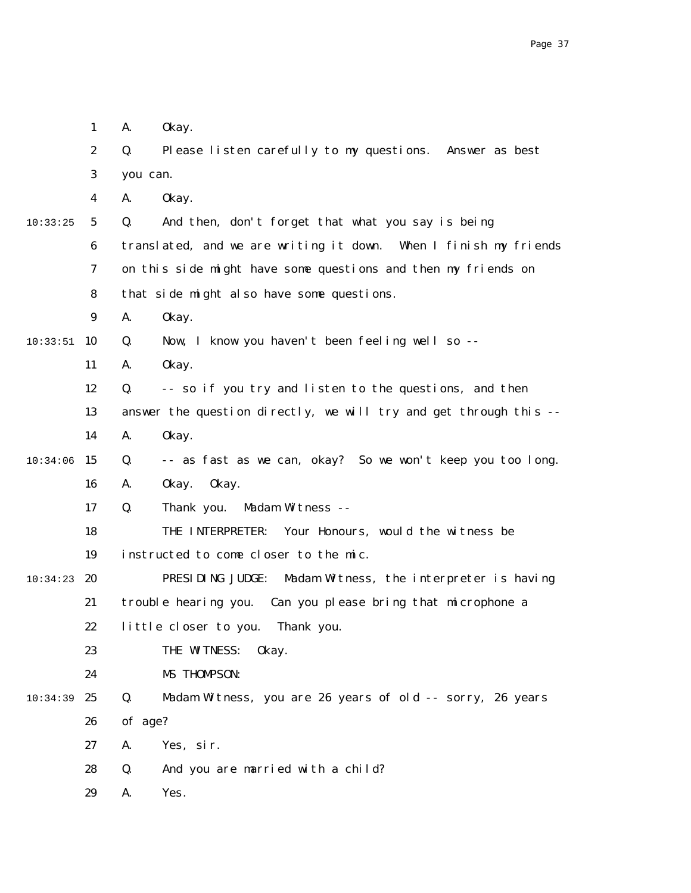|          | $\mathbf{1}$     | A.       | 0kay.                                                             |
|----------|------------------|----------|-------------------------------------------------------------------|
|          | $\boldsymbol{2}$ | Q.       | Please listen carefully to my questions. Answer as best           |
|          | 3                | you can. |                                                                   |
|          | 4                | A.       | 0kay.                                                             |
| 10:33:25 | $\mathbf{5}$     | Q.       | And then, don't forget that what you say is being                 |
|          | $\boldsymbol{6}$ |          | translated, and we are writing it down. When I finish my friends  |
|          | 7                |          | on this side might have some questions and then my friends on     |
|          | 8                |          | that side might also have some questions.                         |
|          | $\boldsymbol{9}$ | A.       | 0kay.                                                             |
| 10:33:51 | 10               | Q.       | Now, I know you haven't been feeling well so --                   |
|          | 11               | A.       | 0kay.                                                             |
|          | 12               | Q.       | -- so if you try and listen to the questions, and then            |
|          | 13               |          | answer the question directly, we will try and get through this -- |
|          | 14               | A.       | 0kay.                                                             |
| 10:34:06 | 15               | Q.       | -- as fast as we can, okay? So we won't keep you too long.        |
|          | 16               | A.       | 0kay.<br>0kay.                                                    |
|          | 17               | Q.       | Thank you.<br>Madam Witness --                                    |
|          | 18               |          | THE INTERPRETER: Your Honours, would the witness be               |
|          | 19               |          | instructed to come closer to the mic.                             |
| 10:34:23 | 20               |          | PRESIDING JUDGE:<br>Madam Witness, the interpreter is having      |
|          | 21               |          | trouble hearing you. Can you please bring that microphone a       |
|          | 22               |          | little closer to you. Thank you.                                  |
|          | 23               |          | THE WITNESS:<br>0kay.                                             |
|          | 24               |          | MS THOMPSON:                                                      |
| 10:34:39 | 25               | Q.       | Madam Witness, you are 26 years of old -- sorry, 26 years         |
|          | 26               | of age?  |                                                                   |
|          | 27               | A.       | Yes, sir.                                                         |
|          | 28               | Q.       | And you are married with a child?                                 |
|          | 29               | A.       | Yes.                                                              |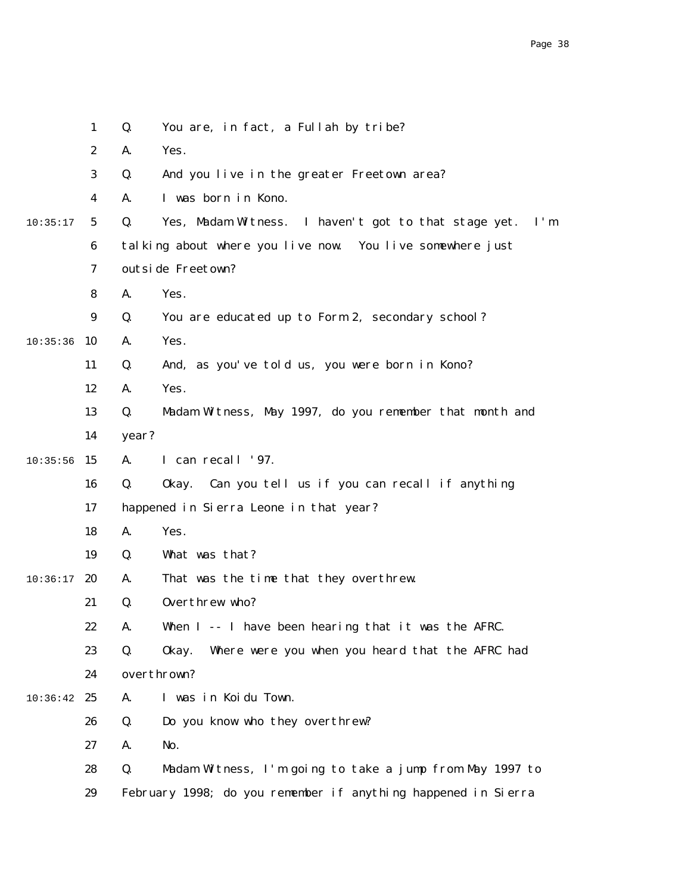|          | $\mathbf{1}$     | Q.    | You are, in fact, a Fullah by tribe?                          |
|----------|------------------|-------|---------------------------------------------------------------|
|          | $\boldsymbol{2}$ | A.    | Yes.                                                          |
|          | 3                | Q.    | And you live in the greater Freetown area?                    |
|          | 4                | A.    | I was born in Kono.                                           |
| 10:35:17 | $\mathbf{5}$     | Q.    | Yes, Madam Witness. I haven't got to that stage yet.<br>I'm   |
|          | $\boldsymbol{6}$ |       | talking about where you live now. You live somewhere just     |
|          | 7                |       | outside Freetown?                                             |
|          | 8                | A.    | Yes.                                                          |
|          | 9                | Q.    | You are educated up to Form 2, secondary school?              |
| 10:35:36 | 10               | A.    | Yes.                                                          |
|          | 11               | Q.    | And, as you've told us, you were born in Kono?                |
|          | 12               | A.    | Yes.                                                          |
|          | 13               | Q.    | Madam Witness, May 1997, do you remember that month and       |
|          | 14               | year? |                                                               |
| 10:35:56 | 15               | A.    | I can recall '97.                                             |
|          | 16               | Q.    | Can you tell us if you can recall if anything<br>0kay.        |
|          | 17               |       | happened in Sierra Leone in that year?                        |
|          | 18               | A.    | Yes.                                                          |
|          | 19               | Q.    | What was that?                                                |
| 10:36:17 | 20               | A.    | That was the time that they overthrew.                        |
|          | 21               | Q.    | Overthrew who?                                                |
|          | 22               | A.    | When I -- I have been hearing that it was the AFRC.           |
|          | 23               | Q.    | Where were you when you heard that the AFRC had<br>0kay.      |
|          | 24               |       | overthrown?                                                   |
| 10:36:42 | 25               | A.    | I was in Koidu Town.                                          |
|          | 26               | Q.    | Do you know who they overthrew?                               |
|          | 27               | A.    | No.                                                           |
|          | 28               | Q.    | Madam Witness, I'm going to take a jump from May 1997 to      |
|          | 29               |       | February 1998; do you remember if anything happened in Sierra |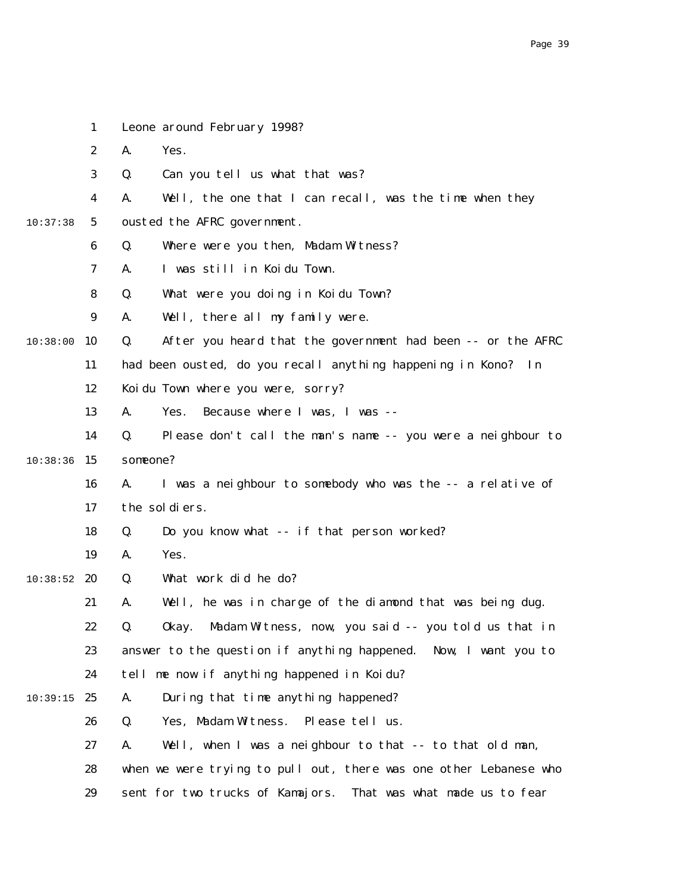|          | 1                | Leone around February 1998?                                       |
|----------|------------------|-------------------------------------------------------------------|
|          | $\boldsymbol{2}$ | A.<br>Yes.                                                        |
|          | 3                | Can you tell us what that was?<br>Q.                              |
|          | 4                | Well, the one that I can recall, was the time when they<br>A.     |
| 10:37:38 | $5\phantom{.0}$  | ousted the AFRC government.                                       |
|          | 6                | Where were you then, Madam Witness?<br>Q.                         |
|          | 7                | I was still in Koidu Town.<br>A.                                  |
|          | 8                | What were you doing in Koidu Town?<br>Q.                          |
|          | 9                | Well, there all my family were.<br>A.                             |
| 10:38:00 | 10               | After you heard that the government had been -- or the AFRC<br>Q. |
|          | 11               | had been ousted, do you recall anything happening in Kono? In     |
|          | 12               | Koidu Town where you were, sorry?                                 |
|          | 13               | Because where I was, I was --<br>A.<br>Yes.                       |
|          | 14               | Q.<br>Please don't call the man's name -- you were a neighbour to |
| 10:38:36 | 15               | someone?                                                          |
|          | 16               | I was a neighbour to somebody who was the -- a relative of<br>A.  |
|          | 17               | the soldiers.                                                     |
|          | 18               | Do you know what -- if that person worked?<br>Q.                  |
|          | 19               | Yes.<br>A.                                                        |
| 10:38:52 | 20               | What work did he do?<br>Q.                                        |
|          | 21               | Well, he was in charge of the diamond that was being dug.<br>A.   |
|          | 22               | Q.<br>Okay. Madam Witness, now, you said -- you told us that in   |
|          | 23               | answer to the question if anything happened. Now, I want you to   |
|          | 24               | tell me now if anything happened in Koidu?                        |
| 10:39:15 | 25               | During that time anything happened?<br>A.                         |
|          | 26               | Q.<br>Yes, Madam Witness.<br>Please tell us.                      |
|          | 27               | Well, when I was a neighbour to that -- to that old man,<br>A.    |
|          | 28               | when we were trying to pull out, there was one other Lebanese who |
|          | 29               | sent for two trucks of Kamajors.<br>That was what made us to fear |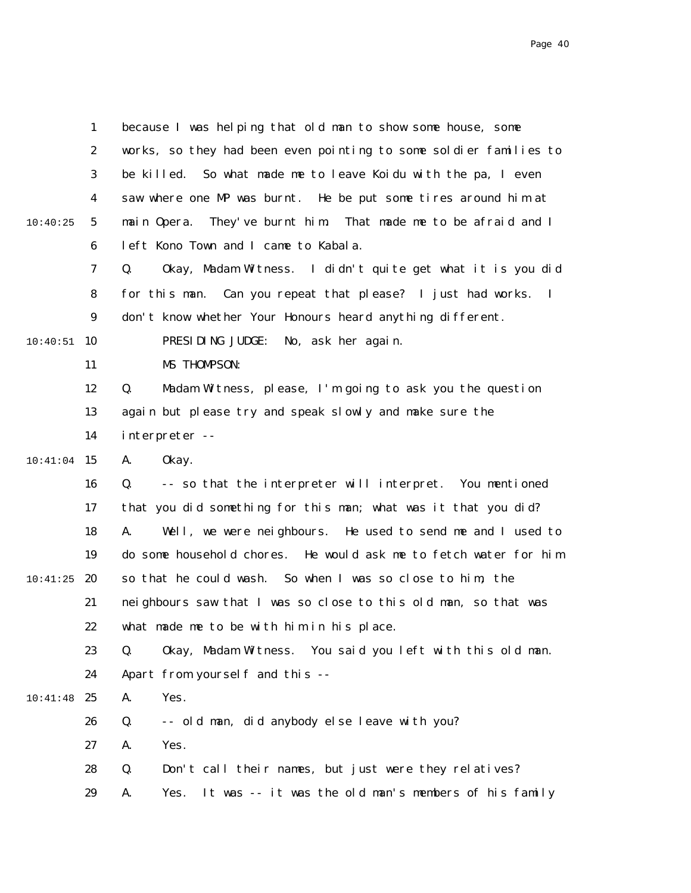|          | $\mathbf{1}$     | because I was helping that old man to show some house, some                 |
|----------|------------------|-----------------------------------------------------------------------------|
|          | $\boldsymbol{2}$ | works, so they had been even pointing to some soldier families to           |
|          | 3                | be killed.<br>So what made me to leave Koidu with the pa, I even            |
|          | 4                | saw where one MP was burnt. He be put some tires around him at              |
| 10:40:25 | 5                | They've burnt him. That made me to be afraid and I<br>main Opera.           |
|          | $\boldsymbol{6}$ | left Kono Town and I came to Kabala.                                        |
|          | 7                | Okay, Madam Witness. I didn't quite get what it is you did<br>Q.            |
|          | 8                | for this man. Can you repeat that please? I just had works.<br>$\mathbf{I}$ |
|          | $\boldsymbol{9}$ | don't know whether Your Honours heard anything different.                   |
| 10:40:51 | 10               | PRESIDING JUDGE:<br>No, ask her again.                                      |
|          | 11               | MS THOMPSON:                                                                |
|          | 12               | Madam Witness, please, I'm going to ask you the question<br>Q.              |
|          | 13               | again but please try and speak slowly and make sure the                     |
|          | 14               | interpreter --                                                              |
| 10:41:04 | 15               | 0kay.<br>A.                                                                 |
|          | 16               | -- so that the interpreter will interpret. You mentioned<br>Q.              |
|          | 17               | that you did something for this man; what was it that you did?              |
|          | 18               | Well, we were neighbours. He used to send me and I used to<br>A.            |
|          | 19               | do some household chores. He would ask me to fetch water for him            |
| 10:41:25 | 20               | so that he could wash. So when I was so close to him, the                   |
|          | 21               | neighbours saw that I was so close to this old man, so that was             |
|          | 22               | what made me to be with him in his place.                                   |
|          | 23               | Okay, Madam Witness. You said you left with this old man.<br>Q.             |
|          | 24               | Apart from yourself and this --                                             |
| 10:41:48 | 25               | Yes.<br>A.                                                                  |
|          | 26               | -- old man, did anybody else leave with you?<br>Q.                          |
|          | 27               | Yes.<br>A.                                                                  |
|          | 28               | Don't call their names, but just were they relatives?<br>Q.                 |
|          | 29               | It was -- it was the old man's members of his family<br>Yes.<br>A.          |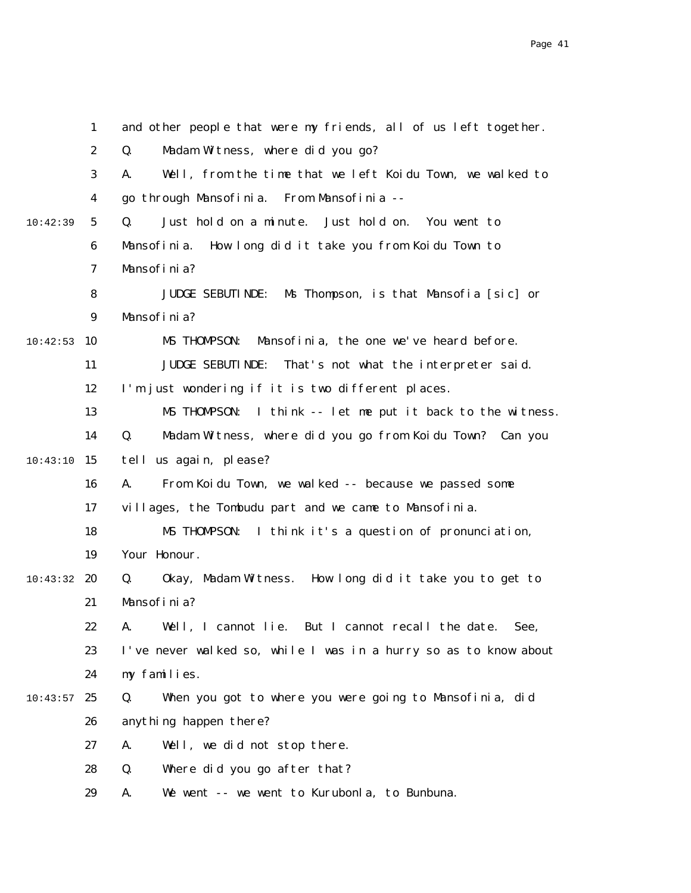|          | $\mathbf{1}$     | and other people that were my friends, all of us left together.   |
|----------|------------------|-------------------------------------------------------------------|
|          | $\boldsymbol{2}$ | Q.<br>Madam Witness, where did you go?                            |
|          | 3                | Well, from the time that we left Koidu Town, we walked to<br>A.   |
|          | 4                | go through Mansofinia.<br>From Mansofinia --                      |
| 10:42:39 | $5\phantom{.0}$  | Q.<br>Just hold on a minute.<br>Just hold on.<br>You went to      |
|          | $\boldsymbol{6}$ | How long did it take you from Koidu Town to<br>Mansofinia.        |
|          | 7                | Mansofinia?                                                       |
|          | 8                | Ms Thompson, is that Mansofia [sic] or<br><b>JUDGE SEBUTINDE:</b> |
|          | $\boldsymbol{9}$ | Mansofinia?                                                       |
| 10:42:53 | 10               | Mansofinia, the one we've heard before.<br>MS THOMPSON:           |
|          | 11               | <b>JUDGE SEBUTINDE:</b><br>That's not what the interpreter said.  |
|          | 12               | I'm just wondering if it is two different places.                 |
|          | 13               | I think -- let me put it back to the witness.<br>MS THOMPSON:     |
|          | 14               | Madam Witness, where did you go from Koidu Town? Can you<br>Q.    |
| 10:43:10 | 15               | tell us again, please?                                            |
|          | 16               | From Koidu Town, we walked -- because we passed some<br>A.        |
|          | 17               | villages, the Tombudu part and we came to Mansofinia.             |
|          | 18               | MS THOMPSON:<br>I think it's a question of pronunciation,         |
|          | 19               | Your Honour.                                                      |
| 10:43:32 | 20               | Okay, Madam Witness. How long did it take you to get to<br>Q.     |
|          | 21               | Mansofinia?                                                       |
|          | 22               | A. Well, I cannot lie. But I cannot recall the date.<br>See,      |
|          | 23               | I've never walked so, while I was in a hurry so as to know about  |
|          | 24               | my families.                                                      |
| 10:43:57 | 25               | When you got to where you were going to Mansofinia, did<br>Q.     |
|          | 26               | anything happen there?                                            |
|          | 27               | Well, we did not stop there.<br>A.                                |
|          | 28               | Q.<br>Where did you go after that?                                |
|          | 29               | We went -- we went to Kurubonla, to Bunbuna.<br>A.                |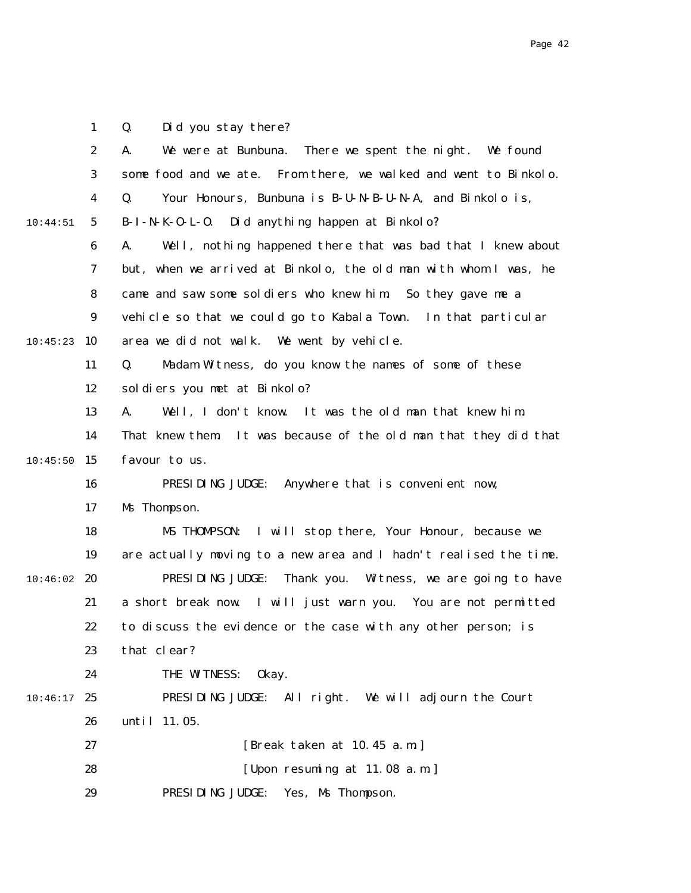1 Q. Did you stay there?

|          | $\boldsymbol{2}$ | We were at Bunbuna. There we spent the night. We found<br>A.      |
|----------|------------------|-------------------------------------------------------------------|
|          | 3                | some food and we ate. From there, we walked and went to Binkolo.  |
|          | 4                | Q.<br>Your Honours, Bunbuna is B-U-N-B-U-N-A, and Binkolo is,     |
| 10:44:51 | $\mathbf{5}$     | B-I-N-K-O-L-O. Did anything happen at Binkolo?                    |
|          | $\boldsymbol{6}$ | Well, nothing happened there that was bad that I knew about<br>A. |
|          | 7                | but, when we arrived at Binkolo, the old man with whom I was, he  |
|          | 8                | came and saw some soldiers who knew him. So they gave me a        |
|          | 9                | vehicle so that we could go to Kabala Town. In that particular    |
| 10:45:23 | 10               | area we did not walk. We went by vehicle.                         |
|          | 11               | Q.<br>Madam Witness, do you know the names of some of these       |
|          | 12               | soldiers you met at Binkolo?                                      |
|          | 13               | Well, I don't know. It was the old man that knew him.<br>A.       |
|          | 14               | That knew them. It was because of the old man that they did that  |
| 10:45:50 | 15               | favour to us.                                                     |
|          | 16               | PRESIDING JUDGE:<br>Anywhere that is convenient now,              |
|          | 17               | Ms Thompson.                                                      |
|          | 18               | MS THOMPSON:<br>I will stop there, Your Honour, because we        |
|          | 19               | are actually moving to a new area and I hadn't realised the time. |
| 10:46:02 | 20               | PRESIDING JUDGE:<br>Thank you. Witness, we are going to have      |
|          | 21               | a short break now. I will just warn you. You are not permitted    |
|          | 22               | to discuss the evidence or the case with any other person; is     |
|          | 23               | that clear?                                                       |
|          | 24               | THE WITNESS:<br>0kay.                                             |
| 10:46:17 | 25               | PRESIDING JUDGE: All right. We will adjourn the Court             |
|          | 26               | until 11.05.                                                      |
|          | 27               | [Break taken at 10.45 a.m.]                                       |
|          | 28               | [Upon resuming at 11.08 a.m.]                                     |
|          | 29               | PRESIDING JUDGE:<br>Yes, Ms Thompson.                             |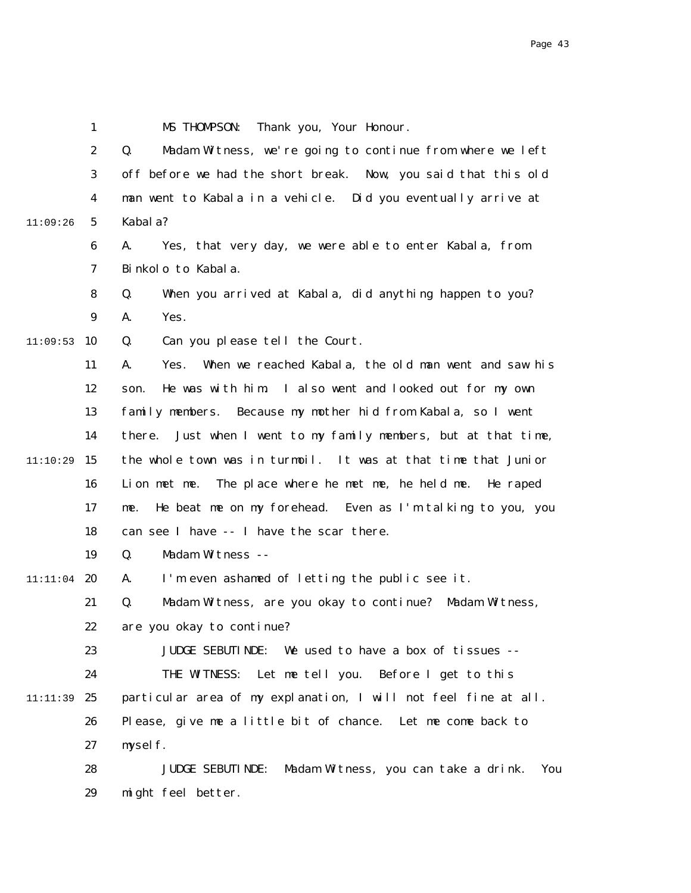|          | 1                | MS THOMPSON:<br>Thank you, Your Honour.                                |
|----------|------------------|------------------------------------------------------------------------|
|          | $\boldsymbol{2}$ | Q.<br>Madam Witness, we're going to continue from where we left        |
|          | 3                | off before we had the short break. Now, you said that this old         |
|          | 4                | man went to Kabala in a vehicle. Did you eventually arrive at          |
| 11:09:26 | $5\overline{ }$  | Kabal a?                                                               |
|          | 6                | Yes, that very day, we were able to enter Kabala, from<br>A.           |
|          | 7                | Binkolo to Kabala.                                                     |
|          | 8                | Q.<br>When you arrived at Kabala, did anything happen to you?          |
|          | $\boldsymbol{9}$ | A.<br>Yes.                                                             |
| 11:09:53 | 10               | Q.<br>Can you please tell the Court.                                   |
|          | 11               | When we reached Kabala, the old man went and saw his<br>A.<br>Yes.     |
|          | 12               | He was with him. I also went and looked out for my own<br>son.         |
|          | 13               | family members. Because my mother hid from Kabala, so I went           |
|          | 14               | Just when I went to my family members, but at that time,<br>there.     |
| 11:10:29 | 15               | the whole town was in turmoil. It was at that time that Junior         |
|          | 16               | Lion met me. The place where he met me, he held me.<br>He raped        |
|          | 17               | He beat me on my forehead. Even as I'm talking to you, you<br>me.      |
|          | 18               | can see I have -- I have the scar there.                               |
|          | 19               | Q.<br>Madam Witness --                                                 |
| 11:11:04 | - 20             | I'm even ashamed of letting the public see it.<br>A.                   |
|          | 21               | Q.<br>Madam Witness, are you okay to continue? Madam Witness,          |
|          | 22               | are you okay to continue?                                              |
|          | 23               | JUDGE SEBUTINDE: We used to have a box of tissues --                   |
|          | 24               | THE WITNESS: Let me tell you. Before I get to this                     |
| 11:11:39 | 25               | particular area of my explanation, I will not feel fine at all.        |
|          | 26               | Please, give me a little bit of chance. Let me come back to            |
|          | 27               | myself.                                                                |
|          | 28               | Madam Witness, you can take a drink.<br><b>JUDGE SEBUTINDE:</b><br>You |
|          | 29               | might feel better.                                                     |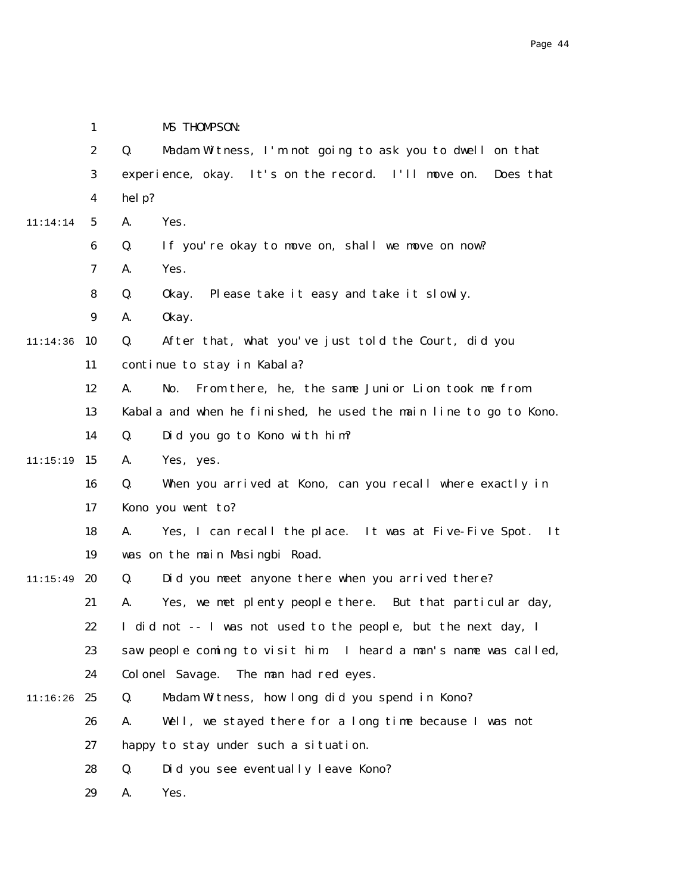|          | $\boldsymbol{2}$ | Madam Witness, I'm not going to ask you to dwell on that<br>Q.     |
|----------|------------------|--------------------------------------------------------------------|
|          | 3                | experience, okay. It's on the record. I'll move on.<br>Does that   |
|          | $\boldsymbol{4}$ | help?                                                              |
| 11:14:14 | $\mathbf{5}$     | A.<br>Yes.                                                         |
|          | 6                | If you're okay to move on, shall we move on now?<br>Q.             |
|          | 7                | Yes.<br>A.                                                         |
|          | 8                | Q.<br>Please take it easy and take it slowly.<br>0kay.             |
|          | $\boldsymbol{9}$ | 0kay.<br>A.                                                        |
| 11:14:36 | 10               | After that, what you've just told the Court, did you<br>Q.         |
|          | 11               | continue to stay in Kabala?                                        |
|          | 12               | From there, he, the same Junior Lion took me from<br>A.<br>No.     |
|          | 13               | Kabala and when he finished, he used the main line to go to Kono.  |
|          | 14               | Did you go to Kono with him?<br>Q.                                 |
| 11:15:19 | 15               | Yes, yes.<br>A.                                                    |
|          | 16               | When you arrived at Kono, can you recall where exactly in<br>Q.    |
|          | 17               | Kono you went to?                                                  |
|          | 18               | Yes, I can recall the place. It was at Five-Five Spot.<br>It<br>A. |
|          | 19               | was on the main Masingbi Road.                                     |
| 11:15:49 | 20               | Did you meet anyone there when you arrived there?<br>Q.            |
|          | 21               | Yes, we met plenty people there. But that particular day,<br>A.    |
|          | 22               | I did not -- I was not used to the people, but the next day, I     |
|          | 23               | saw people coming to visit him. I heard a man's name was called,   |
|          | 24               | Colonel Savage.<br>The man had red eyes.                           |
| 11:16:26 | 25               | Madam Witness, how long did you spend in Kono?<br>Q.               |
|          | 26               | Well, we stayed there for a long time because I was not<br>A.      |
|          | 27               | happy to stay under such a situation.                              |
|          | 28               | Did you see eventually leave Kono?<br>Q.                           |
|          | 29               | A.<br>Yes.                                                         |

1

MS THOMPSON: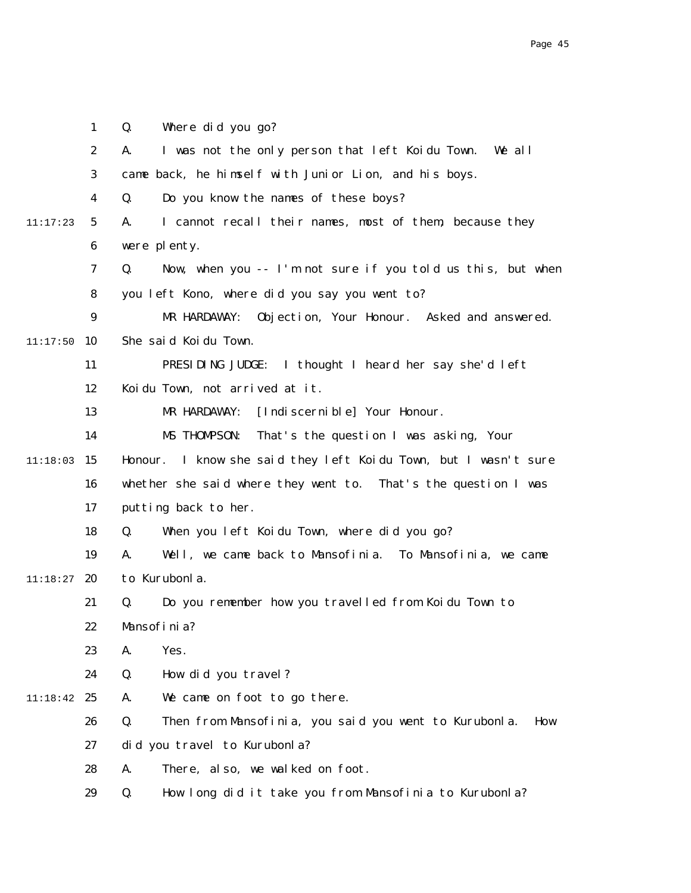|          | $\mathbf{1}$     | Where did you go?<br>Q.                                            |
|----------|------------------|--------------------------------------------------------------------|
|          | $\boldsymbol{2}$ | I was not the only person that left Koidu Town.<br>We all<br>A.    |
|          | 3                | came back, he himself with Junior Lion, and his boys.              |
|          | 4                | Do you know the names of these boys?<br>Q.                         |
| 11:17:23 | $5\phantom{.0}$  | I cannot recall their names, most of them, because they<br>A.      |
|          | $\boldsymbol{6}$ | were plenty.                                                       |
|          | 7                | Now, when you -- I'm not sure if you told us this, but when<br>Q.  |
|          | 8                | you left Kono, where did you say you went to?                      |
|          | $\boldsymbol{9}$ | Objection, Your Honour. Asked and answered.<br>MR HARDAWAY:        |
| 11:17:50 | 10               | She said Koidu Town.                                               |
|          | 11               | PRESIDING JUDGE: I thought I heard her say she'd left              |
|          | 12               | Koidu Town, not arrived at it.                                     |
|          | 13               | [Indi scerni ble] Your Honour.<br>MR HARDAWAY:                     |
|          | 14               | MS THOMPSON:<br>That's the question I was asking, Your             |
| 11:18:03 | 15               | I know she said they left Koidu Town, but I wasn't sure<br>Honour. |
|          | 16               | whether she said where they went to. That's the question I was     |
|          | 17               | putting back to her.                                               |
|          | 18               | When you left Koidu Town, where did you go?<br>Q.                  |
|          | 19               | Well, we came back to Mansofinia. To Mansofinia, we came<br>A.     |
| 11:18:27 | 20               | to Kurubonla.                                                      |
|          | 21               | Do you remember how you travelled from Koidu Town to<br>Q.         |
|          | 22               | Mansofinia?                                                        |
|          | 23               | Yes.<br>A.                                                         |
|          | 24               | How did you travel?<br>Q.                                          |
| 11:18:42 | 25               | We came on foot to go there.<br>A.                                 |
|          | 26               | Then from Mansofinia, you said you went to Kurubonla.<br>Q.<br>How |
|          | 27               | did you travel to Kurubonla?                                       |
|          | 28               | There, also, we walked on foot.<br>A.                              |
|          | 29               | Q.<br>How long did it take you from Mansofinia to Kurubonla?       |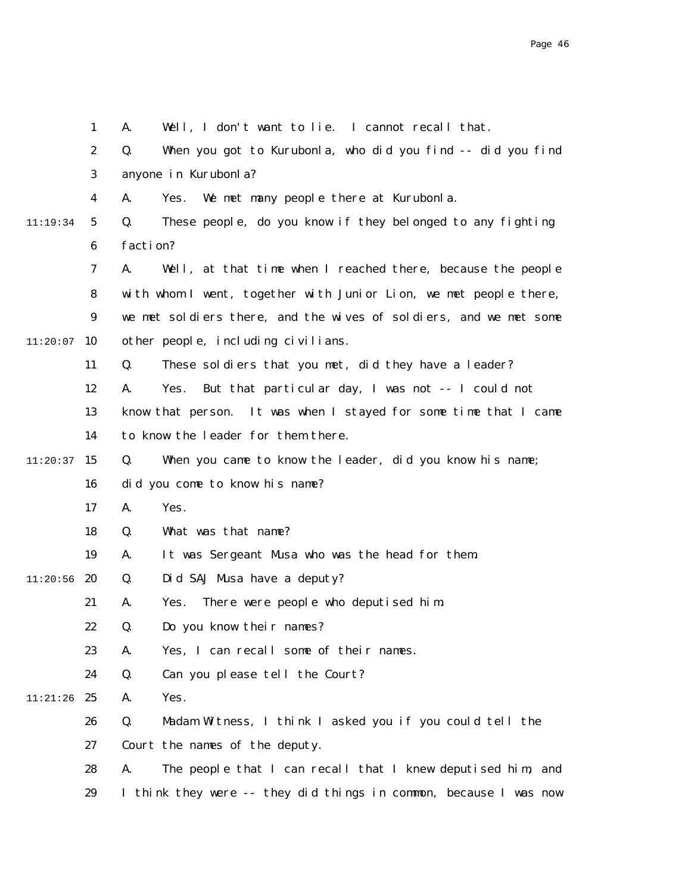|          | $\mathbf{1}$     | Well, I don't want to lie. I cannot recall that.<br>A.            |
|----------|------------------|-------------------------------------------------------------------|
|          | $\boldsymbol{2}$ | When you got to Kurubonla, who did you find -- did you find<br>Q. |
|          | 3                | anyone in Kurubonla?                                              |
|          | $\boldsymbol{4}$ | We met many people there at Kurubonla.<br>A.<br>Yes.              |
| 11:19:34 | $5\phantom{.0}$  | These people, do you know if they belonged to any fighting<br>Q.  |
|          | 6                | faction?                                                          |
|          | 7                | A.<br>Well, at that time when I reached there, because the people |
|          | 8                | with whom I went, together with Junior Lion, we met people there, |
|          | 9                | we met soldiers there, and the wives of soldiers, and we met some |
| 11:20:07 | 10               | other people, including civilians.                                |
|          | 11               | Q.<br>These soldiers that you met, did they have a leader?        |
|          | 12               | But that particular day, I was not -- I could not<br>A.<br>Yes.   |
|          | 13               | know that person. It was when I stayed for some time that I came  |
|          | 14               | to know the leader for them there.                                |
| 11:20:37 | 15               | Q.<br>When you came to know the leader, did you know his name;    |
|          | 16               | did you come to know his name?                                    |
|          | 17               | A.<br>Yes.                                                        |
|          | 18               | What was that name?<br>Q.                                         |
|          | 19               | A.<br>It was Sergeant Musa who was the head for them.             |
| 11:20:56 | 20               | Did SAJ Musa have a deputy?<br>Q.                                 |
|          | 21               | There were people who deputised him.<br>A.<br>Yes.                |
|          | 22               | Do you know their names?<br>Q.                                    |
|          | 23               | Yes, I can recall some of their names.<br>A.                      |
|          | 24               | Can you please tell the Court?<br>Q.                              |
| 11:21:26 | 25               | Yes.<br>A.                                                        |
|          | 26               | Q.<br>Madam Witness, I think I asked you if you could tell the    |
|          | 27               | Court the names of the deputy.                                    |
|          | 28               | A.<br>The people that I can recall that I knew deputised him, and |
|          | 29               | I think they were -- they did things in common, because I was now |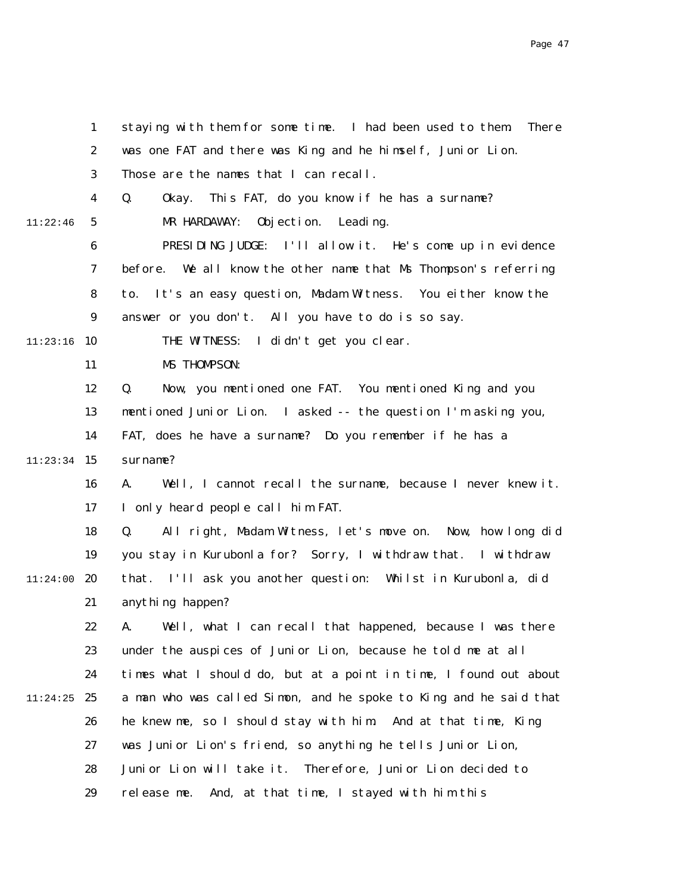|          | $\mathbf{1}$     | staying with them for some time. I had been used to them<br><b>There</b> |
|----------|------------------|--------------------------------------------------------------------------|
|          | $\boldsymbol{2}$ | was one FAT and there was King and he himself, Junior Lion.              |
|          | 3                | Those are the names that I can recall.                                   |
|          | 4                | Q.<br>This FAT, do you know if he has a surname?<br>0kay.                |
| 11:22:46 | $5\phantom{.0}$  | MR HARDAWAY:<br>Objection. Leading.                                      |
|          | $\boldsymbol{6}$ | PRESIDING JUDGE: I'll allow it. He's come up in evidence                 |
|          | 7                | before. We all know the other name that Ms Thompson's referring          |
|          | 8                | It's an easy question, Madam Witness. You either know the<br>to.         |
|          | $\boldsymbol{9}$ | answer or you don't. All you have to do is so say.                       |
| 11:23:16 | 10               | THE WITNESS: I didn't get you clear.                                     |
|          | 11               | MS THOMPSON:                                                             |
|          | 12               | Q.<br>Now, you mentioned one FAT. You mentioned King and you             |
|          | 13               | mentioned Junior Lion. I asked -- the question I'm asking you,           |
|          | 14               | FAT, does he have a surname? Do you remember if he has a                 |
| 11:23:34 | <b>15</b>        | surname?                                                                 |
|          | 16               | Well, I cannot recall the surname, because I never knew it.<br>A.        |
|          | 17               | I only heard people call him FAT.                                        |
|          | 18               | All right, Madam Witness, let's move on. Now, how long did<br>Q.         |
|          | 19               | you stay in Kurubonla for? Sorry, I withdraw that. I withdraw            |
| 11:24:00 | 20               | that. I'll ask you another question: Whilst in Kurubonla, did            |
|          | 21               | anything happen?                                                         |
|          | 22               | A. Well, what I can recall that happened, because I was there            |
|          | 23               | under the auspices of Junior Lion, because he told me at all             |
|          | 24               | times what I should do, but at a point in time, I found out about        |
| 11:24:25 | 25               | a man who was called Simon, and he spoke to King and he said that        |
|          | 26               | he knew me, so I should stay with him. And at that time, King            |
|          | 27               | was Junior Lion's friend, so anything he tells Junior Lion,              |
|          | 28               | Junior Lion will take it.<br>Therefore, Junior Lion decided to           |
|          | 29               | release me.<br>And, at that time, I stayed with him this                 |
|          |                  |                                                                          |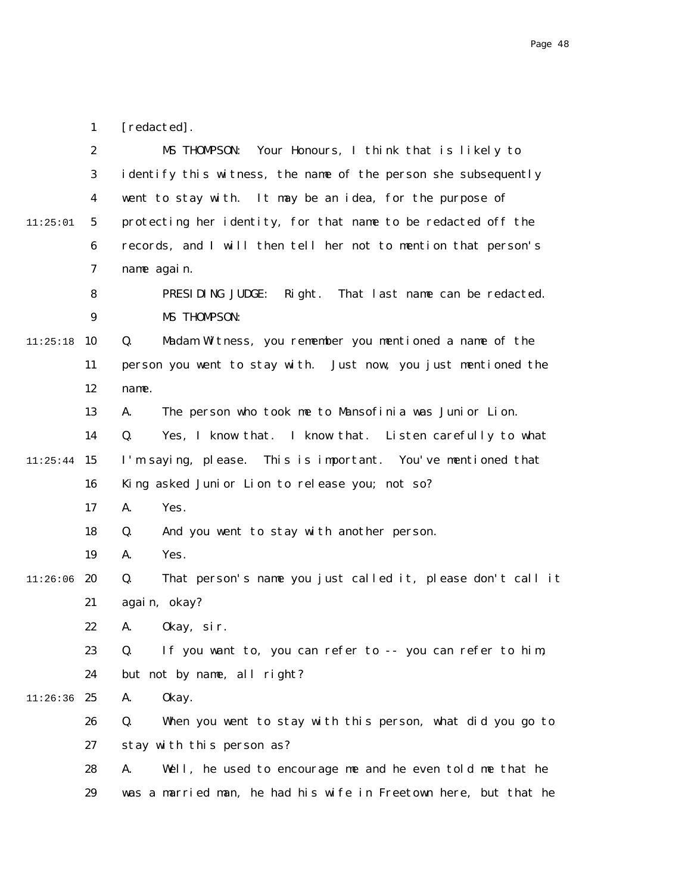|          | $\boldsymbol{2}$ | MS THOMPSON:<br>Your Honours, I think that is likely to           |
|----------|------------------|-------------------------------------------------------------------|
|          | 3                | identify this witness, the name of the person she subsequently    |
|          | 4                | went to stay with. It may be an idea, for the purpose of          |
| 11:25:01 | $\mathbf{5}$     | protecting her identity, for that name to be redacted off the     |
|          | 6                | records, and I will then tell her not to mention that person's    |
|          | 7                | name again.                                                       |
|          | 8                | Right. That last name can be redacted.<br>PRESIDING JUDGE:        |
|          | $\boldsymbol{9}$ | MS THOMPSON:                                                      |
| 11:25:18 | 10               | Madam Witness, you remember you mentioned a name of the<br>Q.     |
|          | 11               | person you went to stay with. Just now, you just mentioned the    |
|          | 12               | name.                                                             |
|          | 13               | The person who took me to Mansofinia was Junior Lion.<br>A.       |
|          | 14               | Yes, I know that. I know that. Listen carefully to what<br>Q.     |
| 11:25:44 | 15               | This is important. You've mentioned that<br>I'm saying, please.   |
|          | 16               | King asked Junior Lion to release you; not so?                    |
|          | 17               | Yes.<br>A.                                                        |
|          | 18               | And you went to stay with another person.<br>Q.                   |
|          | 19               | Yes.<br>A.                                                        |
| 11:26:06 | 20               | That person's name you just called it, please don't call it<br>Q. |
|          | 21               | again, okay?                                                      |
|          | 22               | 0kay, sir.<br>A.                                                  |
|          | 23               | If you want to, you can refer to -- you can refer to him,<br>Q.   |
|          | 24               | but not by name, all right?                                       |
| 11:26:36 | 25               | 0kay.<br>A.                                                       |
|          | 26               | Q.<br>When you went to stay with this person, what did you go to  |
|          | 27               | stay with this person as?                                         |
|          | 28               | Well, he used to encourage me and he even told me that he<br>A.   |
|          | 29               | was a married man, he had his wife in Freetown here, but that he  |

1

[redacted].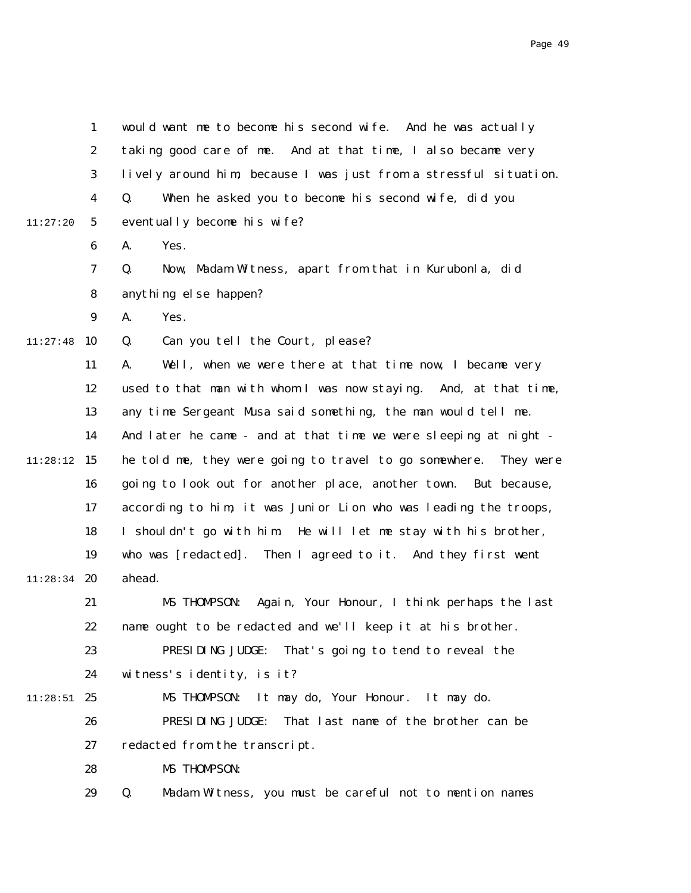|          | 1                | would want me to become his second wife. And he was actually      |
|----------|------------------|-------------------------------------------------------------------|
|          | $\boldsymbol{2}$ | taking good care of me. And at that time, I also became very      |
|          | 3                | lively around him, because I was just from a stressful situation. |
|          | 4                | When he asked you to become his second wife, did you<br>Q.        |
| 11:27:20 | 5                | eventually become his wife?                                       |
|          | 6                | Yes.<br>A.                                                        |
|          | $\mathbf 7$      | Now, Madam Witness, apart from that in Kurubonla, did<br>Q.       |
|          | 8                | anything else happen?                                             |
|          | 9                | Yes.<br>A.                                                        |
| 11:27:48 | 10               | Can you tell the Court, please?<br>Q.                             |
|          | 11               | Well, when we were there at that time now, I became very<br>A.    |
|          | 12               | used to that man with whom I was now staying. And, at that time,  |
|          | 13               | any time Sergeant Musa said something, the man would tell me.     |
|          | 14               | And later he came - and at that time we were sleeping at night -  |
| 11:28:12 | 15               | he told me, they were going to travel to go somewhere. They were  |
|          | 16               | going to look out for another place, another town. But because,   |
|          | 17               | according to him, it was Junior Lion who was leading the troops,  |
|          | 18               | I shouldn't go with him. He will let me stay with his brother,    |
|          | 19               | who was [redacted]. Then I agreed to it. And they first went      |
| 11:28:34 | 20               | ahead.                                                            |
|          | 21               | Again, Your Honour, I think perhaps the last<br>MS THOMPSON:      |
|          | 22               | name ought to be redacted and we'll keep it at his brother.       |
|          | 23               | PRESIDING JUDGE:<br>That's going to tend to reveal the            |
|          | 24               | witness's identity, is it?                                        |
| 11:28:51 | 25               | MS THOMPSON:<br>It may do, Your Honour. It may do.                |
|          | 26               | PRESIDING JUDGE:<br>That last name of the brother can be          |
|          | 27               | redacted from the transcript.                                     |
|          | 28               | MS THOMPSON:                                                      |
|          | 29               | Madam Witness, you must be careful not to mention names<br>Q.     |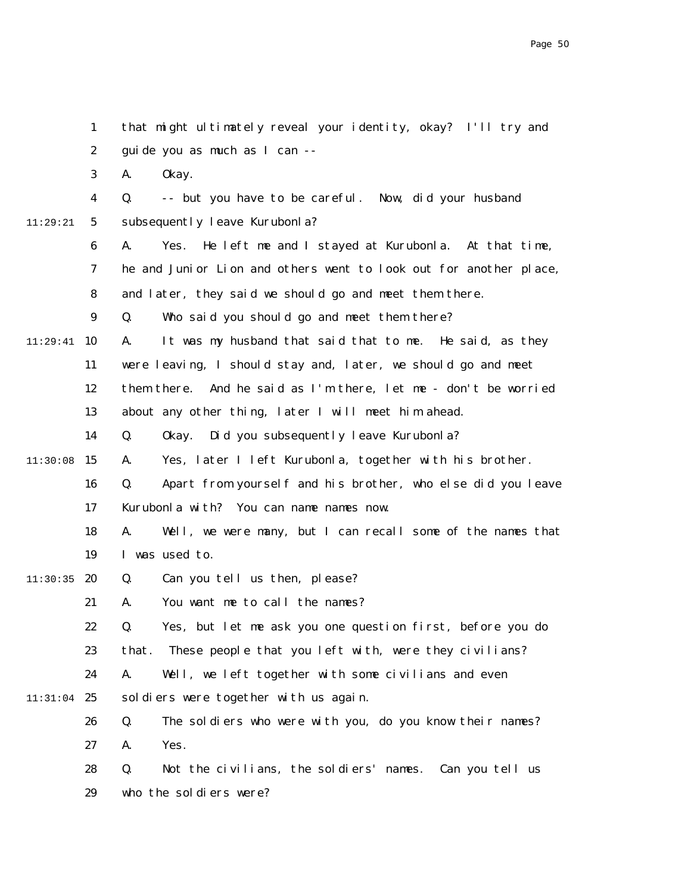|          | $\mathbf{1}$     | that might ultimately reveal your identity, okay? I'll try and          |
|----------|------------------|-------------------------------------------------------------------------|
|          | $\boldsymbol{2}$ | guide you as much as I can --                                           |
|          | 3                | 0kay.<br>A.                                                             |
|          | 4                | -- but you have to be careful. Now, did your husband<br>Q.              |
| 11:29:21 | $5\phantom{.0}$  | subsequently leave Kurubonla?                                           |
|          | $\boldsymbol{6}$ | He left me and I stayed at Kurubonla. At that time,<br>A.<br>Yes.       |
|          | 7                | he and Junior Lion and others went to look out for another place,       |
|          | 8                | and later, they said we should go and meet them there.                  |
|          | $\boldsymbol{9}$ | Who said you should go and meet them there?<br>Q.                       |
| 11:29:41 | 10               | It was my husband that said that to me. He said, as they<br>A.          |
|          | 11               | were leaving, I should stay and, later, we should go and meet           |
|          | 12               | them there. And he said as I'm there, let me - don't be worried         |
|          | 13               | about any other thing, later I will meet him ahead.                     |
|          | 14               | Q.<br>Okay. Did you subsequently leave Kurubonla?                       |
| 11:30:08 | 15               | Yes, later I left Kurubonla, together with his brother.<br>A.           |
|          | 16               | Apart from yourself and his brother, who else did you leave<br>Q.       |
|          | 17               | Kurubonla with? You can name names now.                                 |
|          | 18               | A.<br>Well, we were many, but I can recall some of the names that       |
|          | 19               | I was used to.                                                          |
| 11:30:35 | 20               | Can you tell us then, please?<br>Q.                                     |
|          | 21               | You want me to call the names?<br>A.                                    |
|          | 22               | Yes, but let me ask you one question first, before you do<br>$\Omega$ . |
|          | 23               | These people that you left with, were they civilians?<br>that.          |
|          | 24               | Well, we left together with some civilians and even<br>A.               |
| 11:31:04 | 25               | soldiers were together with us again.                                   |
|          | 26               | The soldiers who were with you, do you know their names?<br>Q.          |
|          | 27               | Yes.<br>A.                                                              |
|          | 28               | Not the civilians, the soldiers' names.<br>Q.<br>Can you tell us        |
|          | 29               | who the soldiers were?                                                  |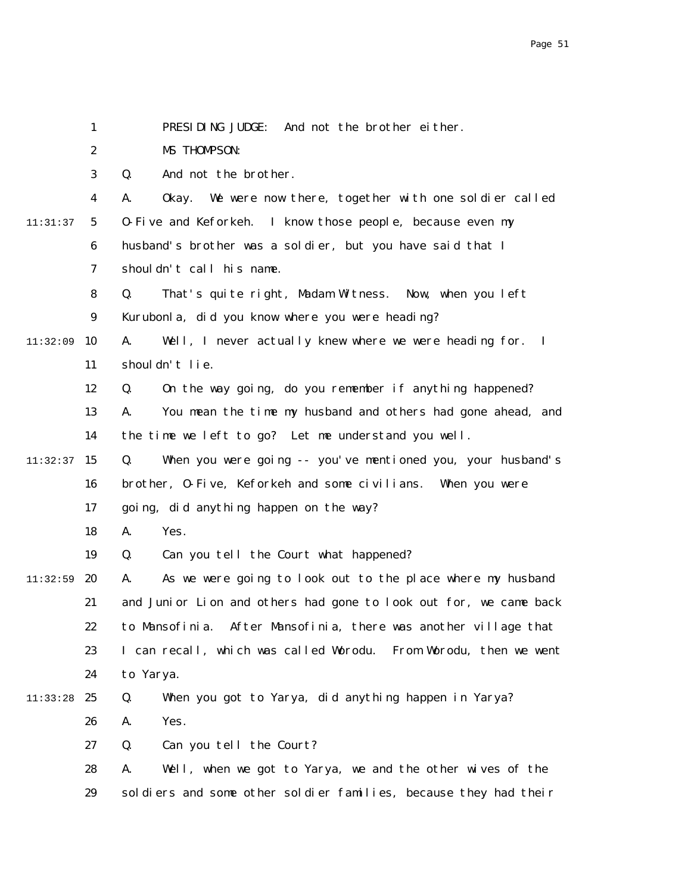|          | $\mathbf{1}$            | PRESIDING JUDGE:<br>And not the brother either.                              |
|----------|-------------------------|------------------------------------------------------------------------------|
|          | $\boldsymbol{2}$        | MS THOMPSON:                                                                 |
|          | 3                       | And not the brother.<br>Q.                                                   |
|          | $\overline{\mathbf{4}}$ | We were now there, together with one soldier called<br>0kay.<br>A.           |
| 11:31:37 | $5\phantom{.0}$         | 0-Five and Keforkeh. I know those people, because even my                    |
|          | 6                       | husband's brother was a soldier, but you have said that I                    |
|          | 7                       | shouldn't call his name.                                                     |
|          | 8                       | Q.<br>That's quite right, Madam Witness. Now, when you left                  |
|          | $\boldsymbol{9}$        | Kurubonla, did you know where you were heading?                              |
| 11:32:09 | 10                      | Well, I never actually knew where we were heading for.<br>A.<br>$\mathbf{I}$ |
|          | 11                      | shouldn't lie.                                                               |
|          | 12                      | On the way going, do you remember if anything happened?<br>Q.                |
|          | 13                      | You mean the time my husband and others had gone ahead, and<br>A.            |
|          | 14                      | the time we left to go? Let me understand you well.                          |
| 11:32:37 | 15                      | When you were going -- you've mentioned you, your husband's<br>Q.            |
|          | 16                      | brother, 0-Five, Keforkeh and some civilians. When you were                  |
|          | 17                      | going, did anything happen on the way?                                       |
|          | 18                      | A.<br>Yes.                                                                   |
|          | 19                      | Q.<br>Can you tell the Court what happened?                                  |
| 11:32:59 | 20                      | As we were going to look out to the place where my husband<br>A.             |
|          | 21                      | and Junior Lion and others had gone to look out for, we came back            |
|          | 22                      | to Mansofinia. After Mansofinia, there was another village that              |
|          | 23                      | I can recall, which was called Worodu. From Worodu, then we went             |
|          | 24                      | to Yarya.                                                                    |
| 11:33:28 | 25                      | When you got to Yarya, did anything happen in Yarya?<br>Q.                   |
|          | 26                      | Yes.<br>A.                                                                   |
|          | 27                      | Q.<br>Can you tell the Court?                                                |
|          | 28                      | Well, when we got to Yarya, we and the other wives of the<br>A.              |
|          | 29                      | soldiers and some other soldier families, because they had their             |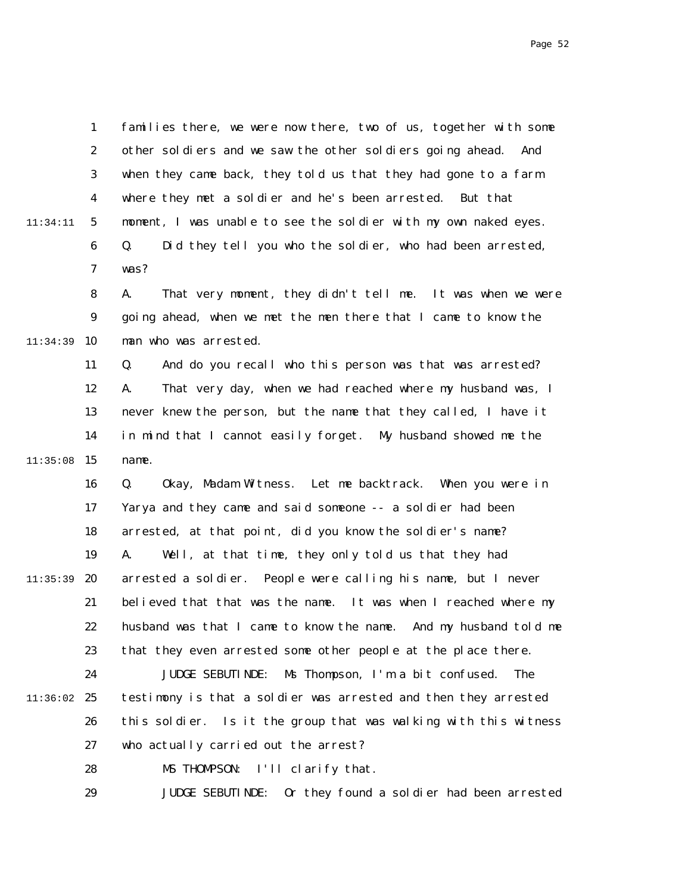Page 52

1 2 3 4 5 6 7 8 9  $10$ 11 12 13 14  $11:35:08$  15 16 17 18 19 20 21 22 23 24 11:36:02 25 26 27 28 29 11:34:11 11:34:39 11:35:39 families there, we were now there, two of us, together with some other soldiers and we saw the other soldiers going ahead. And when they came back, they told us that they had gone to a farm where they met a soldier and he's been arrested. But that moment, I was unable to see the soldier with my own naked eyes. Q. Did they tell you who the soldier, who had been arrested, was? A. That very moment, they didn't tell me. It was when we were going ahead, when we met the men there that I came to know the man who was arrested. Q. And do you recall who this person was that was arrested? A. That very day, when we had reached where my husband was, I never knew the person, but the name that they called, I have it in mind that I cannot easily forget. My husband showed me the name. Q. Okay, Madam Witness. Let me backtrack. When you were in Yarya and they came and said someone -- a soldier had been arrested, at that point, did you know the soldier's name? A. Well, at that time, they only told us that they had arrested a soldier. People were calling his name, but I never believed that that was the name. It was when I reached where my husband was that I came to know the name. And my husband told me that they even arrested some other people at the place there. JUDGE SEBUTINDE: Ms Thompson, I'm a bit confused. The testimony is that a soldier was arrested and then they arrested this soldier. Is it the group that was walking with this witness who actually carried out the arrest? MS THOMPSON: I'll clarify that. JUDGE SEBUTINDE: Or they found a soldier had been arrested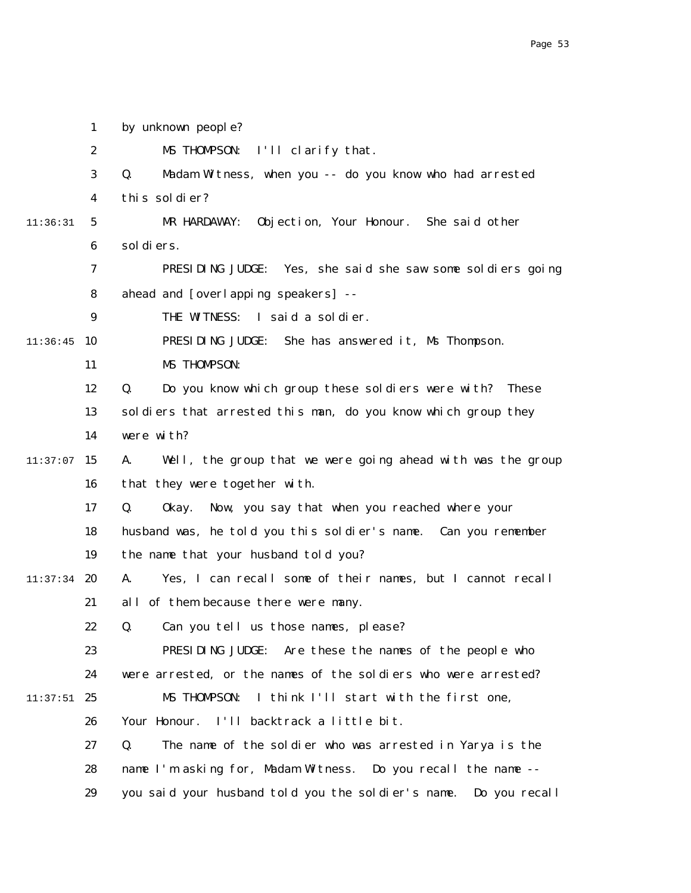1 2 3 4 5 6 7 8 9  $11:36:45$  10 11 12 13 14  $11:37:07$  15 16 17 18 19  $11:37:34$  20 21 22 23 24  $11:37:51$  25 26 27 28 29 11:36:31 by unknown people? MS THOMPSON: I'll clarify that. Q. Madam Witness, when you -- do you know who had arrested this soldier? MR HARDAWAY: Objection, Your Honour. She said other soldiers. PRESIDING JUDGE: Yes, she said she saw some soldiers going ahead and [overlapping speakers] -- THE WITNESS: I said a soldier. PRESIDING JUDGE: She has answered it, Ms Thompson. MS THOMPSON: Q. Do you know which group these soldiers were with? These soldiers that arrested this man, do you know which group they were with? A. Well, the group that we were going ahead with was the group that they were together with. Q. Okay. Now, you say that when you reached where your husband was, he told you this soldier's name. Can you remember the name that your husband told you? A. Yes, I can recall some of their names, but I cannot recall all of them because there were many. Q. Can you tell us those names, please? PRESIDING JUDGE: Are these the names of the people who were arrested, or the names of the soldiers who were arrested? MS THOMPSON: I think I'll start with the first one, Your Honour. I'll backtrack a little bit. Q. The name of the soldier who was arrested in Yarya is the name I'm asking for, Madam Witness. Do you recall the name - you said your husband told you the soldier's name. Do you recall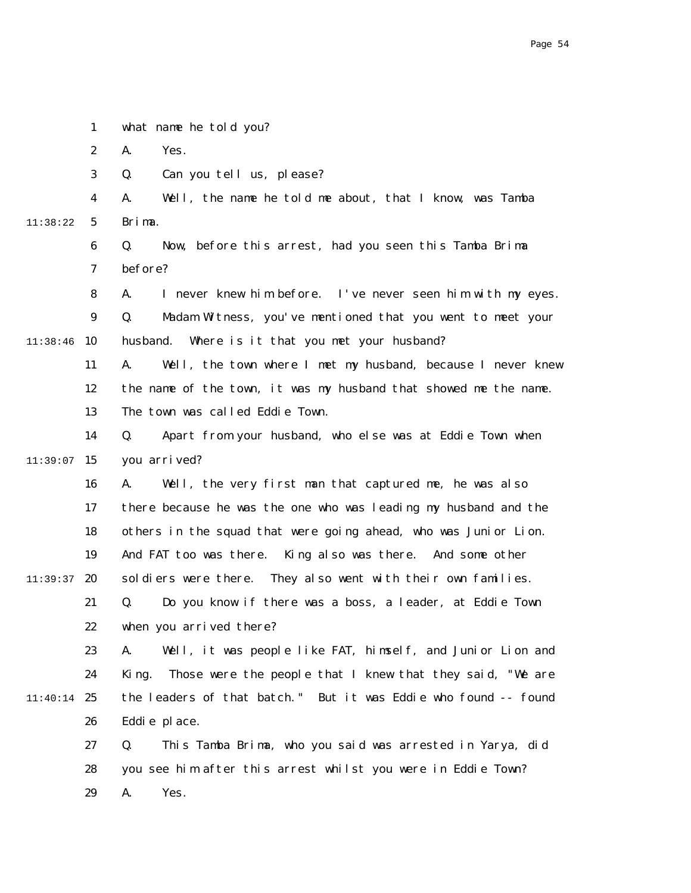|          | $\mathbf{1}$     | what name he told you?                                             |
|----------|------------------|--------------------------------------------------------------------|
|          | $\boldsymbol{2}$ | Yes.<br>A.                                                         |
|          | 3                | Can you tell us, please?<br>Q.                                     |
|          | 4                | Well, the name he told me about, that I know, was Tamba<br>A.      |
| 11:38:22 | 5                | Brima.                                                             |
|          | 6                | Q.<br>Now, before this arrest, had you seen this Tamba Brima       |
|          | 7                | before?                                                            |
|          | 8                | I never knew him before. I've never seen him with my eyes.<br>А.   |
|          | 9                | Madam Witness, you've mentioned that you went to meet your<br>Q.   |
| 11:38:46 | 10               | Where is it that you met your husband?<br>husband.                 |
|          | 11               | Well, the town where I met my husband, because I never knew<br>A.  |
|          | 12               | the name of the town, it was my husband that showed me the name.   |
|          | 13               | The town was called Eddie Town.                                    |
|          | 14               | Apart from your husband, who else was at Eddie Town when<br>Q.     |
| 11:39:07 | 15               | you arrived?                                                       |
|          | 16               | Well, the very first man that captured me, he was also<br>A.       |
|          | 17               | there because he was the one who was leading my husband and the    |
|          | 18               | others in the squad that were going ahead, who was Junior Lion.    |
|          | 19               | And FAT too was there. King also was there. And some other         |
| 11:39:37 | 20               | soldiers were there. They also went with their own families.       |
|          | 21               | Do you know if there was a boss, a leader, at Eddie Town<br>Q.     |
|          | 22               | when you arrived there?                                            |
|          | 23               | Well, it was people like FAT, himself, and Junior Lion and<br>A.   |
|          | 24               | Those were the people that I knew that they said, "We are<br>King. |
| 11:40:14 | 25               | the leaders of that batch." But it was Eddie who found -- found    |
|          | 26               | Eddie place.                                                       |
|          | 27               | This Tamba Brima, who you said was arrested in Yarya, did<br>Q.    |
|          | 28               | you see him after this arrest whilst you were in Eddie Town?       |
|          | 29               | A.<br>Yes.                                                         |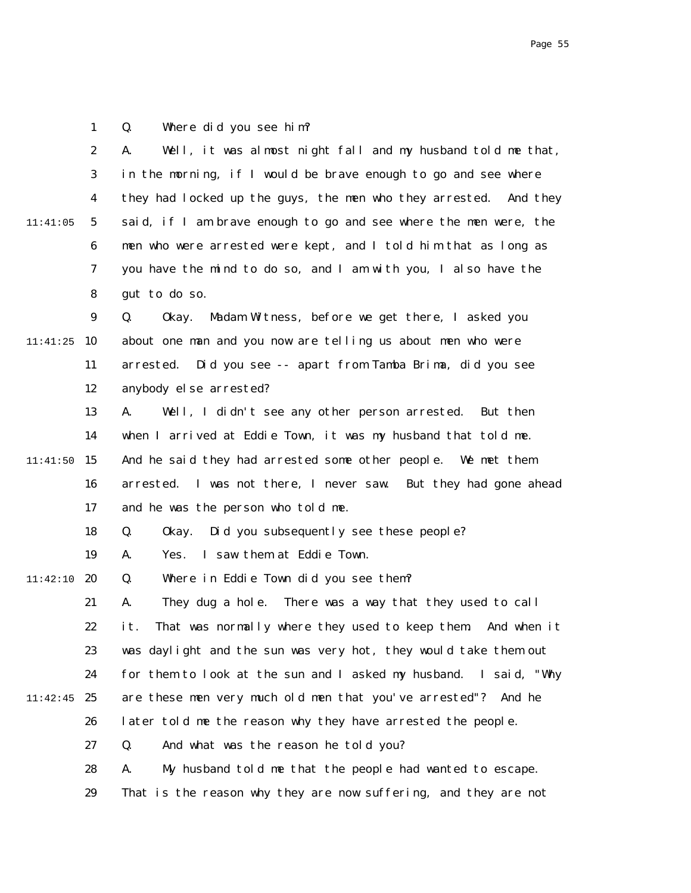1 Q. Where did you see him?

|          | $\boldsymbol{2}$ | Well, it was almost night fall and my husband told me that,<br>A.  |
|----------|------------------|--------------------------------------------------------------------|
|          | $\boldsymbol{3}$ | in the morning, if I would be brave enough to go and see where     |
|          | $\boldsymbol{4}$ | they had locked up the guys, the men who they arrested. And they   |
| 11:41:05 | $\mathbf 5$      | said, if I am brave enough to go and see where the men were, the   |
|          | 6                | men who were arrested were kept, and I told him that as long as    |
|          | 7                | you have the mind to do so, and I am with you, I also have the     |
|          | ${\bf 8}$        | gut to do so.                                                      |
|          | $\boldsymbol{9}$ | Q.<br>Madam Witness, before we get there, I asked you<br>0kay.     |
| 11:41:25 | 10               | about one man and you now are telling us about men who were        |
|          | 11               | Did you see -- apart from Tamba Brima, did you see<br>arrested.    |
|          | 12               | anybody else arrested?                                             |
|          | 13               | Well, I didn't see any other person arrested. But then<br>A.       |
|          | 14               | when I arrived at Eddie Town, it was my husband that told me.      |
| 11:41:50 | 15               | And he said they had arrested some other people. We met them       |
|          | 16               | I was not there, I never saw. But they had gone ahead<br>arrested. |
|          | 17               | and he was the person who told me.                                 |
|          | 18               | Did you subsequently see these people?<br>Q.<br>0kay.              |
|          | 19               | I saw them at Eddie Town.<br>A.<br>Yes.                            |
| 11:42:10 | 20               | Where in Eddie Town did you see them?<br>Q.                        |
|          | 21               | They dug a hole. There was a way that they used to call<br>A.      |
|          | 22               | That was normally where they used to keep them. And when it<br>it. |
|          | 23               | was daylight and the sun was very hot, they would take them out    |
|          | 24               | for them to look at the sun and I asked my husband. I said, "Why   |
| 11:42:45 | 25               | are these men very much old men that you've arrested"? And he      |
|          | 26               | later told me the reason why they have arrested the people.        |
|          | 27               | And what was the reason he told you?<br>Q.                         |
|          | 28               | My husband told me that the people had wanted to escape.<br>A.     |
|          | 29               | That is the reason why they are now suffering, and they are not    |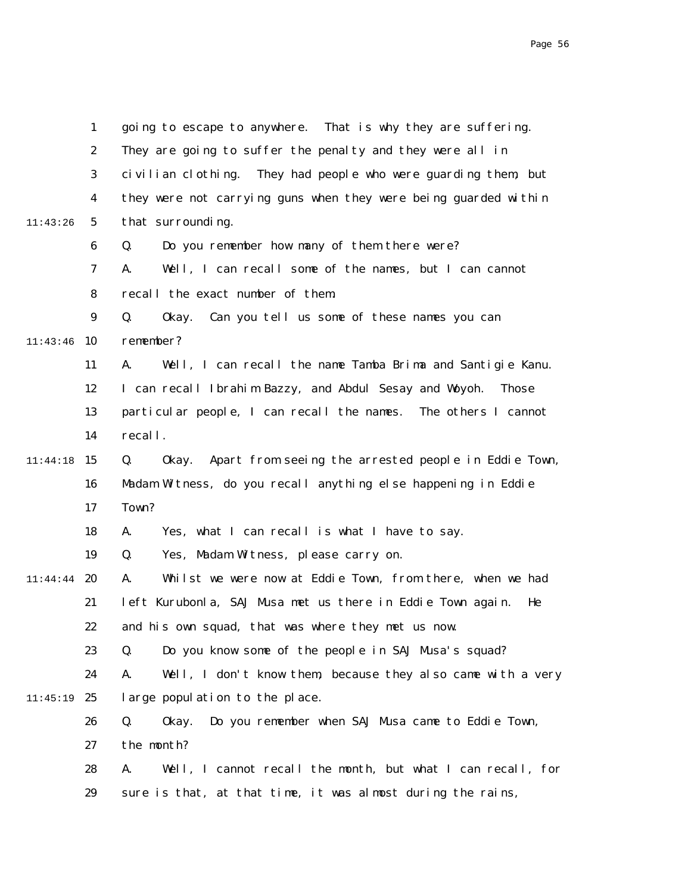|          | $\mathbf{1}$     | going to escape to anywhere. That is why they are suffering.           |
|----------|------------------|------------------------------------------------------------------------|
|          | $\boldsymbol{2}$ | They are going to suffer the penalty and they were all in              |
|          | 3                | civilian clothing. They had people who were guarding them, but         |
|          | $\boldsymbol{4}$ | they were not carrying guns when they were being guarded within        |
| 11:43:26 | 5                | that surrounding.                                                      |
|          | $\boldsymbol{6}$ | Do you remember how many of them there were?<br>Q.                     |
|          | 7                | Well, I can recall some of the names, but I can cannot<br>A.           |
|          | 8                | recall the exact number of them.                                       |
|          | 9                | Can you tell us some of these names you can<br>Q.<br>0kay.             |
| 11:43:46 | 10               | remember?                                                              |
|          | 11               | A.<br>Well, I can recall the name Tamba Brima and Santigie Kanu.       |
|          | 12               | I can recall Ibrahim Bazzy, and Abdul Sesay and Woyoh.<br><b>Those</b> |
|          | 13               | particular people, I can recall the names. The others I cannot         |
|          | 14               | recall.                                                                |
| 11:44:18 | 15               | Q.<br>Apart from seeing the arrested people in Eddie Town,<br>0kay.    |
|          | 16               | Madam Witness, do you recall anything else happening in Eddie          |
|          | 17               | Town?                                                                  |
|          | 18               | A.<br>Yes, what I can recall is what I have to say.                    |
|          | 19               | Q.<br>Yes, Madam Witness, please carry on.                             |
| 11:44:44 | 20               | A.<br>Whilst we were now at Eddie Town, from there, when we had        |
|          | 21               | left Kurubonla, SAJ Musa met us there in Eddie Town again.<br>He       |
|          | 22               | and his own squad, that was where they met us now.                     |
|          | 23               | Do you know some of the people in SAJ Musa's squad?<br>Q.              |
|          | 24               | Well, I don't know them, because they also came with a very<br>A.      |
| 11:45:19 | 25               | large population to the place.                                         |
|          | 26               | Do you remember when SAJ Musa came to Eddie Town,<br>Q.<br>0kay.       |
|          | 27               | the month?                                                             |
|          | 28               | Well, I cannot recall the month, but what I can recall, for<br>A.      |
|          | 29               | sure is that, at that time, it was almost during the rains,            |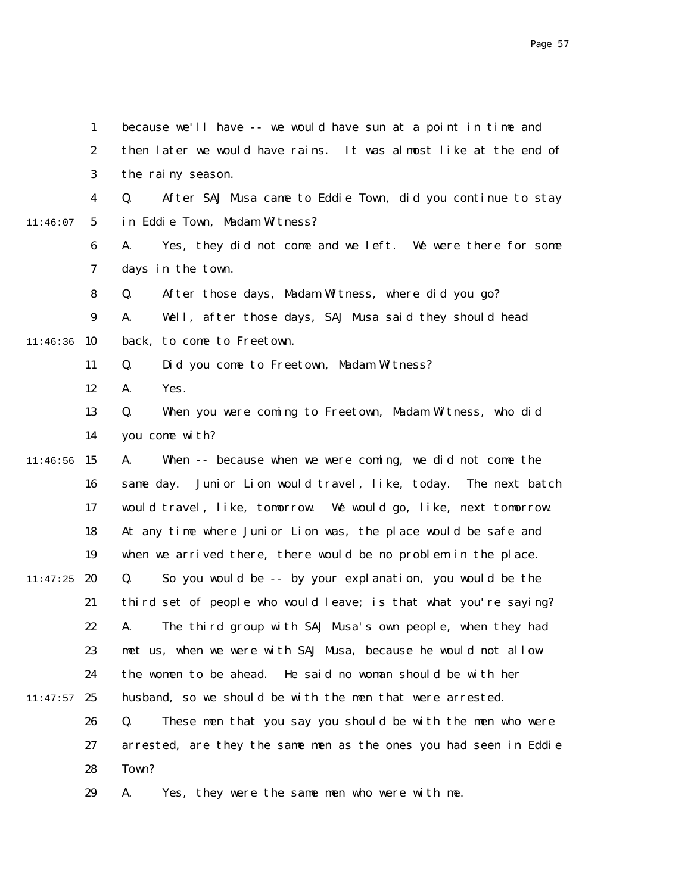|          | $\mathbf{1}$     | because we'll have -- we would have sun at a point in time and     |
|----------|------------------|--------------------------------------------------------------------|
|          | $\boldsymbol{2}$ | then later we would have rains. It was almost like at the end of   |
|          | 3                | the rainy season.                                                  |
|          | 4                | Q.<br>After SAJ Musa came to Eddie Town, did you continue to stay  |
| 11:46:07 | $5\overline{)}$  | in Eddie Town, Madam Witness?                                      |
|          | $\boldsymbol{6}$ | Yes, they did not come and we left. We were there for some<br>A.   |
|          | 7                | days in the town.                                                  |
|          | 8                | After those days, Madam Witness, where did you go?<br>Q.           |
|          | $\boldsymbol{9}$ | Well, after those days, SAJ Musa said they should head<br>A.       |
| 11:46:36 | 10               | back, to come to Freetown.                                         |
|          | 11               | Did you come to Freetown, Madam Witness?<br>Q.                     |
|          | 12               | A.<br>Yes.                                                         |
|          | 13               | Q.<br>When you were coming to Freetown, Madam Witness, who did     |
|          | 14               | you come with?                                                     |
| 11:46:56 | 15               | When -- because when we were coming, we did not come the<br>A.     |
|          | 16               | Junior Lion would travel, like, today. The next batch<br>same day. |
|          | 17               | would travel, like, tomorrow. We would go, like, next tomorrow.    |
|          | 18               | At any time where Junior Lion was, the place would be safe and     |
|          | 19               | when we arrived there, there would be no problem in the place.     |
| 11:47:25 | 20               | So you would be -- by your explanation, you would be the<br>Q.     |
|          | 21               | third set of people who would leave; is that what you're saying?   |
|          | 22               | A. The third group with SAJ Musa's own people, when they had       |
|          | 23               | met us, when we were with SAJ Musa, because he would not allow     |
|          | 24               | the women to be ahead. He said no woman should be with her         |
| 11:47:57 | 25               | husband, so we should be with the men that were arrested.          |
|          | 26               | These men that you say you should be with the men who were<br>Q.   |
|          | 27               | arrested, are they the same men as the ones you had seen in Eddie  |
|          | 28               | Town?                                                              |
|          | 29               | Yes, they were the same men who were with me.<br>A.                |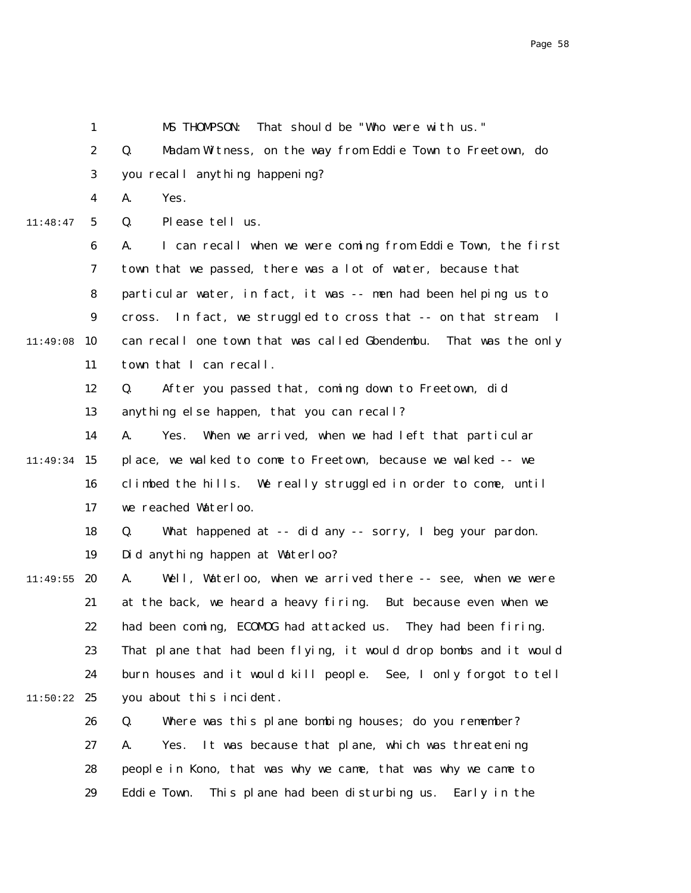2 3 4 5 6 7 8 9  $11:49:08$  10 11 12 13 14 11:49:34 15 16 17 18 19 11:49:55 **20** 21 22 23 24  $11:50:22$  25 26 27 28 29 11:48:47 Q. Madam Witness, on the way from Eddie Town to Freetown, do you recall anything happening? A. Yes. Q. Please tell us. A. I can recall when we were coming from Eddie Town, the first town that we passed, there was a lot of water, because that particular water, in fact, it was -- men had been helping us to cross. In fact, we struggled to cross that -- on that stream. I can recall one town that was called Gbendembu. That was the only town that I can recall. Q. After you passed that, coming down to Freetown, did anything else happen, that you can recall? A. Yes. When we arrived, when we had left that particular place, we walked to come to Freetown, because we walked -- we climbed the hills. We really struggled in order to come, until we reached Waterloo. Q. What happened at -- did any -- sorry, I beg your pardon. Did anything happen at Waterloo? A. Well, Waterloo, when we arrived there -- see, when we were at the back, we heard a heavy firing. But because even when we had been coming, ECOMOG had attacked us. They had been firing. That plane that had been flying, it would drop bombs and it would burn houses and it would kill people. See, I only forgot to tell you about this incident. Q. Where was this plane bombing houses; do you remember? A. Yes. It was because that plane, which was threatening people in Kono, that was why we came, that was why we came to Eddie Town. This plane had been disturbing us. Early in the

MS THOMPSON: That should be "Who were with us."

1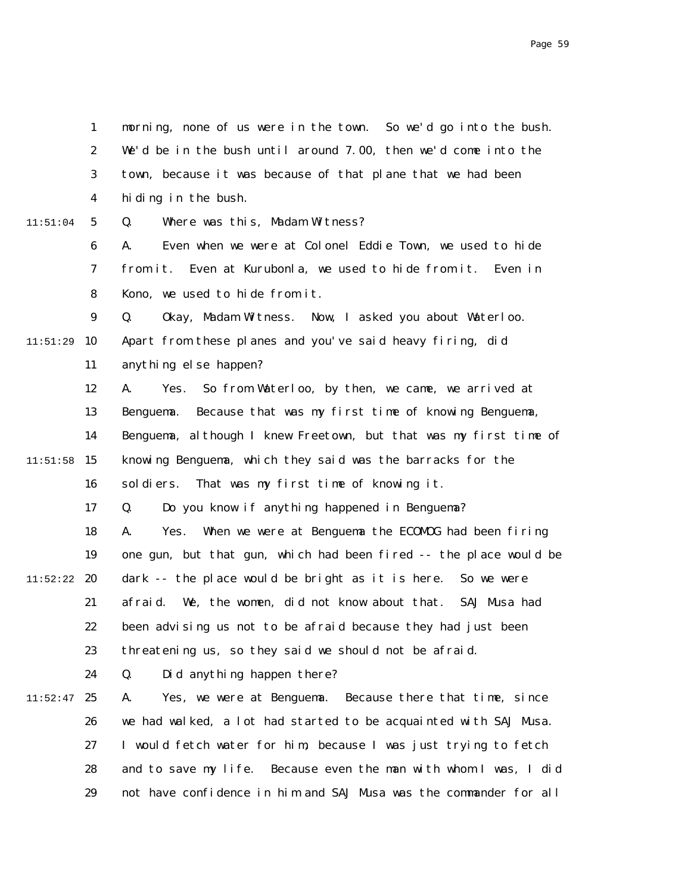|          | $\mathbf{1}$     | morning, none of us were in the town. So we'd go into the bush.   |
|----------|------------------|-------------------------------------------------------------------|
|          | $\boldsymbol{2}$ | We'd be in the bush until around 7.00, then we'd come into the    |
|          | 3                | town, because it was because of that plane that we had been       |
|          | 4                | hiding in the bush.                                               |
| 11:51:04 | $5\phantom{.0}$  | Q.<br>Where was this, Madam Witness?                              |
|          | $\boldsymbol{6}$ | Even when we were at Colonel Eddie Town, we used to hide<br>A.    |
|          | 7                | from it. Even at Kurubonla, we used to hide from it. Even in      |
|          | 8                | Kono, we used to hide from it.                                    |
|          | $\boldsymbol{9}$ | Q.<br>Okay, Madam Witness. Now, I asked you about Waterloo.       |
| 11:51:29 | 10               | Apart from these planes and you've said heavy firing, did         |
|          | 11               | anything else happen?                                             |
|          | 12               | So from Waterloo, by then, we came, we arrived at<br>A.<br>Yes.   |
|          | 13               | Because that was my first time of knowing Benguema,<br>Benguema.  |
|          | 14               | Benguema, although I knew Freetown, but that was my first time of |
| 11:51:58 | 15               | knowing Benguema, which they said was the barracks for the        |
|          | 16               | sol di ers.<br>That was my first time of knowing it.              |
|          | 17               | Do you know if anything happened in Benguema?<br>Q.               |
|          | 18               | A.<br>When we were at Benguema the ECOMOG had been firing<br>Yes. |
|          | 19               | one gun, but that gun, which had been fired -- the place would be |
| 11:52:22 | 20               | dark -- the place would be bright as it is here. So we were       |
|          | 21               | afraid. We, the women, did not know about that. SAJ Musa had      |
|          | 22               | been advising us not to be afraid because they had just been      |
|          | 23               | threatening us, so they said we should not be afraid.             |
|          | 24               | Did anything happen there?<br>Q.                                  |
| 11:52:47 | 25               | A.<br>Yes, we were at Benguema. Because there that time, since    |
|          | 26               | we had walked, a lot had started to be acquainted with SAJ Musa.  |
|          | 27               | I would fetch water for him, because I was just trying to fetch   |
|          | 28               | and to save my life. Because even the man with whom I was, I did  |
|          | 29               | not have confidence in him and SAJ Musa was the commander for all |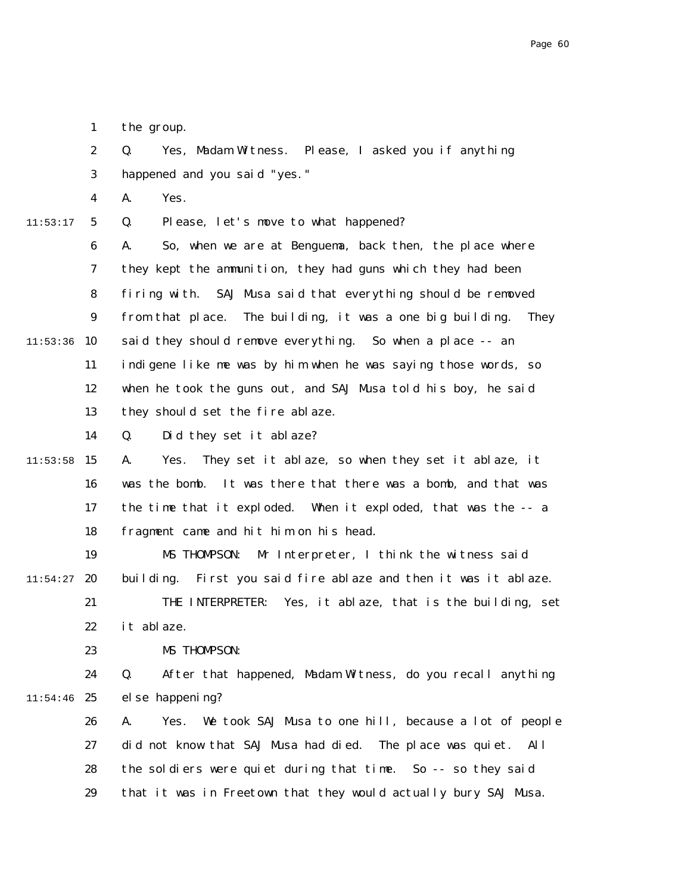1 the group.

2 3 Q. Yes, Madam Witness. Please, I asked you if anything happened and you said "yes."

4 A. Yes.

11:53:17

5 Q. Please, let's move to what happened?

6 7 8 9  $11:53:36$  10 11 12 13 A. So, when we are at Benguema, back then, the place where they kept the ammunition, they had guns which they had been firing with. SAJ Musa said that everything should be removed from that place. The building, it was a one big building. They said they should remove everything. So when a place -- an indigene like me was by him when he was saying those words, so when he took the guns out, and SAJ Musa told his boy, he said they should set the fire ablaze.

> 14 Q. Did they set it ablaze?

 $11:53:58$  15 16 17 18 A. Yes. They set it ablaze, so when they set it ablaze, it was the bomb. It was there that there was a bomb, and that was the time that it exploded. When it exploded, that was the -- a fragment came and hit him on his head.

19 20 21 11:54:27 MS THOMPSON: Mr Interpreter, I think the witness said building. First you said fire ablaze and then it was it ablaze. THE INTERPRETER: Yes, it ablaze, that is the building, set

22 it ablaze.

23 MS THOMPSON:

24  $11:54:46$  25 Q. After that happened, Madam Witness, do you recall anything else happening?

26 27 28 29 A. Yes. We took SAJ Musa to one hill, because a lot of people did not know that SAJ Musa had died. The place was quiet. All the soldiers were quiet during that time. So -- so they said that it was in Freetown that they would actually bury SAJ Musa.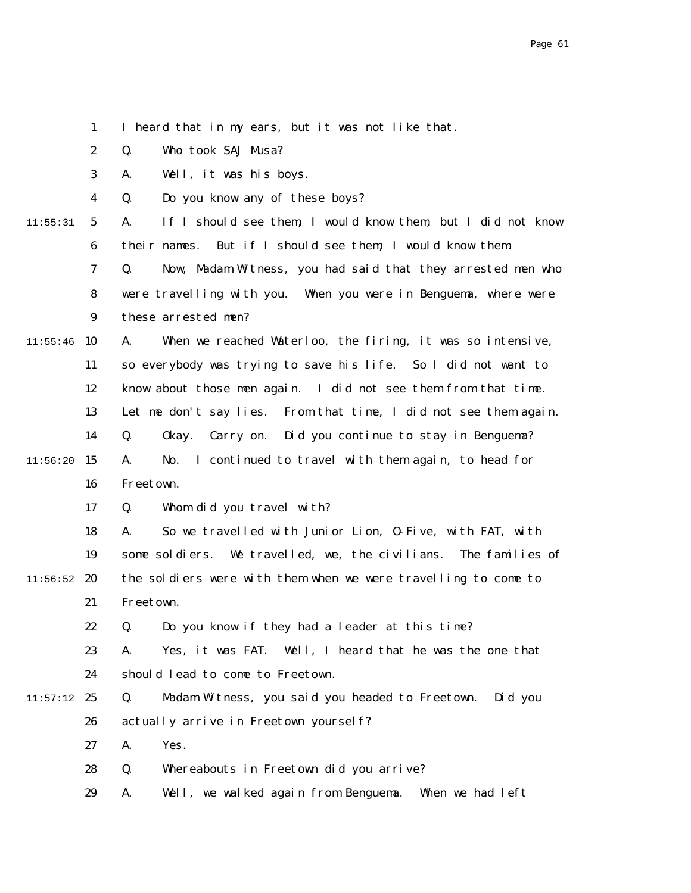1 2 3 4 5 6 7 8 9  $11:55:46$  10 11 12 13 14  $11:56:20$  15 16 17 18 19  $11:56:52$  20 21 22 23 24  $11:57:12$  25 26 27 28 29 11:55:31 I heard that in my ears, but it was not like that. Q. Who took SAJ Musa? A. Well, it was his boys. Q. Do you know any of these boys? A. If I should see them, I would know them, but I did not know their names. But if I should see them, I would know them. Q. Now, Madam Witness, you had said that they arrested men who were travelling with you. When you were in Benguema, where were these arrested men? A. When we reached Waterloo, the firing, it was so intensive, so everybody was trying to save his life. So I did not want to know about those men again. I did not see them from that time. Let me don't say lies. From that time, I did not see them again. Q. Okay. Carry on. Did you continue to stay in Benguema? A. No. I continued to travel with them again, to head for Freetown. Q. Whom did you travel with? A. So we travelled with Junior Lion, O-Five, with FAT, with some soldiers. We travelled, we, the civilians. The families of the soldiers were with them when we were travelling to come to Freetown. Q. Do you know if they had a leader at this time? A. Yes, it was FAT. Well, I heard that he was the one that should lead to come to Freetown. Q. Madam Witness, you said you headed to Freetown. Did you actually arrive in Freetown yourself? A. Yes. Q. Whereabouts in Freetown did you arrive? A. Well, we walked again from Benguema. When we had left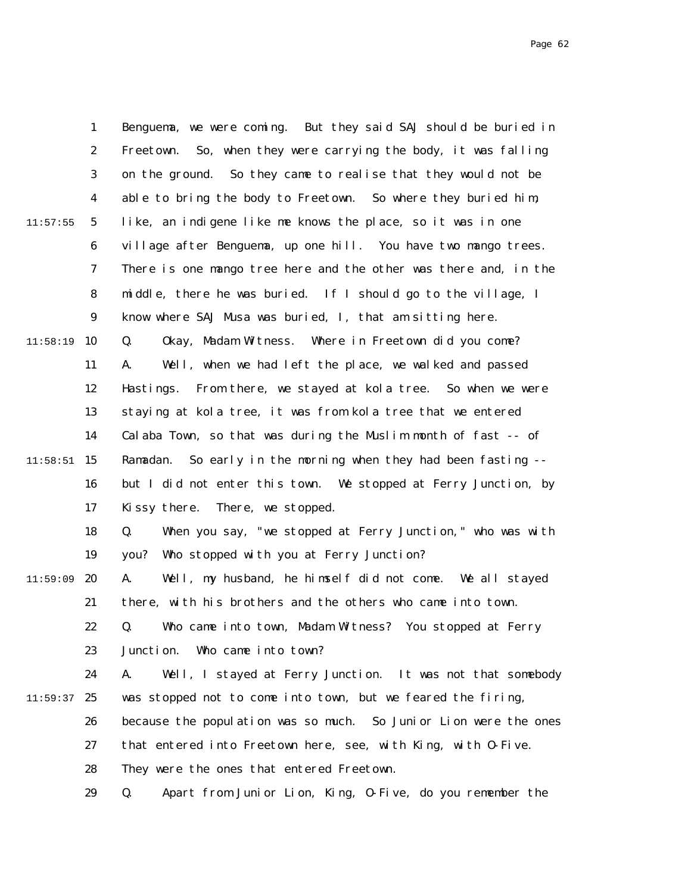|          | $\mathbf{1}$     | Benguema, we were coming. But they said SAJ should be buried in   |
|----------|------------------|-------------------------------------------------------------------|
|          | $\boldsymbol{2}$ | So, when they were carrying the body, it was falling<br>Freetown. |
|          | 3                | on the ground. So they came to realise that they would not be     |
|          | $\boldsymbol{4}$ | able to bring the body to Freetown. So where they buried him,     |
| 11:57:55 | $5\phantom{.0}$  | like, an indigene like me knows the place, so it was in one       |
|          | 6                | village after Benguema, up one hill. You have two mango trees.    |
|          | $\boldsymbol{7}$ | There is one mango tree here and the other was there and, in the  |
|          | 8                | middle, there he was buried. If I should go to the village, I     |
|          | $\boldsymbol{9}$ | know where SAJ Musa was buried, I, that am sitting here.          |
| 11:58:19 | 10               | Okay, Madam Witness. Where in Freetown did you come?<br>Q.        |
|          | 11               | Well, when we had left the place, we walked and passed<br>A.      |
|          | 12               | Hastings. From there, we stayed at kola tree. So when we were     |
|          | 13               | staying at kola tree, it was from kola tree that we entered       |
|          | 14               | Calaba Town, so that was during the Muslim month of fast -- of    |
| 11:58:51 | 15               | Ramadan. So early in the morning when they had been fasting --    |
|          | 16               | but I did not enter this town. We stopped at Ferry Junction, by   |
|          | 17               | There, we stopped.<br>Kissy there.                                |
|          | 18               | When you say, "we stopped at Ferry Junction," who was with<br>Q.  |
|          | 19               | you? Who stopped with you at Ferry Junction?                      |
| 11:59:09 | 20               | Well, my husband, he himself did not come. We all stayed<br>A.    |
|          | 21               | there, with his brothers and the others who came into town.       |
|          | 22               | Q. Who came into town, Madam Witness? You stopped at Ferry        |
|          | 23               | Junction. Who came into town?                                     |
|          | 24               | Well, I stayed at Ferry Junction. It was not that somebody<br>A.  |
| 11:59:37 | 25               | was stopped not to come into town, but we feared the firing,      |
|          | 26               | because the population was so much. So Junior Lion were the ones  |
|          | 27               | that entered into Freetown here, see, with King, with 0-Five.     |
|          | 28               | They were the ones that entered Freetown.                         |
|          | 29               | Apart from Junior Lion, King, 0-Five, do you remember the<br>Q.   |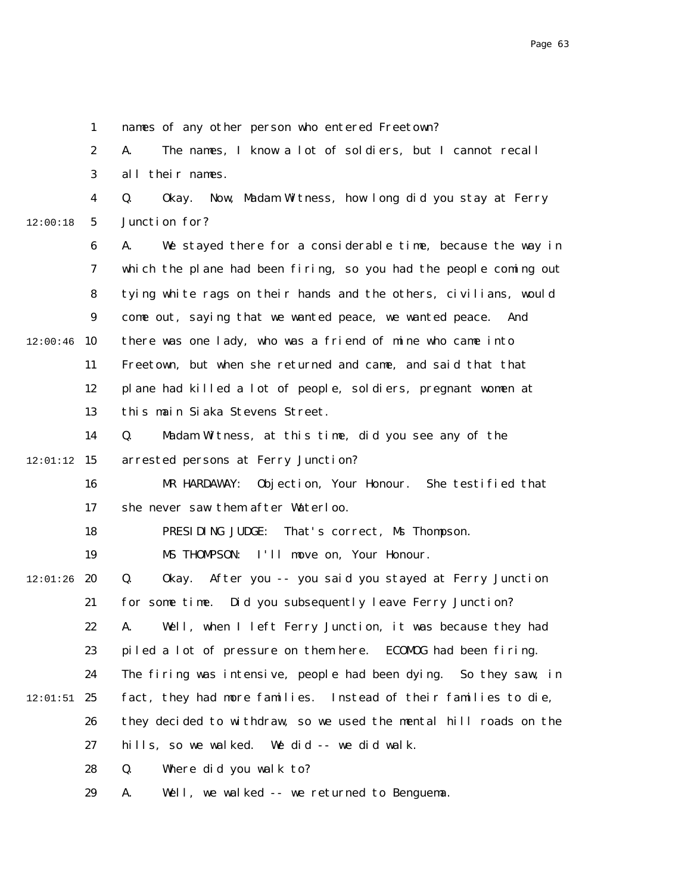1 2 3 4 5 6 7 8 9  $12:00:46$  10 11 12 13 14  $12:01:12$  15 16 17 18 19  $12:01:26$  20 21 22 23 24  $12:01:51$  25 26 27 28 29 12:00:18 names of any other person who entered Freetown? A. The names, I know a lot of soldiers, but I cannot recall all their names. Q. Okay. Now, Madam Witness, how long did you stay at Ferry Junction for? A. We stayed there for a considerable time, because the way in which the plane had been firing, so you had the people coming out tying white rags on their hands and the others, civilians, would come out, saying that we wanted peace, we wanted peace. And there was one lady, who was a friend of mine who came into Freetown, but when she returned and came, and said that that plane had killed a lot of people, soldiers, pregnant women at this main Siaka Stevens Street. Q. Madam Witness, at this time, did you see any of the arrested persons at Ferry Junction? MR HARDAWAY: Objection, Your Honour. She testified that she never saw them after Waterloo. PRESIDING JUDGE: That's correct, Ms Thompson. MS THOMPSON: I'll move on, Your Honour. Q. Okay. After you -- you said you stayed at Ferry Junction for some time. Did you subsequently leave Ferry Junction? A. Well, when I left Ferry Junction, it was because they had piled a lot of pressure on them here. ECOMOG had been firing. The firing was intensive, people had been dying. So they saw, in fact, they had more families. Instead of their families to die, they decided to withdraw, so we used the mental hill roads on the hills, so we walked. We did -- we did walk. Q. Where did you walk to? A. Well, we walked -- we returned to Benguema.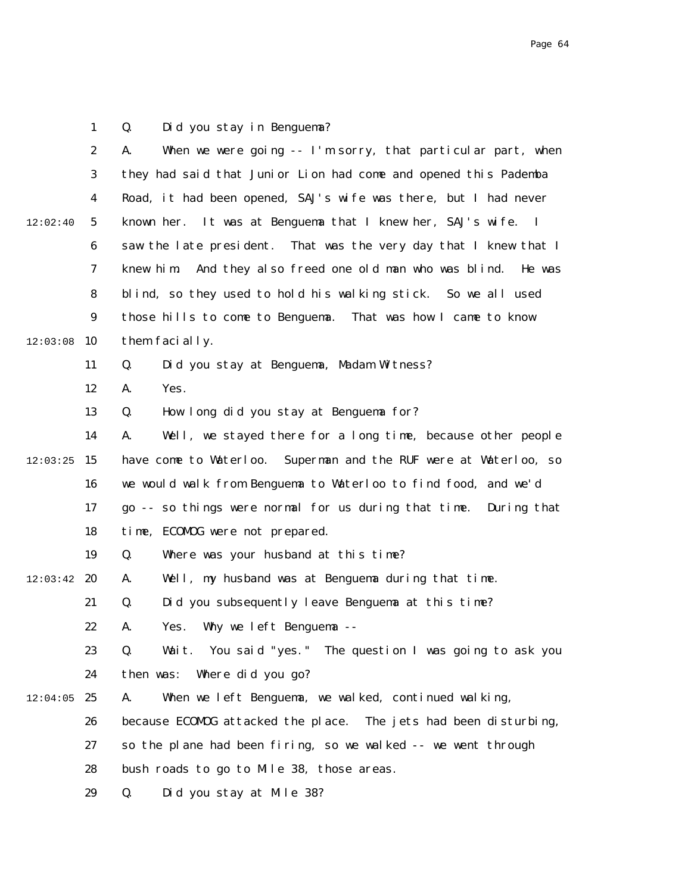1 2 3 4 5 6 7 8 9  $12:03:08$  10 11 12 13 14  $12:03:25$  15 16 17 18 19  $12:03:42$  20 21 22 23 24  $12:04:05$  25 26 27 28 29 12:02:40 Q. Did you stay in Benguema? A. When we were going  $-1$ 'm sorry, that particular part, when they had said that Junior Lion had come and opened this Pademba Road, it had been opened, SAJ's wife was there, but I had never known her. It was at Benguema that I knew her, SAJ's wife. I saw the late president. That was the very day that I knew that I knew him. And they also freed one old man who was blind. He was blind, so they used to hold his walking stick. So we all used those hills to come to Benguema. That was how I came to know them facially. Q. Did you stay at Benguema, Madam Witness? A. Yes. Q. How long did you stay at Benguema for? A. Well, we stayed there for a long time, because other people have come to Waterloo. Superman and the RUF were at Waterloo, so we would walk from Benguema to Waterloo to find food, and we'd go -- so things were normal for us during that time. During that time, ECOMOG were not prepared. Q. Where was your husband at this time? A. Well, my husband was at Benguema during that time. Q. Did you subsequently leave Benguema at this time? A. Yes. Why we left Benguema -- Q. Wait. You said "yes." The question I was going to ask you then was: Where did you go? A. When we left Benguema, we walked, continued walking, because ECOMOG attacked the place. The jets had been disturbing, so the plane had been firing, so we walked -- we went through bush roads to go to Mile 38, those areas. Q. Did you stay at Mile 38?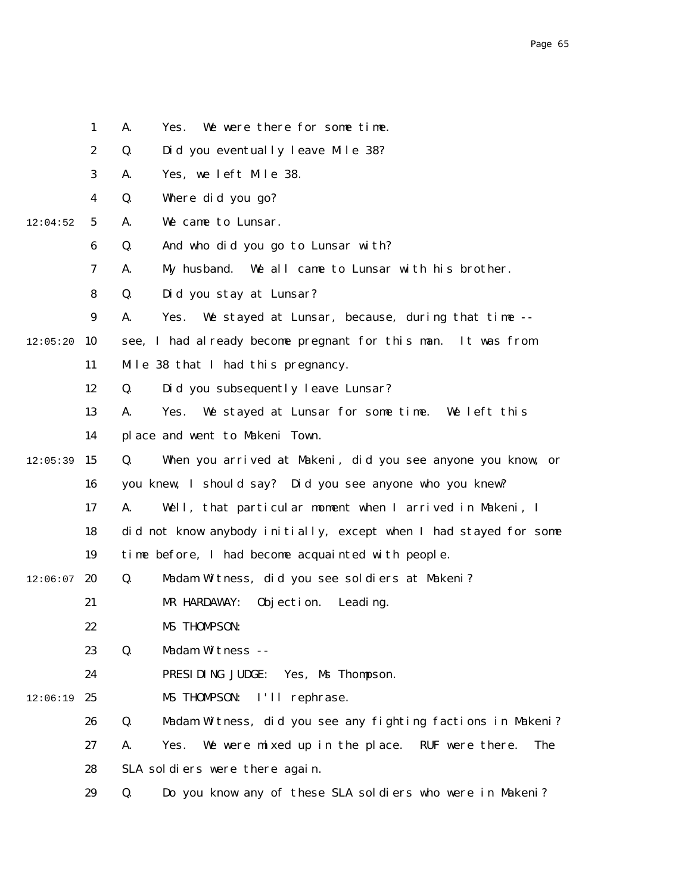|          | $\mathbf{1}$     | We were there for some time.<br>A.<br>Yes.                             |
|----------|------------------|------------------------------------------------------------------------|
|          | $\boldsymbol{2}$ | Did you eventually leave Mile 38?<br>Q.                                |
|          | 3                | Yes, we left Mile 38.<br>A.                                            |
|          | 4                | Where did you go?<br>Q.                                                |
| 12:04:52 | $\sqrt{5}$       | We came to Lunsar.<br>A.                                               |
|          | 6                | And who did you go to Lunsar with?<br>Q.                               |
|          | 7                | My husband. We all came to Lunsar with his brother.<br>A.              |
|          | 8                | Did you stay at Lunsar?<br>Q.                                          |
|          | $\boldsymbol{9}$ | We stayed at Lunsar, because, during that time --<br>A.<br>Yes.        |
| 12:05:20 | <b>10</b>        | see, I had already become pregnant for this man. It was from           |
|          | 11               | Mile 38 that I had this pregnancy.                                     |
|          | 12               | Did you subsequently leave Lunsar?<br>Q.                               |
|          | 13               | We stayed at Lunsar for some time. We left this<br>A.<br>Yes.          |
|          | 14               | place and went to Makeni Town.                                         |
| 12:05:39 | 15               | When you arrived at Makeni, did you see anyone you know, or<br>Q.      |
|          | 16               | you knew, I should say? Did you see anyone who you knew?               |
|          | 17               | Well, that particular moment when I arrived in Makeni, I<br>A.         |
|          | 18               | did not know anybody initially, except when I had stayed for some      |
|          | 19               | time before, I had become acquainted with people.                      |
| 12:06:07 | 20               | Madam Witness, did you see soldiers at Makeni?<br>Q.                   |
|          | 21               | MR HARDAWAY:<br>Objection.<br>Leading.                                 |
|          | 22               | MS THOMPSON:                                                           |
|          | 23               | Madam Witness --<br>Q.                                                 |
|          | 24               | PRESIDING JUDGE:<br>Yes, Ms Thompson.                                  |
| 12:06:19 | 25               | MS THOMPSON:<br>I'll rephrase.                                         |
|          | 26               | Q.<br>Madam Witness, did you see any fighting factions in Makeni?      |
|          | 27               | We were mixed up in the place.<br>RUF were there.<br>A.<br>Yes.<br>The |
|          | 28               | SLA soldiers were there again.                                         |
|          | 29               | Q.<br>Do you know any of these SLA soldiers who were in Makeni?        |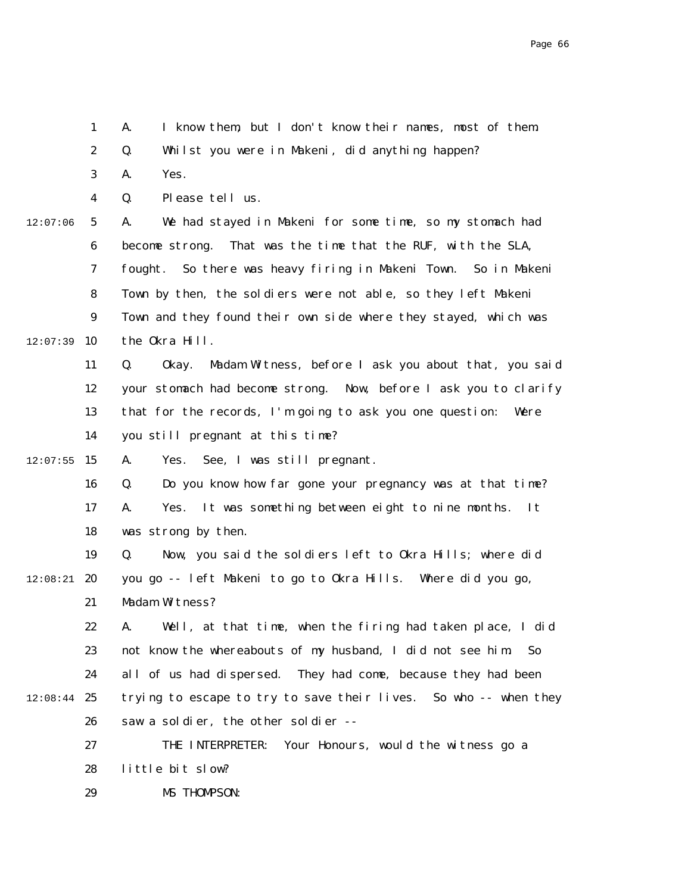|          | $\boldsymbol{2}$ | Q.<br>Whilst you were in Makeni, did anything happen?               |
|----------|------------------|---------------------------------------------------------------------|
|          | 3                | Yes.<br>A.                                                          |
|          | $\boldsymbol{4}$ | Please tell us.<br>Q.                                               |
| 12:07:06 | $5\phantom{.0}$  | We had stayed in Makeni for some time, so my stomach had<br>A.      |
|          | 6                | That was the time that the RUF, with the SLA,<br>become strong.     |
|          | 7                | So there was heavy firing in Makeni Town. So in Makeni<br>fought.   |
|          | 8                | Town by then, the soldiers were not able, so they left Makeni       |
|          | $\boldsymbol{9}$ | Town and they found their own side where they stayed, which was     |
| 12:07:39 | 10               | the Okra Hill.                                                      |
|          | 11               | Q.<br>0kay.<br>Madam Witness, before I ask you about that, you said |
|          | 12               | your stomach had become strong. Now, before I ask you to clarify    |
|          | 13               | that for the records, I'm going to ask you one question:<br>Were    |
|          | 14               | you still pregnant at this time?                                    |
| 12:07:55 | 15               | Yes. See, I was still pregnant.<br>A.                               |
|          | 16               | Do you know how far gone your pregnancy was at that time?<br>Q.     |
|          | 17               | Yes. It was something between eight to nine months.<br>A.<br>It     |
|          | 18               | was strong by then.                                                 |
|          | 19               | Now, you said the soldiers left to Okra Hills; where did<br>Q.      |
| 12:08:21 | 20               | you go -- left Makeni to go to Okra Hills. Where did you go,        |
|          | 21               | Madam Witness?                                                      |
|          | 22               | Well, at that time, when the firing had taken place, I did<br>A.    |
|          | 23               | not know the whereabouts of my husband, I did not see him.<br>So    |
|          | 24               | all of us had dispersed. They had come, because they had been       |
| 12:08:44 | 25               | trying to escape to try to save their lives. So who -- when they    |
|          | 26               | saw a soldier, the other soldier --                                 |
|          | 27               | THE INTERPRETER:<br>Your Honours, would the witness go a            |
|          | 28               | little bit slow?                                                    |
|          | 29               | MS THOMPSON:                                                        |

A. I know them, but I don't know their names, most of them.

1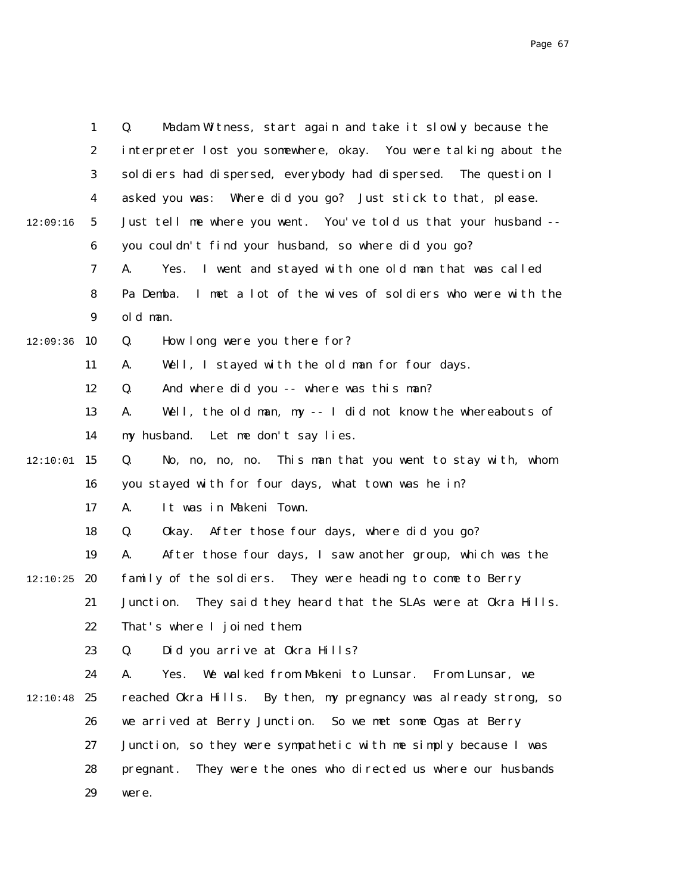|          | $\mathbf{1}$     | Madam Witness, start again and take it slowly because the<br>Q.     |
|----------|------------------|---------------------------------------------------------------------|
|          | $\boldsymbol{2}$ | interpreter lost you somewhere, okay. You were talking about the    |
|          | $\boldsymbol{3}$ | soldiers had dispersed, everybody had dispersed. The question I     |
|          | $\boldsymbol{4}$ | asked you was: Where did you go? Just stick to that, please.        |
| 12:09:16 | $\mathbf{5}$     | Just tell me where you went. You've told us that your husband --    |
|          | $\boldsymbol{6}$ | you couldn't find your husband, so where did you go?                |
|          | 7                | I went and stayed with one old man that was called<br>A.<br>Yes.    |
|          | 8                | I met a lot of the wives of soldiers who were with the<br>Pa Demba. |
|          | $\boldsymbol{9}$ | old man.                                                            |
| 12:09:36 | 10               | How long were you there for?<br>Q.                                  |
|          | 11               | Well, I stayed with the old man for four days.<br>A.                |
|          | 12               | And where did you -- where was this man?<br>Q.                      |
|          | 13               | Well, the old man, my -- I did not know the whereabouts of<br>A.    |
|          | 14               | my husband. Let me don't say lies.                                  |
| 12:10:01 | 15               | No, no, no, no. This man that you went to stay with, whom<br>Q.     |
|          | 16               | you stayed with for four days, what town was he in?                 |
|          | 17               | It was in Makeni Town.<br>A.                                        |
|          | 18               | After those four days, where did you go?<br>Q.<br>0kay.             |
|          | 19               | After those four days, I saw another group, which was the<br>A.     |
| 12:10:25 | 20               | family of the soldiers. They were heading to come to Berry          |
|          | 21               | They said they heard that the SLAs were at Okra Hills.<br>Junction. |
|          | 22               | That's where I joined them.                                         |
|          | 23               | Did you arrive at Okra Hills?<br>Q.                                 |
|          | 24               | Yes.<br>We walked from Makeni to Lunsar.<br>A.<br>From Lunsar, we   |
| 12:10:48 | 25               | reached Okra Hills. By then, my pregnancy was already strong, so    |
|          | 26               | we arrived at Berry Junction. So we met some Ogas at Berry          |
|          | 27               | Junction, so they were sympathetic with me simply because I was     |
|          | 28               | They were the ones who directed us where our husbands<br>pregnant.  |
|          | 29               | were.                                                               |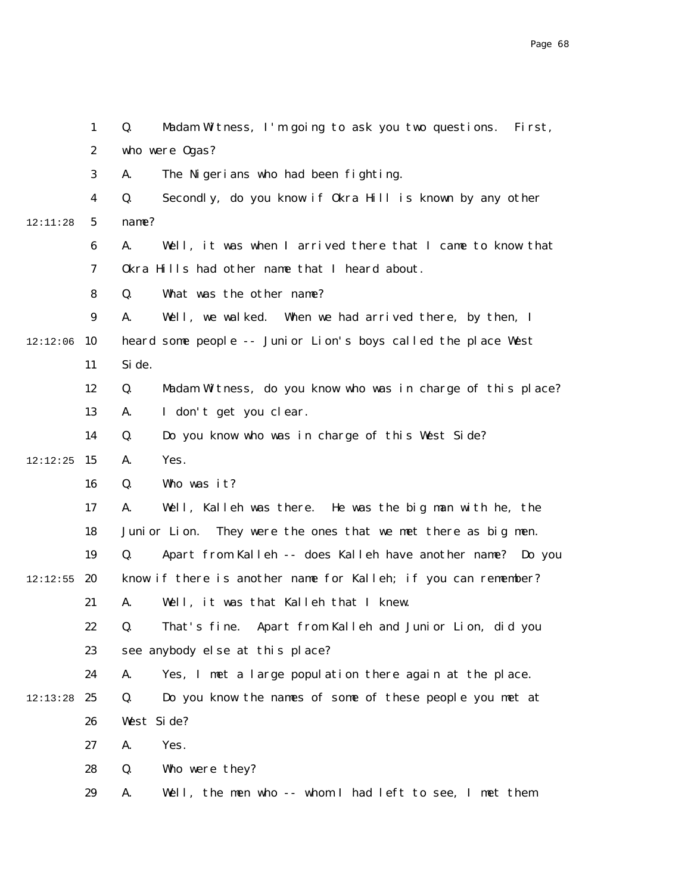|          | $\mathbf{1}$     | Madam Witness, I'm going to ask you two questions.<br>Q.<br>Fi rst,       |
|----------|------------------|---------------------------------------------------------------------------|
|          | $\boldsymbol{2}$ | who were 0gas?                                                            |
|          | 3                | The Nigerians who had been fighting.<br>A.                                |
|          | 4                | Secondly, do you know if Okra Hill is known by any other<br>Q.            |
| 12:11:28 | $\mathbf{5}$     | name?                                                                     |
|          | $\boldsymbol{6}$ | Well, it was when I arrived there that I came to know that<br>A.          |
|          | 7                | Okra Hills had other name that I heard about.                             |
|          | 8                | What was the other name?<br>Q.                                            |
|          | $\boldsymbol{9}$ | Well, we walked. When we had arrived there, by then, I<br>A.              |
| 12:12:06 | 10               | heard some people -- Junior Lion's boys called the place West             |
|          | 11               | Si de.                                                                    |
|          | 12               | Madam Witness, do you know who was in charge of this place?<br>Q.         |
|          | 13               | I don't get you clear.<br>A.                                              |
|          | 14               | Do you know who was in charge of this West Side?<br>Q.                    |
| 12:12:25 | 15               | Yes.<br>A.                                                                |
|          | 16               | Who was it?<br>Q.                                                         |
|          | 17               | Well, Kalleh was there. He was the big man with he, the<br>A.             |
|          | 18               | They were the ones that we met there as big men.<br>Juni or Lion.         |
|          | 19               | Apart from Kalleh -- does Kalleh have another name? Do you<br>Q.          |
| 12:12:55 | 20               | know if there is another name for Kalleh; if you can remember?            |
|          | 21               | Well, it was that Kalleh that I knew.<br>A.                               |
|          | 22               | That's fine. Apart from Kalleh and Junior Lion, did you<br>$\mathbf{0}$ . |
|          | 23               | see anybody else at this place?                                           |
|          | 24               | Yes, I met a large population there again at the place.<br>A.             |
| 12:13:28 | 25               | Do you know the names of some of these people you met at<br>Q.            |
|          | 26               | West Side?                                                                |
|          | 27               | Yes.<br>A.                                                                |
|          | 28               | Q.<br>Who were they?                                                      |
|          | 29               | Well, the men who -- whom I had left to see, I met them<br>A.             |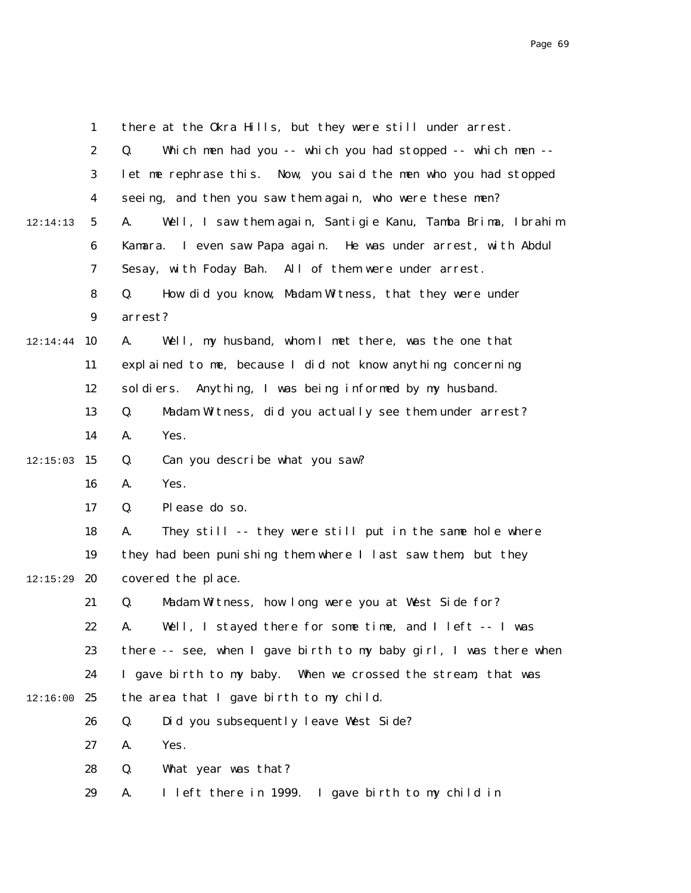|          | $\mathbf{1}$     | there at the Okra Hills, but they were still under arrest.        |
|----------|------------------|-------------------------------------------------------------------|
|          | $\boldsymbol{2}$ | Which men had you -- which you had stopped -- which men --<br>Q.  |
|          | 3                | let me rephrase this. Now, you said the men who you had stopped   |
|          | 4                | seeing, and then you saw them again, who were these men?          |
| 12:14:13 | $5\phantom{.0}$  | A.<br>Well, I saw them again, Santigie Kanu, Tamba Brima, Ibrahim |
|          | 6                | Kamara. I even saw Papa again. He was under arrest, with Abdul    |
|          | 7                | Sesay, with Foday Bah. All of them were under arrest.             |
|          | 8                | How did you know, Madam Witness, that they were under<br>Q.       |
|          | $\boldsymbol{9}$ | arrest?                                                           |
| 12:14:44 | 10               | A.<br>Well, my husband, whom I met there, was the one that        |
|          | 11               | explained to me, because I did not know anything concerning       |
|          | 12               | Anything, I was being informed by my husband.<br>sol di ers.      |
|          | 13               | Q.<br>Madam Witness, did you actually see them under arrest?      |
|          | 14               | A.<br>Yes.                                                        |
| 12:15:03 | 15               | Q.<br>Can you describe what you saw?                              |
|          | 16               | Yes.<br>A.                                                        |
|          | 17               | Please do so.<br>Q.                                               |
|          | 18               | They still -- they were still put in the same hole where<br>A.    |
|          | 19               | they had been punishing them where I last saw them, but they      |
| 12:15:29 | 20               | covered the place.                                                |
|          | 21               | Q.<br>Madam Witness, how long were you at West Side for?          |
|          | 22               | Well, I stayed there for some time, and I left -- I was<br>А.     |
|          | 23               | there -- see, when I gave birth to my baby girl, I was there when |
|          | 24               | I gave birth to my baby. When we crossed the stream, that was     |
| 12:16:00 | 25               | the area that I gave birth to my child.                           |
|          | 26               | Did you subsequently leave West Side?<br>Q.                       |
|          | 27               | Yes.<br>A.                                                        |
|          | 28               | What year was that?<br>Q.                                         |
|          | 29               | I left there in 1999.<br>I gave birth to my child in<br>A.        |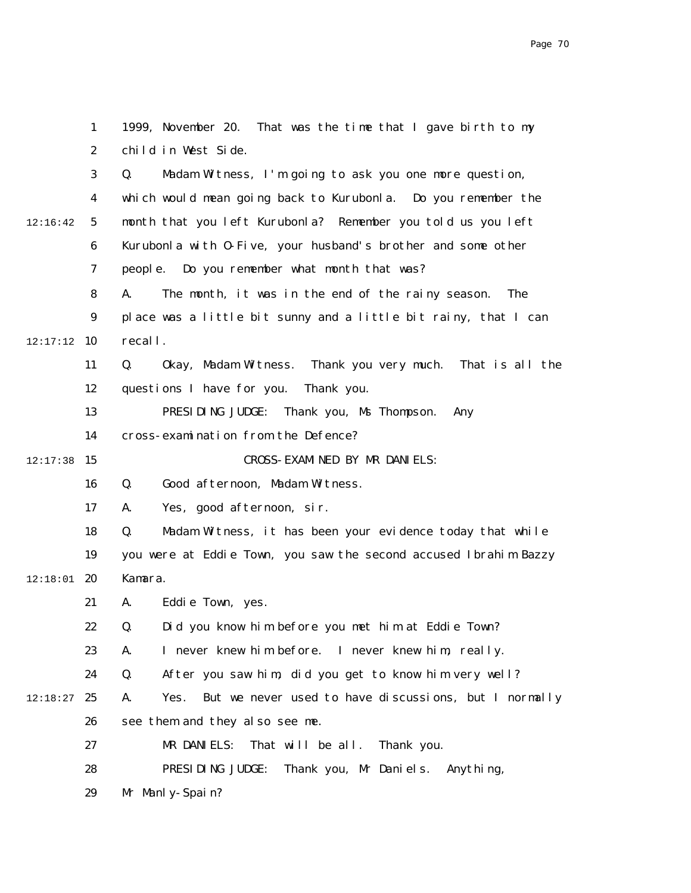|          | 1                | 1999, November 20. That was the time that I gave birth to my        |
|----------|------------------|---------------------------------------------------------------------|
|          | $\boldsymbol{2}$ | child in West Side.                                                 |
|          | 3                | Madam Witness, I'm going to ask you one more question,<br>Q.        |
|          | $\boldsymbol{4}$ | which would mean going back to Kurubonla. Do you remember the       |
| 12:16:42 | $5\phantom{.0}$  | month that you left Kurubonla? Remember you told us you left        |
|          | $\boldsymbol{6}$ | Kurubonla with 0-Five, your husband's brother and some other        |
|          | 7                | people. Do you remember what month that was?                        |
|          | 8                | A.<br>The month, it was in the end of the rainy season.<br>The      |
|          | 9                | place was a little bit sunny and a little bit rainy, that I can     |
| 12:17:12 | 10               | recall.                                                             |
|          | 11               | Q.<br>Okay, Madam Witness. Thank you very much. That is all the     |
|          | 12               | questions I have for you.<br>Thank you.                             |
|          | 13               | PRESIDING JUDGE:<br>Thank you, Ms Thompson.<br>Any                  |
|          | 14               | cross-examination from the Defence?                                 |
| 12:17:38 | 15               | CROSS-EXAMINED BY MR DANIELS:                                       |
|          | 16               | Good afternoon, Madam Witness.<br>Q.                                |
|          | 17               | Yes, good afternoon, sir.<br>A.                                     |
|          | 18               | Madam Witness, it has been your evidence today that while<br>Q.     |
|          | 19               | you were at Eddie Town, you saw the second accused Ibrahim Bazzy    |
| 12:18:01 | 20               | Kamara.                                                             |
|          | 21               | Eddie Town, yes.<br>A.                                              |
|          | 22               | Did you know him before you met him at Eddie Town?<br>Q.            |
|          | 23               | I never knew him before.<br>I never knew him, really.<br>A.         |
|          | 24               | After you saw him, did you get to know him very well?<br>Q.         |
| 12:18:27 | 25               | But we never used to have discussions, but I normally<br>A.<br>Yes. |
|          | 26               | see them and they also see me.                                      |
|          | 27               | MR DANIELS:<br>That will be all.<br>Thank you.                      |
|          | 28               | PRESIDING JUDGE:<br>Thank you, Mr Daniels. Anything,                |
|          | 29               | Mr Manly-Spain?                                                     |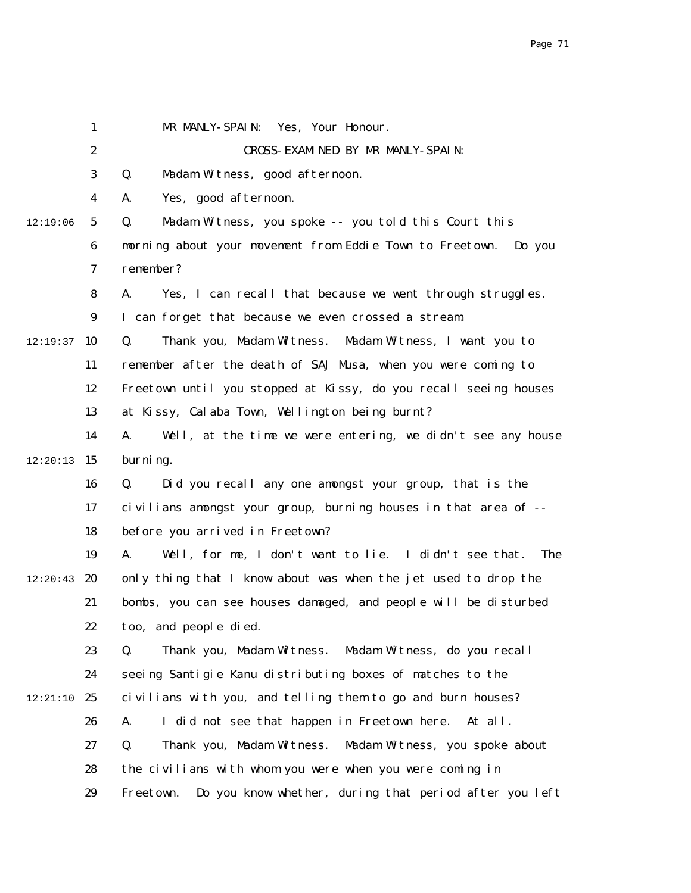|          | $\mathbf{1}$            | MR MANLY-SPAIN: Yes, Your Honour.                                   |
|----------|-------------------------|---------------------------------------------------------------------|
|          | $\boldsymbol{2}$        | CROSS-EXAMINED BY MR MANLY-SPAIN:                                   |
|          | 3                       | Madam Witness, good afternoon.<br>Q.                                |
|          | $\overline{\mathbf{4}}$ | Yes, good afternoon.<br>A.                                          |
| 12:19:06 | $\mathbf{5}$            | Madam Witness, you spoke -- you told this Court this<br>Q.          |
|          | 6                       | morning about your movement from Eddie Town to Freetown.<br>Do you  |
|          | $\boldsymbol{7}$        | remember?                                                           |
|          | 8                       | Yes, I can recall that because we went through struggles.<br>A.     |
|          | $\boldsymbol{9}$        | I can forget that because we even crossed a stream.                 |
| 12:19:37 | 10                      | Q.<br>Thank you, Madam Witness. Madam Witness, I want you to        |
|          | 11                      | remember after the death of SAJ Musa, when you were coming to       |
|          | 12                      | Freetown until you stopped at Kissy, do you recall seeing houses    |
|          | 13                      | at Kissy, Calaba Town, Wellington being burnt?                      |
|          | 14                      | Well, at the time we were entering, we didn't see any house<br>A.   |
| 12:20:13 | 15                      | burning.                                                            |
|          | 16                      | Did you recall any one amongst your group, that is the<br>Q.        |
|          | 17                      | civilians amongst your group, burning houses in that area of --     |
|          | 18                      | before you arrived in Freetown?                                     |
|          | 19                      | Well, for me, I don't want to lie. I didn't see that.<br>The<br>A.  |
| 12:20:43 | 20                      | only thing that I know about was when the jet used to drop the      |
|          | 21                      | bombs, you can see houses damaged, and people will be disturbed     |
|          | 22                      | too, and people died.                                               |
|          | 23                      | Thank you, Madam Witness. Madam Witness, do you recall<br>Q.        |
|          | 24                      | seeing Santigie Kanu distributing boxes of matches to the           |
| 12:21:10 | 25                      | civilians with you, and telling them to go and burn houses?         |
|          | 26                      | I did not see that happen in Freetown here. At all.<br>A.           |
|          | 27                      | Thank you, Madam Witness. Madam Witness, you spoke about<br>Q.      |
|          | 28                      | the civilians with whom you were when you were coming in            |
|          | 29                      | Do you know whether, during that period after you left<br>Freetown. |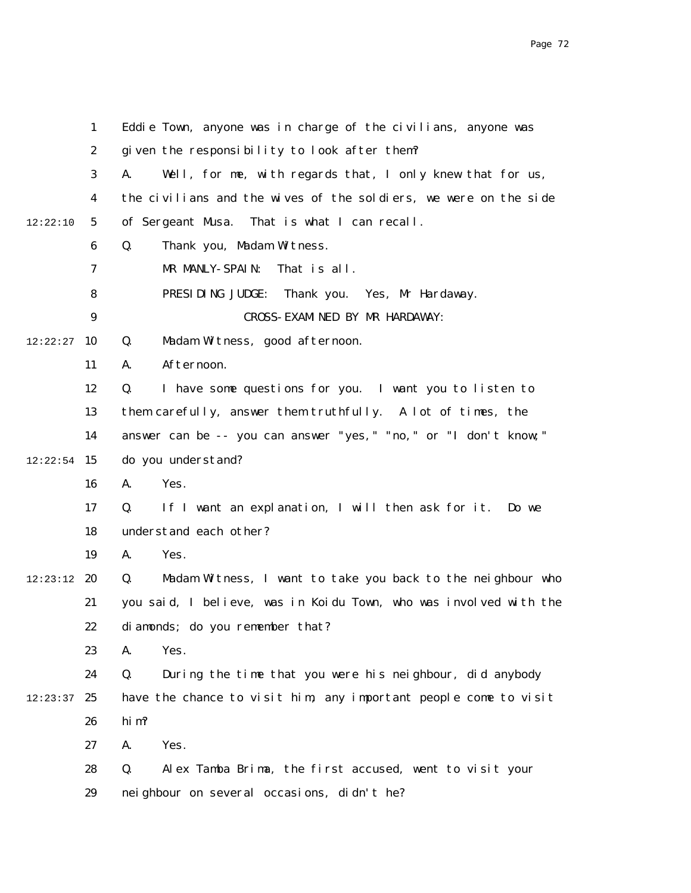|          | $\mathbf{1}$     | Eddie Town, anyone was in charge of the civilians, anyone was     |
|----------|------------------|-------------------------------------------------------------------|
|          | $\boldsymbol{2}$ | given the responsibility to look after them?                      |
|          | 3                | A.<br>Well, for me, with regards that, I only knew that for us,   |
|          | 4                | the civilians and the wives of the soldiers, we were on the side  |
| 12:22:10 | $5\phantom{.0}$  | of Sergeant Musa. That is what I can recall.                      |
|          | 6                | Thank you, Madam Witness.<br>Q.                                   |
|          | 7                | MR MANLY-SPAIN:<br>That is all.                                   |
|          | 8                | PRESIDING JUDGE:<br>Thank you. Yes, Mr Hardaway.                  |
|          | $\boldsymbol{9}$ | CROSS-EXAMINED BY MR HARDAWAY:                                    |
| 12:22:27 | 10               | Madam Witness, good afternoon.<br>Q.                              |
|          | 11               | Afternoon.<br>A.                                                  |
|          | 12               | I have some questions for you. I want you to listen to<br>Q.      |
|          | 13               | them carefully, answer them truthfully. A lot of times, the       |
|          | 14               | answer can be -- you can answer "yes," "no," or "I don't know;"   |
| 12:22:54 | 15               | do you understand?                                                |
|          | 16               | Yes.<br>A.                                                        |
|          | 17               | If I want an explanation, I will then ask for it. Do we<br>Q.     |
|          | 18               | understand each other?                                            |
|          | 19               | A.<br>Yes.                                                        |
| 12:23:12 | 20               | Q.<br>Madam Witness, I want to take you back to the neighbour who |
|          | 21               | you said, I believe, was in Koidu Town, who was involved with the |
|          | 22               | diamonds; do you remember that?                                   |
|          | 23               | A.<br>Yes.                                                        |
|          | 24               | During the time that you were his neighbour, did anybody<br>Q.    |
| 12:23:37 | 25               | have the chance to visit him, any important people come to visit  |
|          | 26               | hi m?                                                             |
|          | 27               | A.<br>Yes.                                                        |
|          | 28               | Q.<br>Alex Tamba Brima, the first accused, went to visit your     |
|          | 29               | neighbour on several occasions, didn't he?                        |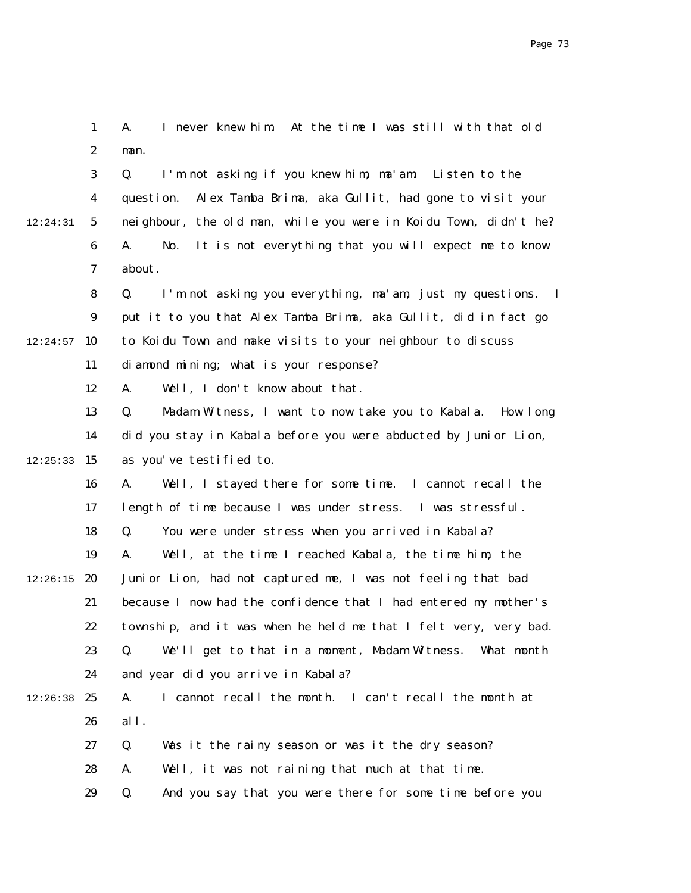1 2 3 4 5 6 7 8 9  $12:24:57$  10 11 12 13 14  $12:25:33$  15 16 17 18 19  $12:26:15$  20 21 22 23 24  $12:26:38$  25 26 27 28 29 12:24:31 A. I never knew him. At the time I was still with that old man. Q. I'm not asking if you knew him, ma'am. Listen to the question. Alex Tamba Brima, aka Gullit, had gone to visit your neighbour, the old man, while you were in Koidu Town, didn't he? A. No. It is not everything that you will expect me to know about. Q. I'm not asking you everything, ma'am, just my questions. I put it to you that Alex Tamba Brima, aka Gullit, did in fact go to Koidu Town and make visits to your neighbour to discuss diamond mining; what is your response? A. Well, I don't know about that. Q. Madam Witness, I want to now take you to Kabala. How long did you stay in Kabala before you were abducted by Junior Lion, as you've testified to. A. Well, I stayed there for some time. I cannot recall the length of time because I was under stress. I was stressful. Q. You were under stress when you arrived in Kabala? A. Well, at the time I reached Kabala, the time him, the Junior Lion, had not captured me, I was not feeling that bad because I now had the confidence that I had entered my mother's township, and it was when he held me that I felt very, very bad. Q. We'll get to that in a moment, Madam Witness. What month and year did you arrive in Kabala? A. I cannot recall the month. I can't recall the month at all. Q. Was it the rainy season or was it the dry season? A. Well, it was not raining that much at that time. Q. And you say that you were there for some time before you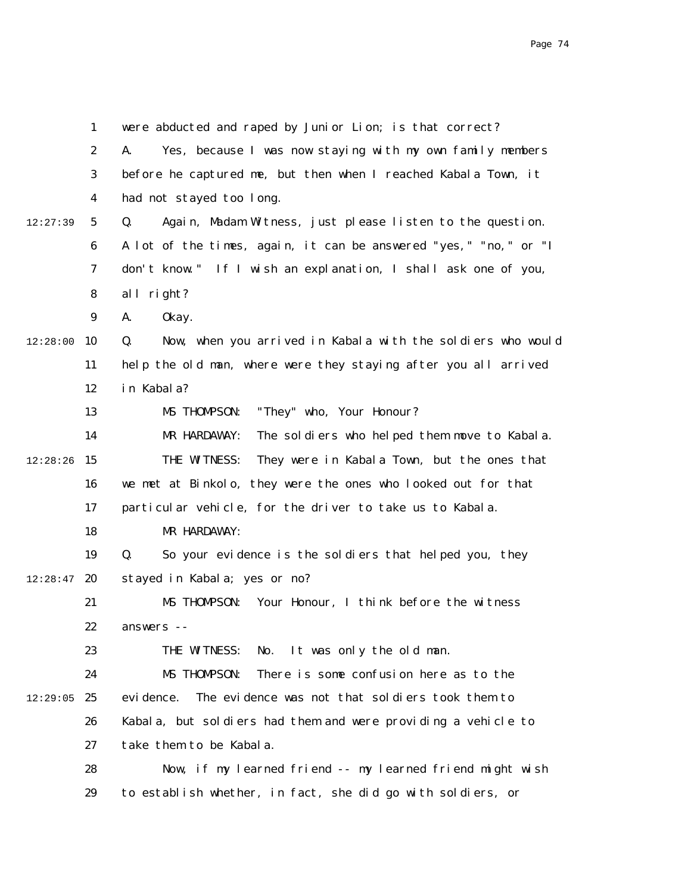|          | $\mathbf{1}$     | were abducted and raped by Junior Lion; is that correct?          |
|----------|------------------|-------------------------------------------------------------------|
|          | $\boldsymbol{2}$ | Yes, because I was now staying with my own family members<br>A.   |
|          | 3                | before he captured me, but then when I reached Kabala Town, it    |
|          | 4                | had not stayed too long.                                          |
| 12:27:39 | $5\phantom{.0}$  | Q.<br>Again, Madam Witness, just please listen to the question.   |
|          | 6                | A lot of the times, again, it can be answered "yes," "no," or "I  |
|          | 7                | don't know." If I wish an explanation, I shall ask one of you,    |
|          | 8                | all right?                                                        |
|          | $\boldsymbol{9}$ | A.<br>0kay.                                                       |
| 12:28:00 | 10               | Q.<br>Now, when you arrived in Kabala with the soldiers who would |
|          | 11               | help the old man, where were they staying after you all arrived   |
|          | 12               | in Kabala?                                                        |
|          | 13               | "They" who, Your Honour?<br>MS THOMPSON:                          |
|          | 14               | MR HARDAWAY:<br>The soldiers who helped them move to Kabala.      |
| 12:28:26 | 15               | THE WITNESS:<br>They were in Kabala Town, but the ones that       |
|          | 16               | we met at Binkolo, they were the ones who looked out for that     |
|          | 17               | particular vehicle, for the driver to take us to Kabala.          |
|          | 18               | MR HARDAWAY:                                                      |
|          | 19               | Q.<br>So your evidence is the soldiers that helped you, they      |
| 12:28:47 | 20               | stayed in Kabala; yes or no?                                      |
|          | 21               | Your Honour, I think before the witness<br>MS THOMPSON:           |
|          | 22               | answers --                                                        |
|          | 23               | It was only the old man.<br>THE WITNESS:<br>No.                   |
|          | 24               | There is some confusion here as to the<br>MS THOMPSON:            |
| 12:29:05 | 25               | The evidence was not that soldiers took them to<br>evi dence.     |
|          | 26               | Kabala, but soldiers had them and were providing a vehicle to     |
|          | 27               | take them to be Kabala.                                           |
|          | 28               | Now, if my learned friend -- my learned friend might wish         |
|          | 29               | to establish whether, in fact, she did go with soldiers, or       |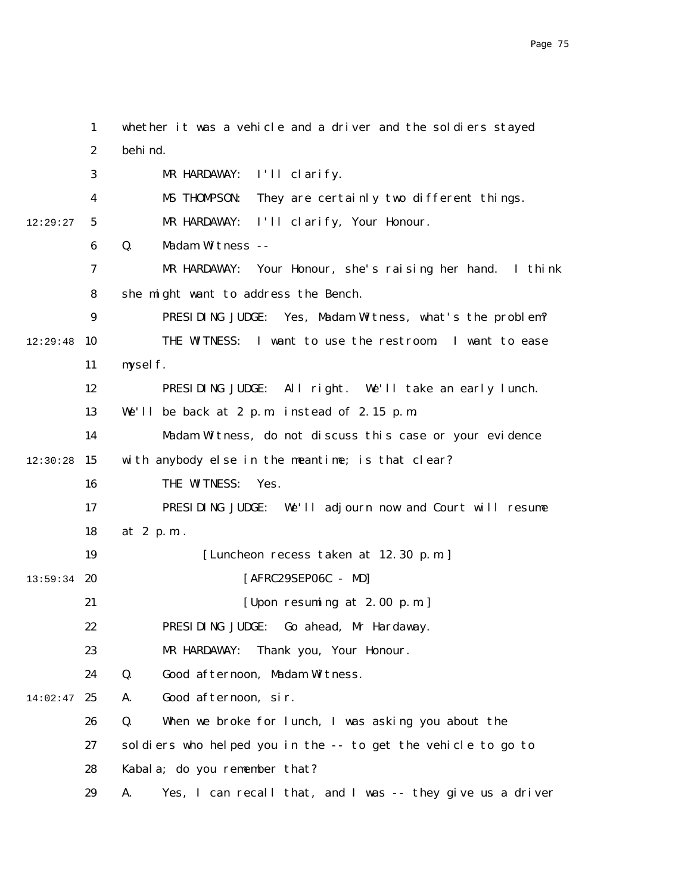1 2 3 4 5 6 7 8 9  $12:29:48$  10 11 12 13 14  $12:30:28$  15 16 17 18 19  $13:59:34$  20 21 22 23 24  $14:02:47$  25 26 27 28 29 12:29:27 whether it was a vehicle and a driver and the soldiers stayed behind. MR HARDAWAY: I'll clarify. MS THOMPSON: They are certainly two different things. MR HARDAWAY: I'll clarify, Your Honour. Q. Madam Witness -- MR HARDAWAY: Your Honour, she's raising her hand. I think she might want to address the Bench. PRESIDING JUDGE: Yes, Madam Witness, what's the problem? THE WITNESS: I want to use the restroom. I want to ease myself. PRESIDING JUDGE: All right. We'll take an early lunch. We'll be back at 2 p.m. instead of 2.15 p.m. Madam Witness, do not discuss this case or your evidence with anybody else in the meantime; is that clear? THE WITNESS: Yes. PRESIDING JUDGE: We'll adjourn now and Court will resume at 2 p.m.. [Luncheon recess taken at 12.30 p.m.] [AFRC29SEP06C - MD] [Upon resuming at 2.00 p.m.] PRESIDING JUDGE: Go ahead, Mr Hardaway. MR HARDAWAY: Thank you, Your Honour. Q. Good afternoon, Madam Witness. A. Good afternoon, sir. Q. When we broke for lunch, I was asking you about the soldiers who helped you in the -- to get the vehicle to go to Kabala; do you remember that? A. Yes, I can recall that, and I was -- they give us a driver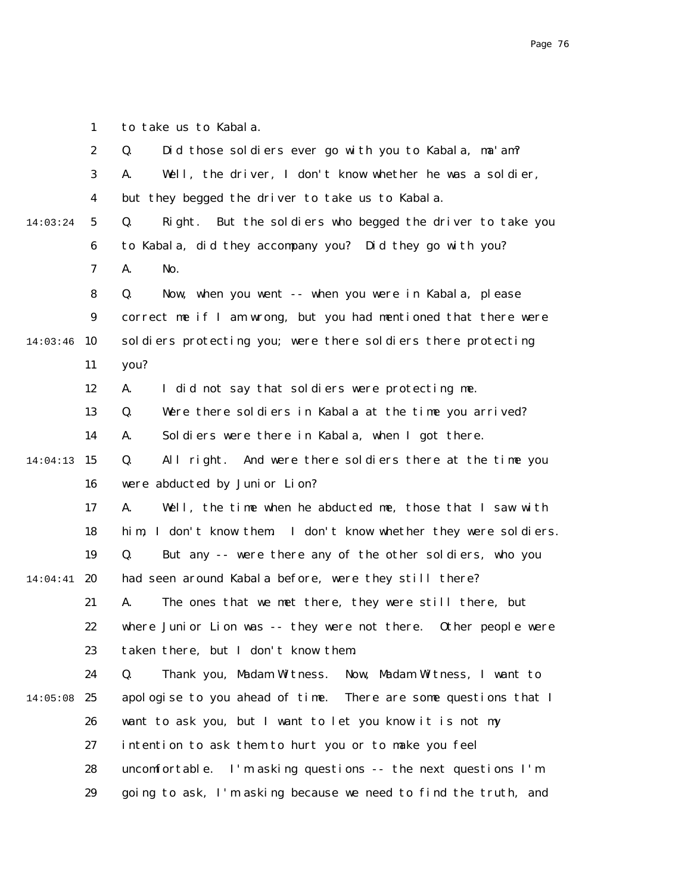1 to take us to Kabala.

|          | $\boldsymbol{2}$ | Did those soldiers ever go with you to Kabala, ma'am?<br>Q.        |
|----------|------------------|--------------------------------------------------------------------|
|          | $\boldsymbol{3}$ | Well, the driver, I don't know whether he was a soldier,<br>A.     |
|          | $\boldsymbol{4}$ | but they begged the driver to take us to Kabala.                   |
| 14:03:24 | $\mathbf{5}$     | But the soldiers who begged the driver to take you<br>Q.<br>Right. |
|          | 6                | to Kabala, did they accompany you? Did they go with you?           |
|          | 7                | A.<br>No.                                                          |
|          | 8                | Q.<br>Now, when you went -- when you were in Kabala, please        |
|          | $\boldsymbol{9}$ | correct me if I am wrong, but you had mentioned that there were    |
| 14:03:46 | 10               | soldiers protecting you; were there soldiers there protecting      |
|          | 11               | you?                                                               |
|          | 12               | A.<br>I did not say that soldiers were protecting me.              |
|          | 13               | Were there soldiers in Kabala at the time you arrived?<br>Q.       |
|          | 14               | Soldiers were there in Kabala, when I got there.<br>A.             |
| 14:04:13 | 15               | Q.<br>All right. And were there soldiers there at the time you     |
|          | 16               | were abducted by Junior Lion?                                      |
|          | 17               | Well, the time when he abducted me, those that I saw with<br>A.    |
|          | 18               | him, I don't know them. I don't know whether they were soldiers.   |
|          | 19               | Q.<br>But any -- were there any of the other soldiers, who you     |
| 14:04:41 | 20               | had seen around Kabala before, were they still there?              |
|          | 21               | The ones that we met there, they were still there, but<br>A.       |
|          | 22               | where Junior Lion was -- they were not there.<br>Other people were |
|          | 23               | taken there, but I don't know them.                                |
|          | 24               | Q.<br>Thank you, Madam Witness.<br>Now, Madam Witness, I want to   |
| 14:05:08 | 25               | apologise to you ahead of time. There are some questions that I    |
|          | 26               | want to ask you, but I want to let you know it is not my           |
|          | 27               | intention to ask them to hurt you or to make you feel              |
|          | 28               | uncomfortable. I'm asking questions -- the next questions I'm      |
|          | 29               | going to ask, I'm asking because we need to find the truth, and    |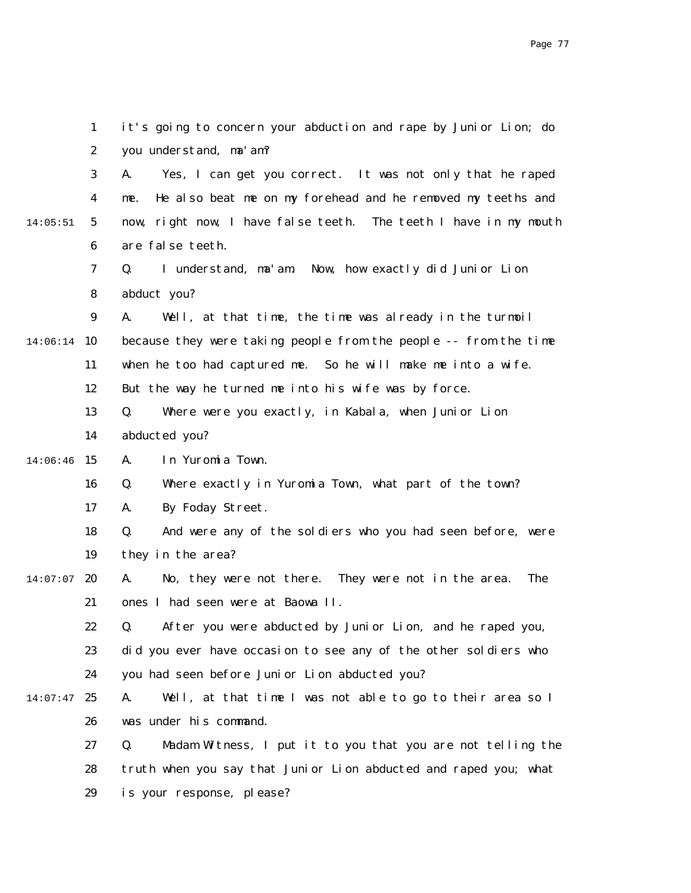|          | $\mathbf{1}$     | it's going to concern your abduction and rape by Junior Lion; do        |
|----------|------------------|-------------------------------------------------------------------------|
|          | $\boldsymbol{2}$ | you understand, ma'am?                                                  |
|          | 3                | Yes, I can get you correct. It was not only that he raped<br>A.         |
|          | 4                | He also beat me on my forehead and he removed my teeths and<br>me.      |
| 14:05:51 | $5\overline{ }$  | now, right now, I have false teeth. The teeth I have in my mouth        |
|          | 6                | are false teeth.                                                        |
|          | 7                | I understand, ma'am. Now, how exactly did Junior Lion<br>Q.             |
|          | 8                | abduct you?                                                             |
|          | $\boldsymbol{9}$ | A.<br>Well, at that time, the time was already in the turmoil           |
| 14:06:14 | 10               | because they were taking people from the people -- from the time        |
|          | 11               | when he too had captured me. So he will make me into a wife.            |
|          | 12               | But the way he turned me into his wife was by force.                    |
|          | 13               | Q.<br>Where were you exactly, in Kabala, when Junior Lion               |
|          | 14               | abducted you?                                                           |
| 14:06:46 | 15               | A.<br>In Yuromia Town.                                                  |
|          | 16               | Where exactly in Yuromia Town, what part of the town?<br>Q.             |
|          | 17               | By Foday Street.<br>A.                                                  |
|          | 18               | Q.<br>And were any of the soldiers who you had seen before, were        |
|          | 19               | they in the area?                                                       |
| 14:07:07 | 20               | No, they were not there. They were not in the area.<br><b>The</b><br>A. |
|          | 21               | ones I had seen were at Baowa II.                                       |
|          | 22               | Q. After you were abducted by Junior Lion, and he raped you,            |
|          | 23               | did you ever have occasion to see any of the other soldiers who         |
|          | 24               | you had seen before Junior Lion abducted you?                           |
| 14:07:47 | 25               | Well, at that time I was not able to go to their area so I<br>A.        |
|          | 26               | was under his command.                                                  |
|          | 27               | Madam Witness, I put it to you that you are not telling the<br>Q.       |
|          | 28               | truth when you say that Junior Lion abducted and raped you; what        |
|          | 29               | is your response, please?                                               |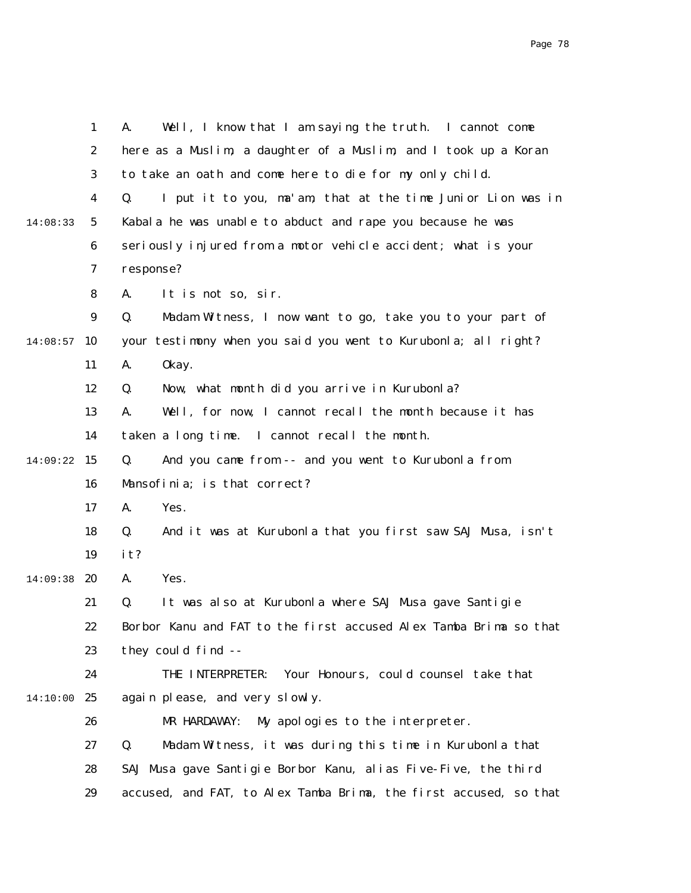|          | $\mathbf{1}$     | Well, I know that I am saying the truth. I cannot come<br>A.      |
|----------|------------------|-------------------------------------------------------------------|
|          | $\boldsymbol{2}$ | here as a Muslim, a daughter of a Muslim, and I took up a Koran   |
|          | 3                | to take an oath and come here to die for my only child.           |
|          | 4                | I put it to you, ma'am, that at the time Junior Lion was in<br>Q. |
| 14:08:33 | $5\phantom{.0}$  | Kabala he was unable to abduct and rape you because he was        |
|          | $\boldsymbol{6}$ | seriously injured from a motor vehicle accident; what is your     |
|          | 7                | response?                                                         |
|          | 8                | It is not so, sir.<br>A.                                          |
|          | $\boldsymbol{9}$ | Q.<br>Madam Witness, I now want to go, take you to your part of   |
| 14:08:57 | 10               | your testimony when you said you went to Kurubonla; all right?    |
|          | 11               | 0kay.<br>A.                                                       |
|          | 12               | Now, what month did you arrive in Kurubonla?<br>Q.                |
|          | 13               | Well, for now, I cannot recall the month because it has<br>A.     |
|          | 14               | taken a long time. I cannot recall the month.                     |
| 14:09:22 | 15               | Q.<br>And you came from -- and you went to Kurubonla from         |
|          | 16               | Mansofinia; is that correct?                                      |
|          | 17               | A.<br>Yes.                                                        |
|          | 18               | And it was at Kurubonla that you first saw SAJ Musa, isn't<br>Q.  |
|          | 19               | it?                                                               |
| 14:09:38 | 20               | Yes.<br>A.                                                        |
|          | 21               | It was also at Kurubonla where SAJ Musa gave Santigie<br>Q.       |
|          | 22               | Borbor Kanu and FAT to the first accused Alex Tamba Brima so that |
|          | 23               | they could find --                                                |
|          | 24               | Your Honours, could counsel take that<br>THE INTERPRETER:         |
| 14:10:00 | 25               | again please, and very slowly.                                    |
|          | 26               | MR HARDAWAY:<br>My apologies to the interpreter.                  |
|          | 27               | Q.<br>Madam Witness, it was during this time in Kurubonla that    |
|          | 28               | SAJ Musa gave Santigie Borbor Kanu, alias Five-Five, the third    |
|          | 29               | accused, and FAT, to Alex Tamba Brima, the first accused, so that |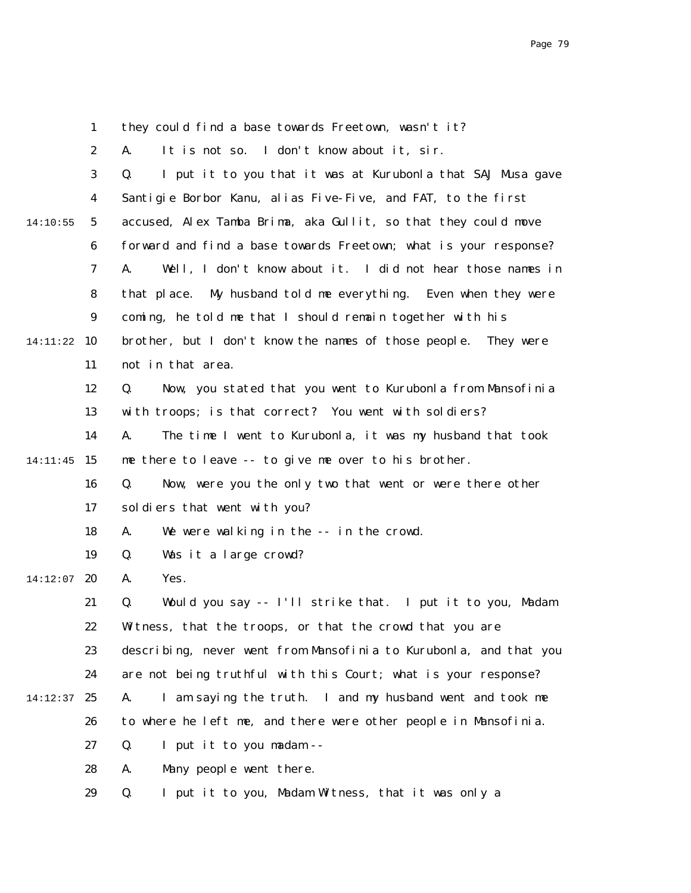1 2 3 4 5 6 7 8 9 14:11:22 10 11 12 13 14 14:11:45 15 16 17 18 19  $14:12:07$  20 21 22 23 24 14:12:37 25 26 27 28 29 14:10:55 they could find a base towards Freetown, wasn't it? A. It is not so. I don't know about it, sir. Q. I put it to you that it was at Kurubonla that SAJ Musa gave Santigie Borbor Kanu, alias Five-Five, and FAT, to the first accused, Alex Tamba Brima, aka Gullit, so that they could move forward and find a base towards Freetown; what is your response? A. Well, I don't know about it. I did not hear those names in that place. My husband told me everything. Even when they were coming, he told me that I should remain together with his brother, but I don't know the names of those people. They were not in that area. Q. Now, you stated that you went to Kurubonla from Mansofinia with troops; is that correct? You went with soldiers? A. The time I went to Kurubonla, it was my husband that took me there to leave -- to give me over to his brother. Q. Now, were you the only two that went or were there other soldiers that went with you? A. We were walking in the -- in the crowd. Q. Was it a large crowd? A. Yes. Q. Would you say -- I'll strike that. I put it to you, Madam Witness, that the troops, or that the crowd that you are describing, never went from Mansofinia to Kurubonla, and that you are not being truthful with this Court; what is your response? A. I am saying the truth. I and my husband went and took me to where he left me, and there were other people in Mansofinia. Q. I put it to you madam -- A. Many people went there. Q. I put it to you, Madam Witness, that it was only a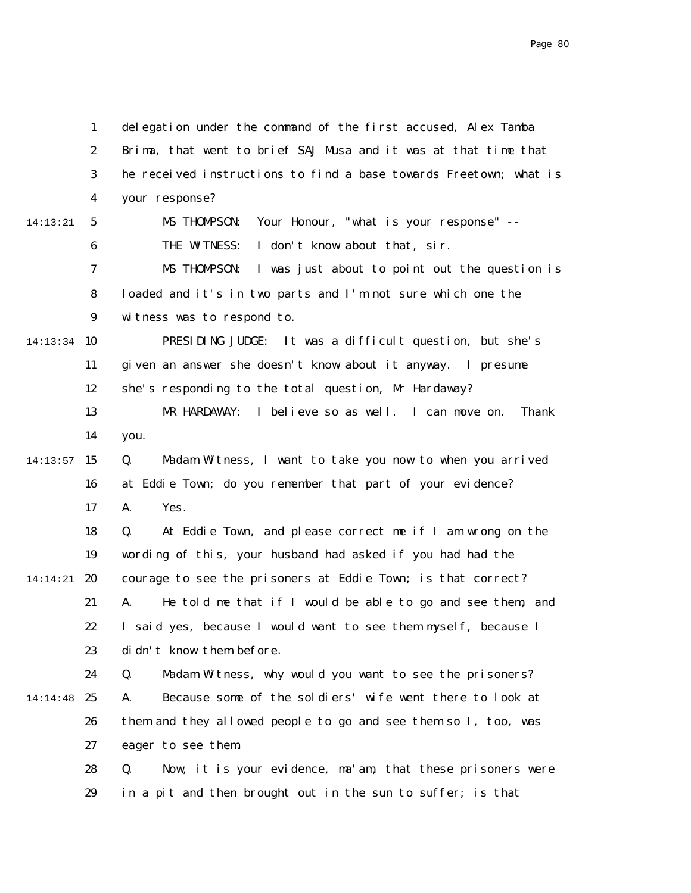1 2 3 4 5 6 7 8 9 14:13:34 10 11 12 13 14  $14:13:57$  15 16 17 18 19 14:14:21 **20** 21 22 23 24 14:14:48 25 26 27 28 29 14:13:21 delegation under the command of the first accused, Alex Tamba Brima, that went to brief SAJ Musa and it was at that time that he received instructions to find a base towards Freetown; what is your response? MS THOMPSON: Your Honour, "what is your response" -- THE WITNESS: I don't know about that, sir. MS THOMPSON: I was just about to point out the question is loaded and it's in two parts and I'm not sure which one the witness was to respond to. PRESIDING JUDGE: It was a difficult question, but she's given an answer she doesn't know about it anyway. I presume she's responding to the total question, Mr Hardaway? MR HARDAWAY: I believe so as well. I can move on. Thank you. Q. Madam Witness, I want to take you now to when you arrived at Eddie Town; do you remember that part of your evidence? A. Yes. Q. At Eddie Town, and please correct me if I am wrong on the wording of this, your husband had asked if you had had the courage to see the prisoners at Eddie Town; is that correct? A. He told me that if I would be able to go and see them, and I said yes, because I would want to see them myself, because I didn't know them before. Q. Madam Witness, why would you want to see the prisoners? A. Because some of the soldiers' wife went there to look at them and they allowed people to go and see them so I, too, was eager to see them. Q. Now, it is your evidence, ma'am, that these prisoners were in a pit and then brought out in the sun to suffer; is that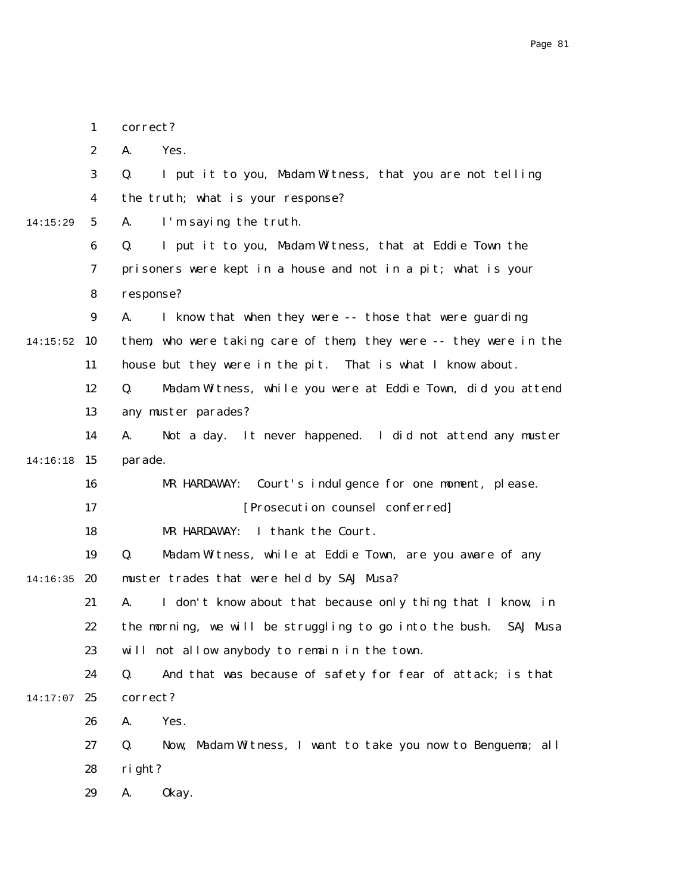|          | $\mathbf{1}$     | correct?                                                          |
|----------|------------------|-------------------------------------------------------------------|
|          | $\boldsymbol{2}$ | A.<br>Yes.                                                        |
|          | 3                | I put it to you, Madam Witness, that you are not telling<br>Q.    |
|          | 4                | the truth; what is your response?                                 |
| 14:15:29 | $5\phantom{.0}$  | A.<br>I'm saying the truth.                                       |
|          | 6                | I put it to you, Madam Witness, that at Eddie Town the<br>Q.      |
|          | 7                | prisoners were kept in a house and not in a pit; what is your     |
|          | 8                | response?                                                         |
|          | $\boldsymbol{9}$ | I know that when they were -- those that were guarding<br>A.      |
| 14:15:52 | 10               | them, who were taking care of them, they were -- they were in the |
|          | 11               | house but they were in the pit. That is what I know about.        |
|          | 12               | Madam Witness, while you were at Eddie Town, did you attend<br>Q. |
|          | 13               | any muster parades?                                               |
|          | 14               | Not a day. It never happened. I did not attend any muster<br>A.   |
| 14:16:18 | 15               | parade.                                                           |
|          | 16               | Court's indulgence for one moment, please.<br>MR HARDAWAY:        |
|          | 17               | [Prosecution counsel conferred]                                   |
|          | 18               | MR HARDAWAY: I thank the Court.                                   |
|          | 19               | Madam Witness, while at Eddie Town, are you aware of any<br>Q.    |
| 14:16:35 | 20               | muster trades that were held by SAJ Musa?                         |
|          | 21               | I don't know about that because only thing that I know, in<br>A.  |
|          | 22               | the morning, we will be struggling to go into the bush. SAJ Musa  |
|          | 23               | will not allow anybody to remain in the town.                     |
|          | 24               | Q.<br>And that was because of safety for fear of attack; is that  |
| 14:17:07 | 25               | correct?                                                          |
|          | 26               | Yes.<br>A.                                                        |
|          | 27               | Now, Madam Witness, I want to take you now to Benguema; all<br>Q. |
|          | 28               | right?                                                            |
|          | 29               | 0kay.<br>A.                                                       |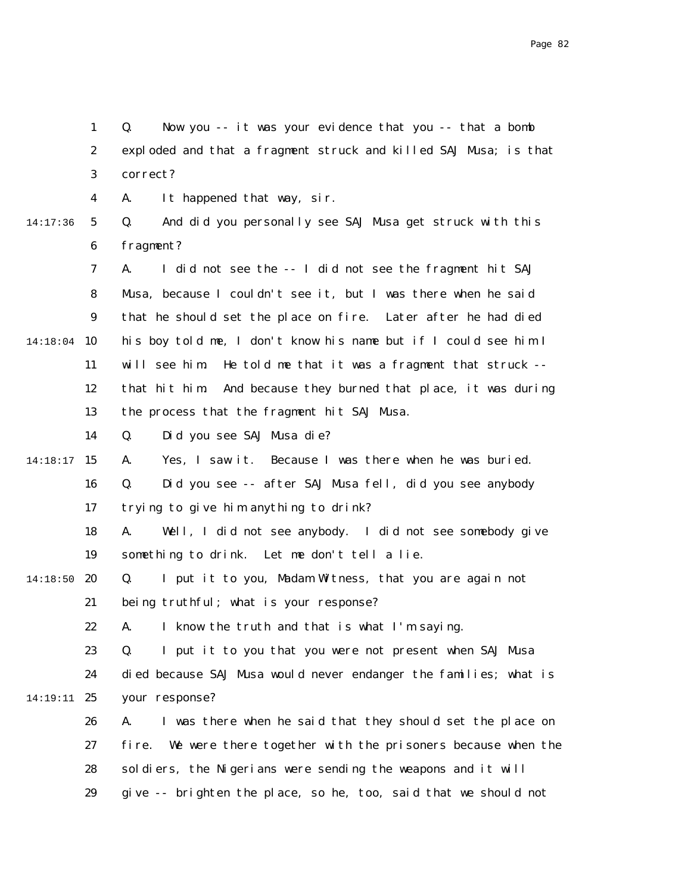1 2 3 4 5 6 7 8 9 14:18:04 10 11 12 13 14 14:18:17 15 16 17 18 19 14:18:50 20 21 22 23 24 14:19:11 25 26 27 28 29 14:17:36 Q. Now you -- it was your evidence that you -- that a bomb exploded and that a fragment struck and killed SAJ Musa; is that correct? A. It happened that way, sir. Q. And did you personally see SAJ Musa get struck with this fragment? A. I did not see the -- I did not see the fragment hit SAJ Musa, because I couldn't see it, but I was there when he said that he should set the place on fire. Later after he had died his boy told me, I don't know his name but if I could see him I will see him. He told me that it was a fragment that struck - that hit him. And because they burned that place, it was during the process that the fragment hit SAJ Musa. Q. Did you see SAJ Musa die? A. Yes, I saw it. Because I was there when he was buried. Q. Did you see -- after SAJ Musa fell, did you see anybody trying to give him anything to drink? A. Well, I did not see anybody. I did not see somebody give something to drink. Let me don't tell a lie. Q. I put it to you, Madam Witness, that you are again not being truthful; what is your response? A. I know the truth and that is what I'm saying. Q. I put it to you that you were not present when SAJ Musa died because SAJ Musa would never endanger the families; what is your response? A. I was there when he said that they should set the place on fire. We were there together with the prisoners because when the soldiers, the Nigerians were sending the weapons and it will give -- brighten the place, so he, too, said that we should not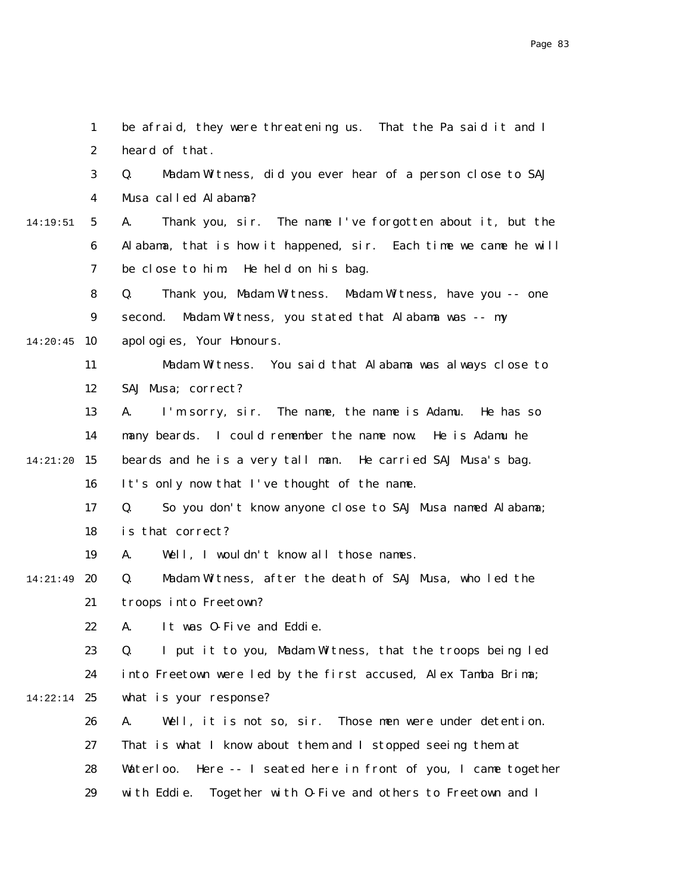|          | $\mathbf{1}$     | be afraid, they were threatening us. That the Pa said it and I      |
|----------|------------------|---------------------------------------------------------------------|
|          | $\boldsymbol{2}$ | heard of that.                                                      |
|          | 3                | Madam Witness, did you ever hear of a person close to SAJ<br>Q.     |
|          | 4                | Musa called Alabama?                                                |
| 14:19:51 | $5\overline{ }$  | A.<br>Thank you, sir. The name I've forgotten about it, but the     |
|          | 6                | Alabama, that is how it happened, sir. Each time we came he will    |
|          | 7                | be close to him.<br>He held on his bag.                             |
|          | 8                | Thank you, Madam Witness. Madam Witness, have you -- one<br>Q.      |
|          | $\boldsymbol{9}$ | second. Madam Witness, you stated that Alabama was -- my            |
| 14:20:45 | 10               | apol ogi es, Your Honours.                                          |
|          | 11               | Madam Witness. You said that Alabama was always close to            |
|          | 12               | SAJ Musa; correct?                                                  |
|          | 13               | I'm sorry, sir. The name, the name is Adamu. He has so<br>A.        |
|          | 14               | many beards. I could remember the name now. He is Adamu he          |
| 14:21:20 | 15               | beards and he is a very tall man. He carried SAJ Musa's bag.        |
|          | 16               | It's only now that I've thought of the name.                        |
|          | 17               | So you don't know anyone close to SAJ Musa named Alabama;<br>Q.     |
|          | 18               | is that correct?                                                    |
|          | 19               | Well, I wouldn't know all those names.<br>A.                        |
| 14:21:49 | 20               | Madam Witness, after the death of SAJ Musa, who led the<br>Q.       |
|          | 21               | troops into Freetown?                                               |
|          | 22               | A. It was 0-Five and Eddie                                          |
|          | 23               | I put it to you, Madam Witness, that the troops being led<br>Q.     |
|          | 24               | into Freetown were led by the first accused, Alex Tamba Brima;      |
| 14:22:14 | 25               | what is your response?                                              |
|          | 26               | Well, it is not so, sir.<br>Those men were under detention.<br>A.   |
|          | 27               | That is what I know about them and I stopped seeing them at         |
|          | 28               | Here -- I seated here in front of you, I came together<br>Waterloo. |
|          | 29               | with Eddie.<br>Together with 0-Five and others to Freetown and I    |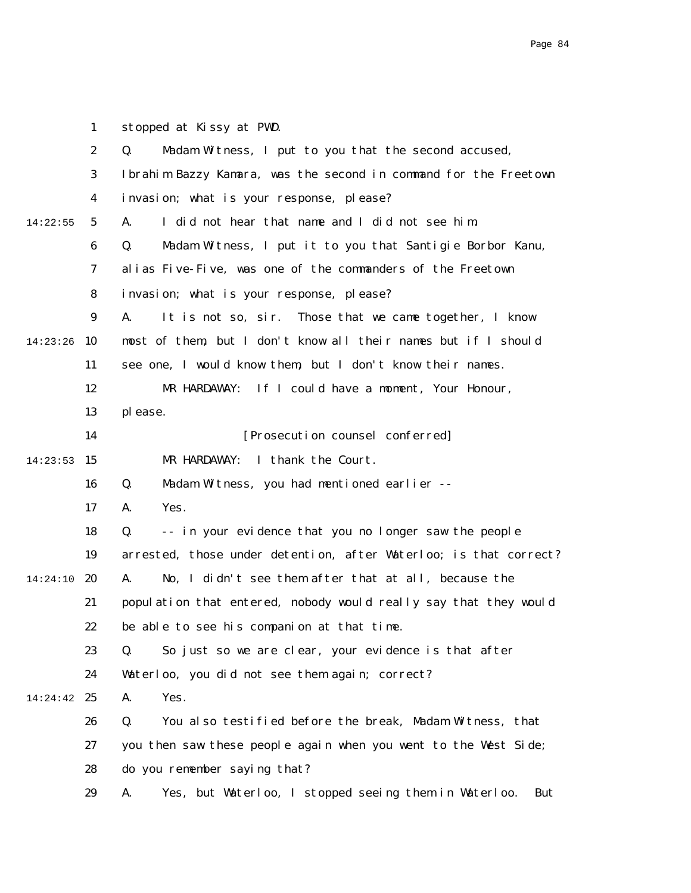2 3 4 5 6 7 8 9 14:23:26 10 11 12 13 14  $14:23:53$  15 16 17 18 19 14:24:10 20 21 22 23 24 14:24:42 25 26 27 28 29 14:22:55 Q. Madam Witness, I put to you that the second accused, Ibrahim Bazzy Kamara, was the second in command for the Freetown invasion; what is your response, please? A. I did not hear that name and I did not see him. Q. Madam Witness, I put it to you that Santigie Borbor Kanu, alias Five-Five, was one of the commanders of the Freetown invasion; what is your response, please? A. It is not so, sir. Those that we came together, I know most of them, but I don't know all their names but if I should see one, I would know them, but I don't know their names. MR HARDAWAY: If I could have a moment, Your Honour, please. [Prosecution counsel conferred] MR HARDAWAY: I thank the Court. Q. Madam Witness, you had mentioned earlier -- A. Yes. Q. -- in your evidence that you no longer saw the people arrested, those under detention, after Waterloo; is that correct? A. No, I didn't see them after that at all, because the population that entered, nobody would really say that they would be able to see his companion at that time. Q. So just so we are clear, your evidence is that after Waterloo, you did not see them again; correct? A. Yes. Q. You also testified before the break, Madam Witness, that you then saw these people again when you went to the West Side; do you remember saying that? A. Yes, but Waterloo, I stopped seeing them in Waterloo. But

1

stopped at Kissy at PWD.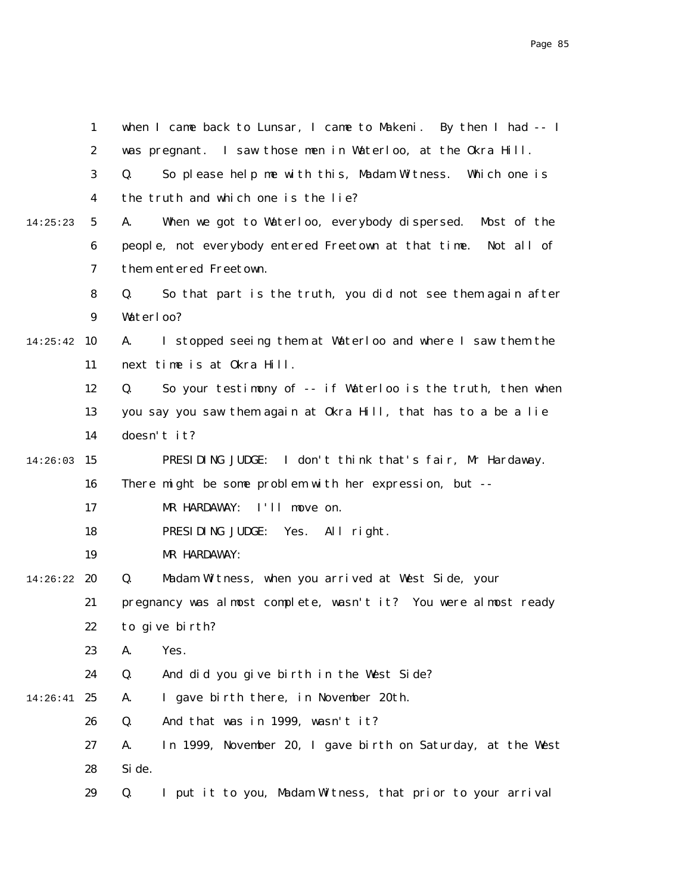|          | $\mathbf{1}$     | when I came back to Lunsar, I came to Makeni. By then I had -- I  |
|----------|------------------|-------------------------------------------------------------------|
|          | $\boldsymbol{2}$ | was pregnant. I saw those men in Waterloo, at the Okra Hill.      |
|          | $\boldsymbol{3}$ | So please help me with this, Madam Witness. Which one is<br>Q.    |
|          | $\boldsymbol{4}$ | the truth and which one is the lie?                               |
| 14:25:23 | $\mathbf{5}$     | When we got to Waterloo, everybody dispersed. Most of the<br>A.   |
|          | 6                | people, not everybody entered Freetown at that time. Not all of   |
|          | 7                | them entered Freetown.                                            |
|          | 8                | So that part is the truth, you did not see them again after<br>Q. |
|          | $\boldsymbol{9}$ | Waterloo?                                                         |
| 14:25:42 | 10               | I stopped seeing them at Waterloo and where I saw them the<br>A.  |
|          | 11               | next time is at Okra Hill.                                        |
|          | 12               | So your testimony of -- if Waterloo is the truth, then when<br>Q. |
|          | 13               | you say you saw them again at Okra Hill, that has to a be a lie   |
|          | 14               | doesn't it?                                                       |
| 14:26:03 | 15               | PRESIDING JUDGE: I don't think that's fair, Mr Hardaway.          |
|          | 16               | There might be some problem with her expression, but --           |
|          | 17               | I'll move on.<br>MR HARDAWAY:                                     |
|          | 18               | PRESIDING JUDGE:<br>Yes. All right.                               |
|          | 19               | MR HARDAWAY:                                                      |
| 14:26:22 | 20               | Madam Witness, when you arrived at West Side, your<br>Q.          |
|          | 21               | pregnancy was almost complete, wasn't it? You were almost ready   |
|          | 22               | to give birth?                                                    |
|          | 23               | A.<br>Yes.                                                        |
|          | 24               | And did you give birth in the West Side?<br>Q.                    |
| 14:26:41 | 25               | I gave birth there, in November 20th.<br>A.                       |
|          | 26               | And that was in 1999, wasn't it?<br>Q.                            |
|          | 27               | In 1999, November 20, I gave birth on Saturday, at the West<br>A. |
|          | 28               | Si de.                                                            |
|          | 29               | I put it to you, Madam Witness, that prior to your arrival<br>Q.  |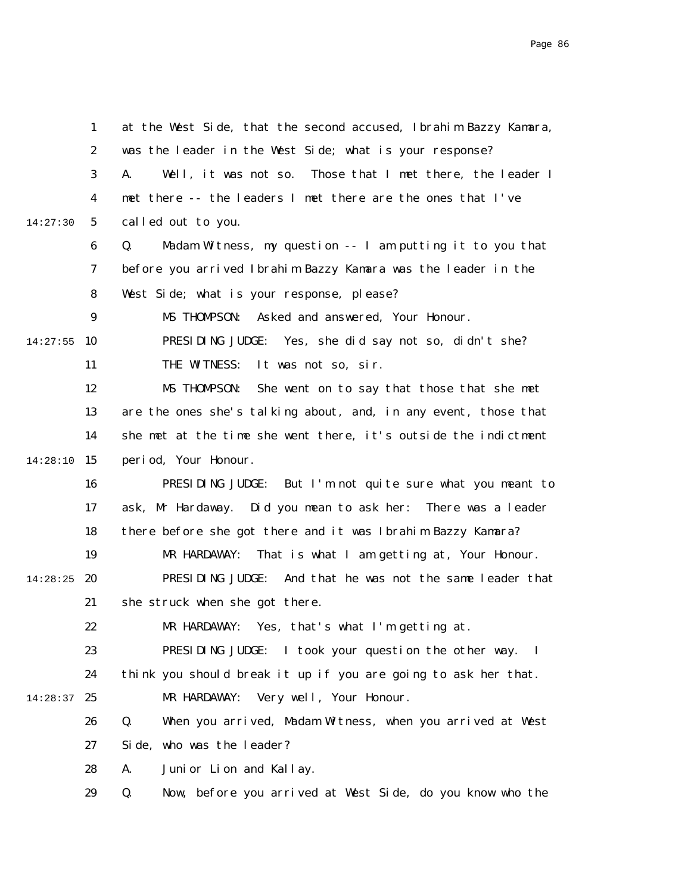|          | $\mathbf{1}$    | at the West Side, that the second accused, Ibrahim Bazzy Kamara, |
|----------|-----------------|------------------------------------------------------------------|
|          | 2               | was the leader in the West Side; what is your response?          |
|          | 3               | Well, it was not so. Those that I met there, the leader I<br>A.  |
|          | 4               | met there -- the leaders I met there are the ones that I've      |
| 14:27:30 | $5\overline{ }$ | called out to you.                                               |
|          | 6               | Madam Witness, my question -- I am putting it to you that<br>Q.  |
|          | 7               | before you arrived Ibrahim Bazzy Kamara was the leader in the    |
|          | 8               | West Side; what is your response, please?                        |
|          | 9               | Asked and answered, Your Honour.<br>MS THOMPSON:                 |
| 14:27:55 | 10              | PRESIDING JUDGE: Yes, she did say not so, didn't she?            |
|          | 11              | THE WITNESS:<br>It was not so, sir.                              |
|          | 12              | MS THOMPSON:<br>She went on to say that those that she met       |
|          | 13              | are the ones she's talking about, and, in any event, those that  |
|          | 14              | she met at the time she went there, it's outside the indictment  |
| 14:28:10 | 15              | period, Your Honour.                                             |
|          | 16              | PRESIDING JUDGE:<br>But I'm not quite sure what you meant to     |
|          | 17              | ask, Mr Hardaway. Did you mean to ask her: There was a leader    |
|          | 18              | there before she got there and it was Ibrahim Bazzy Kamara?      |
|          | 19              | MR HARDAWAY:<br>That is what I am getting at, Your Honour.       |
| 14:28:25 | 20              | PRESIDING JUDGE: And that he was not the same leader that        |
|          | 21              | she struck when she got there.                                   |
|          | 22              | MR HARDAWAY: Yes, that's what I'm getting at.                    |
|          | 23              | PRESIDING JUDGE: I took your question the other way. I           |
|          | 24              | think you should break it up if you are going to ask her that.   |
| 14:28:37 | 25              | Very well, Your Honour.<br>MR HARDAWAY:                          |
|          | 26              | When you arrived, Madam Witness, when you arrived at West<br>Q.  |
|          | 27              | Side, who was the leader?                                        |
|          | 28              | Junior Lion and Kallay.<br>A.                                    |
|          | 29              | Q.<br>Now, before you arrived at West Side, do you know who the  |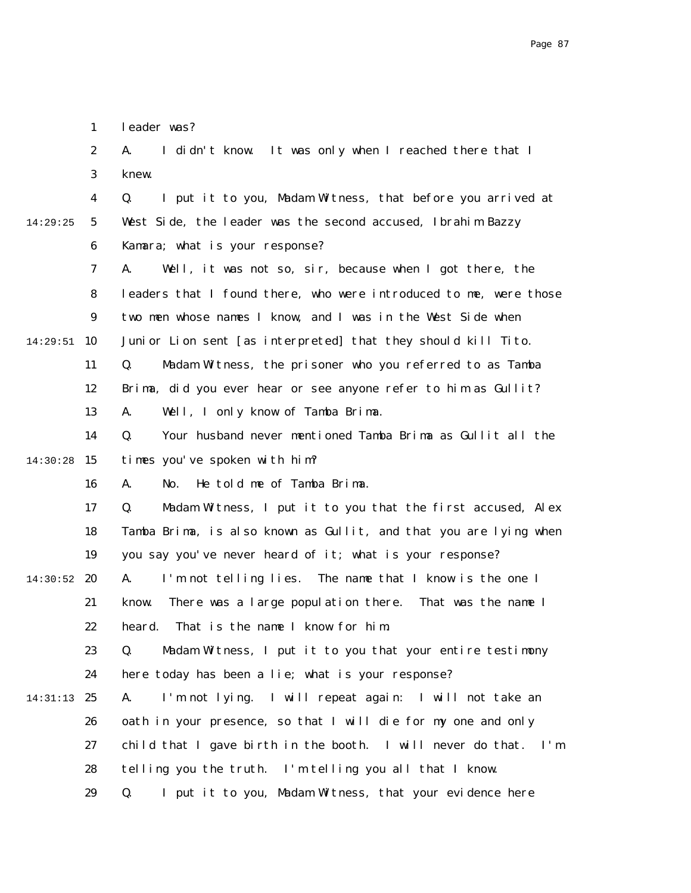|          | $\boldsymbol{2}$ | I didn't know. It was only when I reached there that I<br>A.      |
|----------|------------------|-------------------------------------------------------------------|
|          | 3                | knew.                                                             |
|          | 4                | I put it to you, Madam Witness, that before you arrived at<br>Q.  |
| 14:29:25 | $5\overline{)}$  | West Side, the leader was the second accused, Ibrahim Bazzy       |
|          | 6                | Kamara; what is your response?                                    |
|          | 7                | Well, it was not so, sir, because when I got there, the<br>A.     |
|          | 8                | leaders that I found there, who were introduced to me, were those |
|          | $\boldsymbol{9}$ | two men whose names I know, and I was in the West Side when       |
| 14:29:51 | 10               | Junior Lion sent [as interpreted] that they should kill Tito.     |
|          | 11               | Madam Witness, the prisoner who you referred to as Tamba<br>Q.    |
|          | 12               | Brima, did you ever hear or see anyone refer to him as Gullit?    |
|          | 13               | Well, I only know of Tamba Brima.<br>A.                           |
|          | 14               | Q.<br>Your husband never mentioned Tamba Brima as Gullit all the  |
| 14:30:28 | 15               | times you've spoken with him?                                     |
|          | 16               | He told me of Tamba Brima.<br>No.<br>A.                           |
|          | 17               | Madam Witness, I put it to you that the first accused, Alex<br>Q. |
|          | 18               | Tamba Brima, is also known as Gullit, and that you are lying when |
|          | 19               | you say you've never heard of it; what is your response?          |
| 14:30:52 | 20               | I'm not telling lies. The name that I know is the one I<br>A.     |
|          | 21               | There was a large population there. That was the name I<br>know.  |
|          | 22               | That is the name I know for him.<br>heard.                        |
|          | 23               | Madam Witness, I put it to you that your entire testimony<br>Q.   |
|          | 24               | here today has been a lie; what is your response?                 |
| 14:31:13 | 25               | I'm not lying. I will repeat again: I will not take an<br>A.      |
|          | 26               | oath in your presence, so that I will die for my one and only     |
|          | 27               | child that I gave birth in the booth. I will never do that. I'm   |
|          | 28               | telling you the truth. I'm telling you all that I know.           |
|          | 29               | I put it to you, Madam Witness, that your evidence here<br>Q.     |

1

leader was?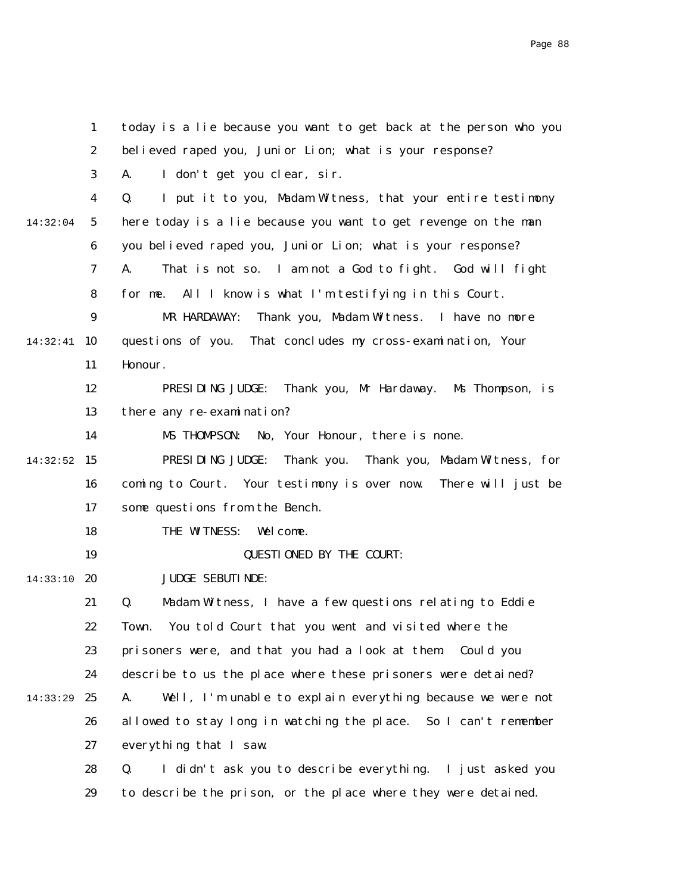|          | $\mathbf{1}$     | today is a lie because you want to get back at the person who you  |
|----------|------------------|--------------------------------------------------------------------|
|          | $\boldsymbol{2}$ | believed raped you, Junior Lion; what is your response?            |
|          | 3                | I don't get you clear, sir.<br>A.                                  |
|          | 4                | I put it to you, Madam Witness, that your entire testimony<br>Q.   |
| 14:32:04 | $5\overline{ }$  | here today is a lie because you want to get revenge on the man     |
|          | 6                | you believed raped you, Junior Lion; what is your response?        |
|          | 7                | That is not so. I am not a God to fight. God will fight<br>A.      |
|          | 8                | for me. All I know is what I'm testifying in this Court.           |
|          | $\boldsymbol{9}$ | MR HARDAWAY:<br>Thank you, Madam Witness. I have no more           |
| 14:32:41 | 10               | questions of you. That concludes my cross-examination, Your        |
|          | 11               | Honour.                                                            |
|          | 12               | Thank you, Mr Hardaway. Ms Thompson, is<br>PRESIDING JUDGE:        |
|          | 13               | there any re-examination?                                          |
|          | 14               | MS THOMPSON:<br>No, Your Honour, there is none.                    |
| 14:32:52 | 15               | PRESIDING JUDGE:<br>Thank you. Thank you, Madam Witness, for       |
|          | 16               | coming to Court. Your testimony is over now.<br>There will just be |
|          | 17               | some questions from the Bench.                                     |
|          | 18               | THE WITNESS:<br>Wel come.                                          |
|          | 19               | <b>QUESTIONED BY THE COURT:</b>                                    |
| 14:33:10 | 20               | <b>JUDGE SEBUTINDE:</b>                                            |
|          | 21               | Q.<br>Madam Witness, I have a few questions relating to Eddie      |
|          | 22               | Town. You told Court that you went and visited where the           |
|          | 23               | prisoners were, and that you had a look at them. Could you         |
|          | 24               | describe to us the place where these prisoners were detained?      |
| 14:33:29 | 25               | Well, I'm unable to explain everything because we were not<br>A.   |
|          | 26               | allowed to stay long in watching the place. So I can't remember    |
|          | 27               | everything that I saw.                                             |
|          | 28               | I didn't ask you to describe everything. I just asked you<br>Q.    |
|          | 29               | to describe the prison, or the place where they were detained.     |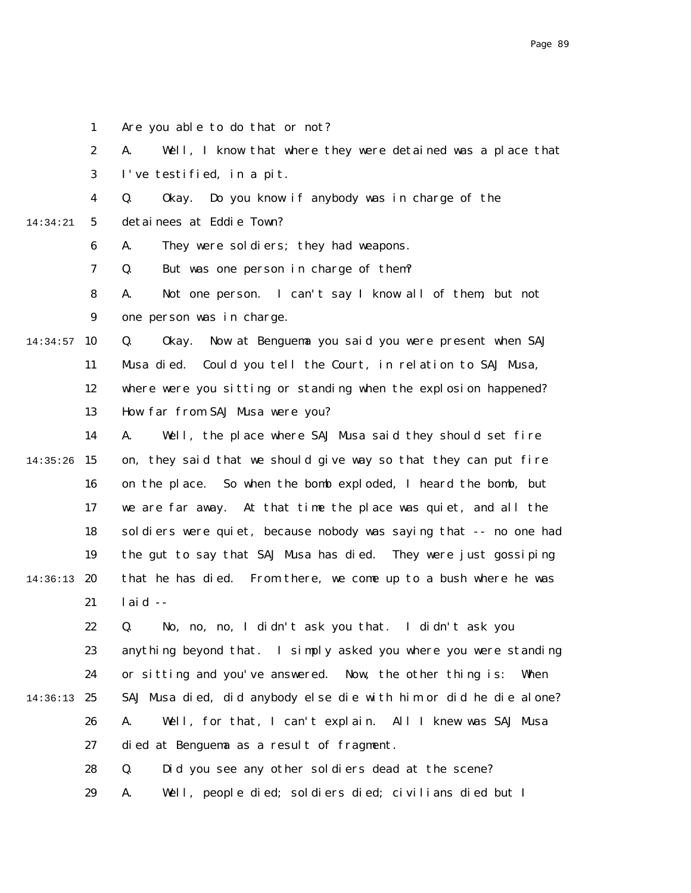1 Are you able to do that or not?

2 A. Well, I know that where they were detained was a place that

3 I've testified, in a pit.

4 Q. Okay. Do you know if anybody was in charge of the

5 14:34:21 detainees at Eddie Town?

> 6 A. They were soldiers; they had weapons.

> 7 Q. But was one person in charge of them?

8 9 A. Not one person. I can't say I know all of them, but not one person was in charge.

 $14:34:57$  10 11 12 13 Q. Okay. Now at Benguema you said you were present when SAJ Musa died. Could you tell the Court, in relation to SAJ Musa, where were you sitting or standing when the explosion happened? How far from SAJ Musa were you?

14  $14:35:26$  15 16 17 18 19 14:36:13 20 21 A. Well, the place where SAJ Musa said they should set fire on, they said that we should give way so that they can put fire on the place. So when the bomb exploded, I heard the bomb, but we are far away. At that time the place was quiet, and all the soldiers were quiet, because nobody was saying that -- no one had the gut to say that SAJ Musa has died. They were just gossiping that he has died. From there, we come up to a bush where he was laid  $-$ 

22 23 24 14:36:13 25 26 27 Q. No, no, no, I didn't ask you that. I didn't ask you anything beyond that. I simply asked you where you were standing or sitting and you've answered. Now, the other thing is: When SAJ Musa died, did anybody else die with him or did he die alone? A. Well, for that, I can't explain. All I knew was SAJ Musa died at Benguema as a result of fragment.

> 28 Q. Did you see any other soldiers dead at the scene?

29 A. Well, people died; soldiers died; civilians died but I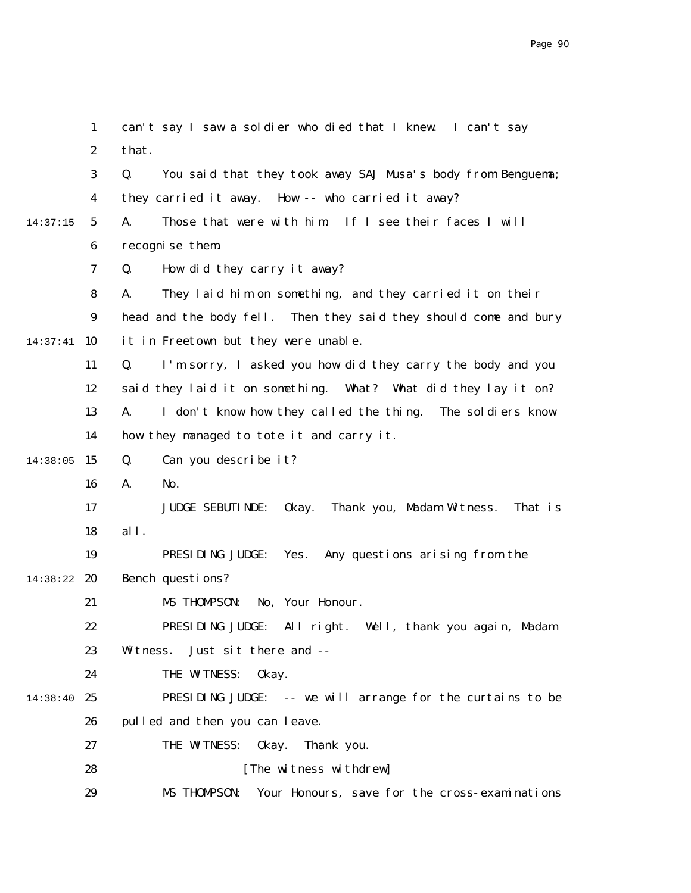|          | $\mathbf{1}$     | can't say I saw a soldier who died that I knew. I can't say               |
|----------|------------------|---------------------------------------------------------------------------|
|          | $\boldsymbol{2}$ | that.                                                                     |
|          | 3                | You said that they took away SAJ Musa's body from Benguema;<br>Q.         |
|          | $\boldsymbol{4}$ | they carried it away. How -- who carried it away?                         |
| 14:37:15 | $\sqrt{5}$       | Those that were with him. If I see their faces I will<br>A.               |
|          | $\boldsymbol{6}$ | recognise them.                                                           |
|          | 7                | How did they carry it away?<br>Q.                                         |
|          | 8                | A.<br>They laid him on something, and they carried it on their            |
|          | $\boldsymbol{9}$ | head and the body fell. Then they said they should come and bury          |
| 14:37:41 | 10               | it in Freetown but they were unable.                                      |
|          | 11               | Q.<br>I'm sorry, I asked you how did they carry the body and you          |
|          | 12               | said they laid it on something. What? What did they lay it on?            |
|          | 13               | I don't know how they called the thing. The soldiers know<br>A.           |
|          | 14               | how they managed to tote it and carry it.                                 |
| 14:38:05 | 15               | Can you describe it?<br>Q.                                                |
|          | 16               | A.<br>No.                                                                 |
|          | 17               | Thank you, Madam Witness.<br><b>JUDGE SEBUTI NDE:</b><br>0kay.<br>That is |
|          | 18               | all.                                                                      |
|          | 19               | PRESIDING JUDGE:<br>Yes.<br>Any questions arising from the                |
| 14:38:22 | 20               | Bench questions?                                                          |
|          | 21               | MS THOMPSON:<br>No, Your Honour.                                          |
|          | 22               | PRESIDING JUDGE: All right. Well, thank you again, Madam                  |
|          | 23               | Just sit there and --<br>Witness.                                         |
|          | 24               | THE WITNESS:<br>0kay.                                                     |
| 14:38:40 | 25               | PRESIDING JUDGE: -- we will arrange for the curtains to be                |
|          | 26               | pulled and then you can leave.                                            |
|          | 27               | THE WITNESS:<br>0kay.<br>Thank you.                                       |
|          | 28               | [The witness withdrew]                                                    |
|          | 29               | MS THOMPSON: Your Honours, save for the cross-examinations                |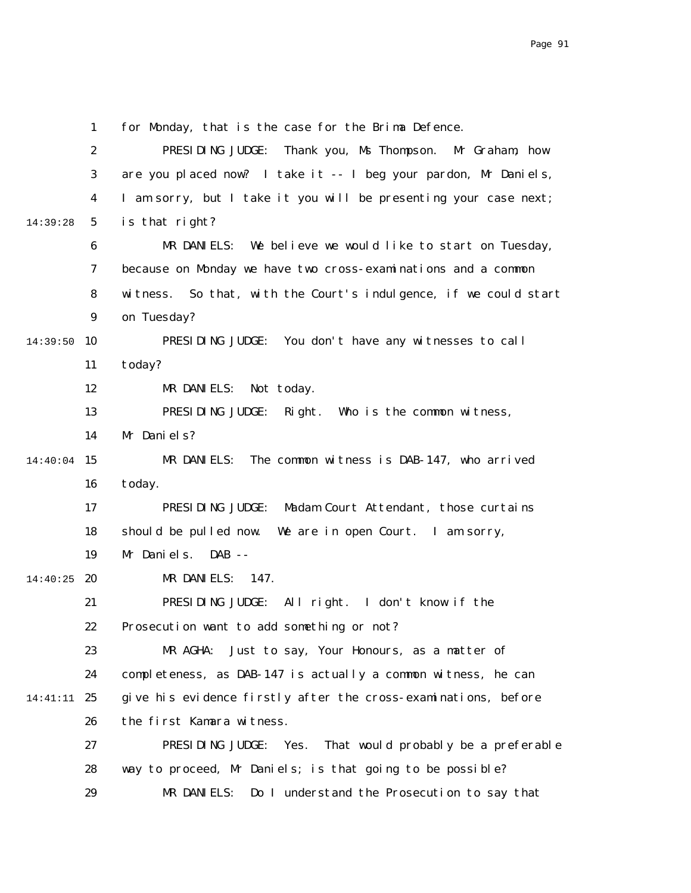1 2 3 4 5 6 7 8 9 14:39:50 10 11 12 13 14 14:40:04 15 16 17 18 19 14:40:25 **20** 21 22 23 24 25 14:41:11 26 27 28 29 14:39:28 for Monday, that is the case for the Brima Defence. PRESIDING JUDGE: Thank you, Ms Thompson. Mr Graham, how are you placed now? I take it -- I beg your pardon, Mr Daniels, I am sorry, but I take it you will be presenting your case next; is that right? MR DANIELS: We believe we would like to start on Tuesday, because on Monday we have two cross-examinations and a common witness. So that, with the Court's indulgence, if we could start on Tuesday? PRESIDING JUDGE: You don't have any witnesses to call today? MR DANIELS: Not today. PRESIDING JUDGE: Right. Who is the common witness, Mr Daniels? MR DANIELS: The common witness is DAB-147, who arrived today. PRESIDING JUDGE: Madam Court Attendant, those curtains should be pulled now. We are in open Court. I am sorry, Mr Daniels. DAB -- MR DANIELS: 147. PRESIDING JUDGE: All right. I don't know if the Prosecution want to add something or not? MR AGHA: Just to say, Your Honours, as a matter of completeness, as DAB-147 is actually a common witness, he can give his evidence firstly after the cross-examinations, before the first Kamara witness. PRESIDING JUDGE: Yes. That would probably be a preferable way to proceed, Mr Daniels; is that going to be possible? MR DANIELS: Do I understand the Prosecution to say that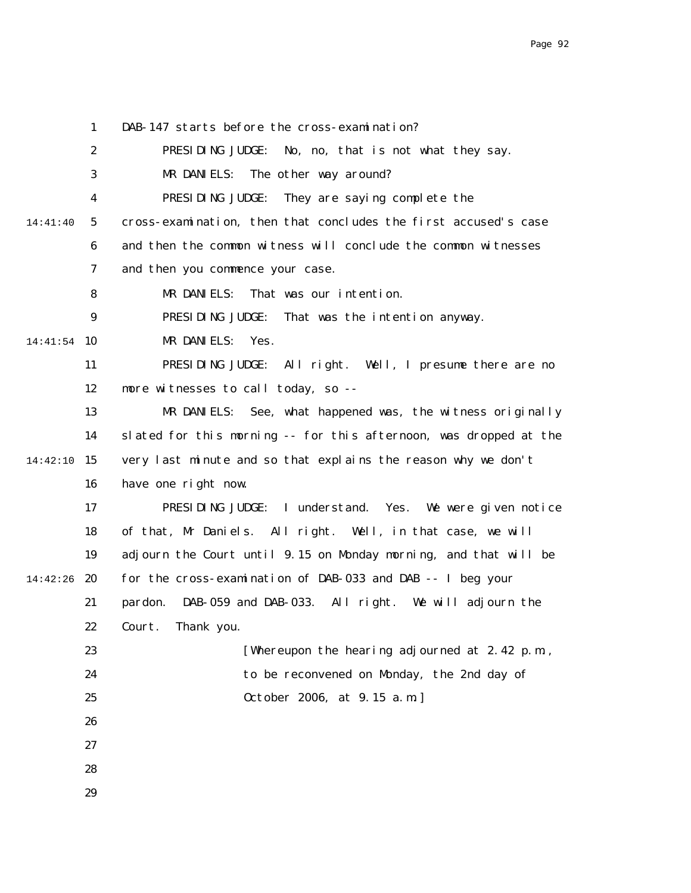1 2 3 4 5 6 7 8 9 14:41:54 10 11 12 13 14 14:42:10 15 16 17 18 19 14:42:26 20 21 22 23 24 25 26 27 28 29 14:41:40 DAB-147 starts before the cross-examination? PRESIDING JUDGE: No, no, that is not what they say. MR DANIELS: The other way around? PRESIDING JUDGE: They are saying complete the cross-examination, then that concludes the first accused's case and then the common witness will conclude the common witnesses and then you commence your case. MR DANIELS: That was our intention. PRESIDING JUDGE: That was the intention anyway. MR DANIELS: Yes. PRESIDING JUDGE: All right. Well, I presume there are no more witnesses to call today, so -- MR DANIELS: See, what happened was, the witness originally slated for this morning -- for this afternoon, was dropped at the very last minute and so that explains the reason why we don't have one right now. PRESIDING JUDGE: I understand. Yes. We were given notice of that, Mr Daniels. All right. Well, in that case, we will adjourn the Court until 9.15 on Monday morning, and that will be for the cross-examination of DAB-033 and DAB -- I beg your pardon. DAB-059 and DAB-033. All right. We will adjourn the Court. Thank you. [Whereupon the hearing adjourned at 2.42 p.m., to be reconvened on Monday, the 2nd day of October 2006, at 9.15 a.m.]